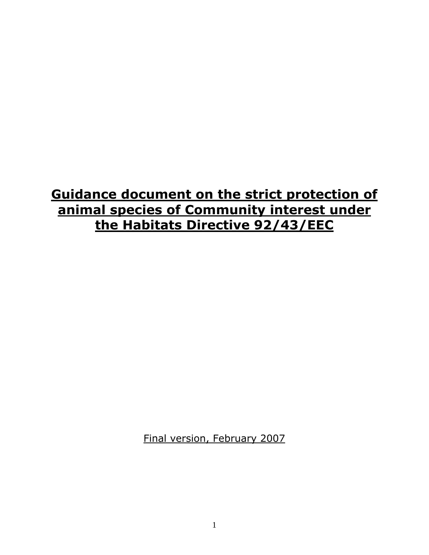# **Guidance document on the strict protection of animal species of Community interest under the Habitats Directive 92/43/EEC**

Final version, February 2007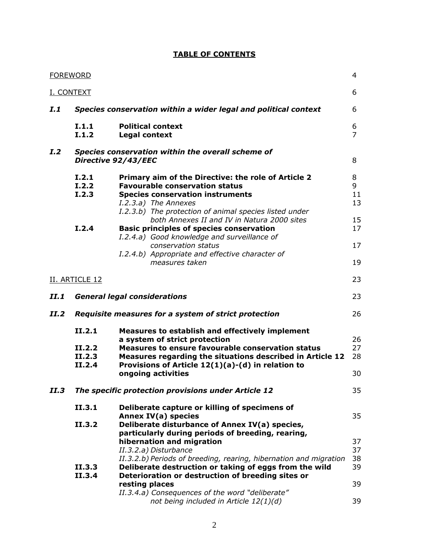|      | <b>FOREWORD</b>                                                 |                                                                                                                                                                                                                                                                                        | 4                        |  |
|------|-----------------------------------------------------------------|----------------------------------------------------------------------------------------------------------------------------------------------------------------------------------------------------------------------------------------------------------------------------------------|--------------------------|--|
|      | <u>I. CONTEXT</u>                                               |                                                                                                                                                                                                                                                                                        | 6                        |  |
| I.1  | Species conservation within a wider legal and political context |                                                                                                                                                                                                                                                                                        |                          |  |
|      | I.1.1<br>I.1.2                                                  | <b>Political context</b><br><b>Legal context</b>                                                                                                                                                                                                                                       | 6<br>$\overline{7}$      |  |
| I.2  |                                                                 | Species conservation within the overall scheme of<br>Directive 92/43/EEC                                                                                                                                                                                                               | 8                        |  |
|      | 1.2.1<br>I.2.2<br>I.2.3                                         | Primary aim of the Directive: the role of Article 2<br><b>Favourable conservation status</b><br><b>Species conservation instruments</b><br>I.2.3.a) The Annexes<br>I.2.3.b) The protection of animal species listed under<br>both Annexes II and IV in Natura 2000 sites               | 8<br>9<br>11<br>13<br>15 |  |
|      | I.2.4                                                           | <b>Basic principles of species conservation</b><br>I.2.4.a) Good knowledge and surveillance of                                                                                                                                                                                         | 17                       |  |
|      |                                                                 | conservation status<br>I.2.4.b) Appropriate and effective character of<br>measures taken                                                                                                                                                                                               | 17<br>19                 |  |
|      | II. ARTICLE 12                                                  |                                                                                                                                                                                                                                                                                        | 23                       |  |
| II.1 |                                                                 | <b>General legal considerations</b>                                                                                                                                                                                                                                                    | 23                       |  |
| II.2 |                                                                 | Requisite measures for a system of strict protection                                                                                                                                                                                                                                   | 26                       |  |
|      | II.2.1<br>II.2.2<br>II.2.3<br>II.2.4                            | <b>Measures to establish and effectively implement</b><br>a system of strict protection<br>Measures to ensure favourable conservation status<br>Measures regarding the situations described in Article 12<br>Provisions of Article $12(1)(a)-(d)$ in relation to<br>ongoing activities | 26<br>27<br>28<br>30     |  |
| II.3 |                                                                 | The specific protection provisions under Article 12                                                                                                                                                                                                                                    | 35                       |  |
|      | II.3.1<br>II.3.2                                                | Deliberate capture or killing of specimens of<br>Annex IV(a) species<br>Deliberate disturbance of Annex IV(a) species,<br>particularly during periods of breeding, rearing,                                                                                                            | 35                       |  |
|      | II.3.3                                                          | hibernation and migration<br>II.3.2.a) Disturbance<br>II.3.2.b) Periods of breeding, rearing, hibernation and migration<br>Deliberate destruction or taking of eggs from the wild                                                                                                      | 37<br>37<br>38<br>39     |  |
|      | II.3.4                                                          | Deterioration or destruction of breeding sites or<br>resting places<br>II.3.4.a) Consequences of the word "deliberate"<br>not being included in Article 12(1)(d)                                                                                                                       | 39<br>39                 |  |

# **TABLE OF CONTENTS**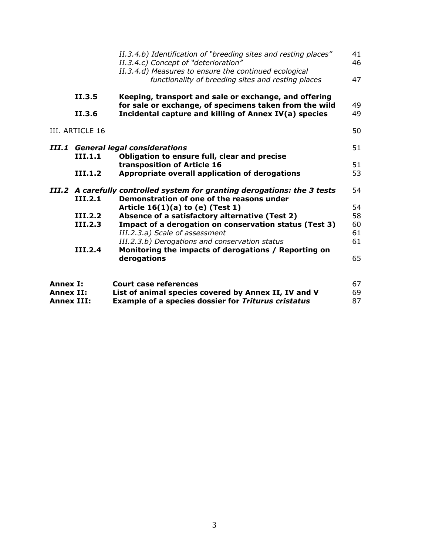|                                       |                 | II.3.4.b) Identification of "breeding sites and resting places"<br>II.3.4.c) Concept of "deterioration"<br>II.3.4.d) Measures to ensure the continued ecological | 41<br>46 |
|---------------------------------------|-----------------|------------------------------------------------------------------------------------------------------------------------------------------------------------------|----------|
|                                       |                 | functionality of breeding sites and resting places                                                                                                               | 47       |
|                                       | II.3.5          | Keeping, transport and sale or exchange, and offering<br>for sale or exchange, of specimens taken from the wild                                                  | 49       |
|                                       | II.3.6          | Incidental capture and killing of Annex IV(a) species                                                                                                            | 49       |
|                                       | III. ARTICLE 16 |                                                                                                                                                                  | 50       |
| III.1                                 | III.1.1         | <b>General legal considerations</b><br>Obligation to ensure full, clear and precise                                                                              | 51       |
|                                       |                 | transposition of Article 16                                                                                                                                      | 51       |
|                                       | III.1.2         | Appropriate overall application of derogations                                                                                                                   | 53       |
|                                       |                 | III.2 A carefully controlled system for granting derogations: the 3 tests                                                                                        | 54       |
|                                       | III.2.1         | Demonstration of one of the reasons under<br>Article $16(1)(a)$ to (e) (Test 1)                                                                                  | 54       |
|                                       | III.2.2         | Absence of a satisfactory alternative (Test 2)                                                                                                                   | 58       |
|                                       | III.2.3         | Impact of a derogation on conservation status (Test 3)<br>III.2.3.a) Scale of assessment                                                                         | 60<br>61 |
|                                       | III.2.4         | III.2.3.b) Derogations and conservation status                                                                                                                   | 61       |
|                                       |                 | Monitoring the impacts of derogations / Reporting on<br>derogations                                                                                              | 65       |
| <b>Annex I:</b>                       |                 | Court case references                                                                                                                                            | 67       |
| <b>Annex II:</b><br><b>Annex III:</b> |                 | List of animal species covered by Annex II, IV and V<br><b>Example of a species dossier for Triturus cristatus</b>                                               | 69<br>87 |
|                                       |                 |                                                                                                                                                                  |          |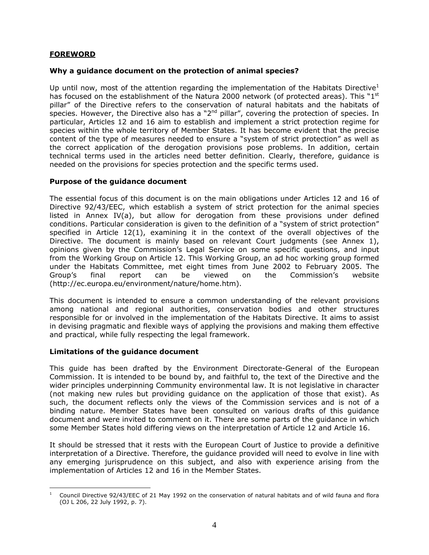## **FOREWORD**

## **Why a guidance document on the protection of animal species?**

Up until now, most of the attention regarding the implementation of the Habitats Directive $^1$ has focused on the establishment of the Natura 2000 network (of protected areas). This " $1<sup>st</sup>$ pillar" of the Directive refers to the conservation of natural habitats and the habitats of species. However, the Directive also has a " $2<sup>nd</sup>$  pillar", covering the protection of species. In particular, Articles 12 and 16 aim to establish and implement a strict protection regime for species within the whole territory of Member States. It has become evident that the precise content of the type of measures needed to ensure a "system of strict protection" as well as the correct application of the derogation provisions pose problems. In addition, certain technical terms used in the articles need better definition. Clearly, therefore, guidance is needed on the provisions for species protection and the specific terms used.

## **Purpose of the guidance document**

The essential focus of this document is on the main obligations under Articles 12 and 16 of Directive 92/43/EEC, which establish a system of strict protection for the animal species listed in Annex IV(a), but allow for derogation from these provisions under defined conditions. Particular consideration is given to the definition of a "system of strict protection" specified in Article 12(1), examining it in the context of the overall objectives of the Directive. The document is mainly based on relevant Court judgments (see Annex 1), opinions given by the Commission's Legal Service on some specific questions, and input from the Working Group on Article 12. This Working Group, an ad hoc working group formed under the Habitats Committee, met eight times from June 2002 to February 2005. The Group's final report can be viewed on the Commission's website (http://ec.europa.eu/environment/nature/home.htm).

This document is intended to ensure a common understanding of the relevant provisions among national and regional authorities, conservation bodies and other structures responsible for or involved in the implementation of the Habitats Directive. It aims to assist in devising pragmatic and flexible ways of applying the provisions and making them effective and practical, while fully respecting the legal framework.

#### **Limitations of the guidance document**

This guide has been drafted by the Environment Directorate-General of the European Commission. It is intended to be bound by, and faithful to, the text of the Directive and the wider principles underpinning Community environmental law. It is not legislative in character (not making new rules but providing guidance on the application of those that exist). As such, the document reflects only the views of the Commission services and is not of a binding nature. Member States have been consulted on various drafts of this guidance document and were invited to comment on it. There are some parts of the guidance in which some Member States hold differing views on the interpretation of Article 12 and Article 16.

It should be stressed that it rests with the European Court of Justice to provide a definitive interpretation of a Directive. Therefore, the guidance provided will need to evolve in line with any emerging jurisprudence on this subject, and also with experience arising from the implementation of Articles 12 and 16 in the Member States.

<sup>&</sup>lt;u>.</u> 1 Council Directive 92/43/EEC of 21 May 1992 on the conservation of natural habitats and of wild fauna and flora (OJ L 206, 22 July 1992, p. 7).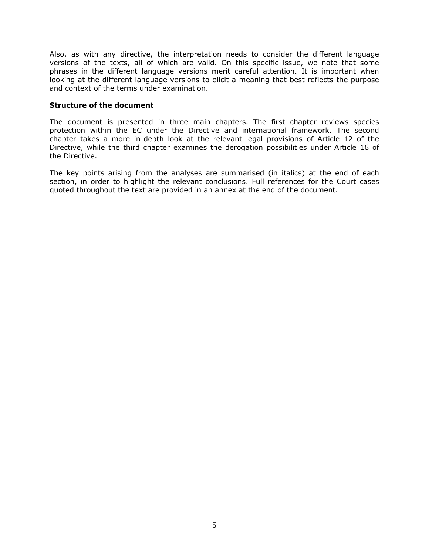Also, as with any directive, the interpretation needs to consider the different language versions of the texts, all of which are valid. On this specific issue, we note that some phrases in the different language versions merit careful attention. It is important when looking at the different language versions to elicit a meaning that best reflects the purpose and context of the terms under examination.

#### **Structure of the document**

The document is presented in three main chapters. The first chapter reviews species protection within the EC under the Directive and international framework. The second chapter takes a more in-depth look at the relevant legal provisions of Article 12 of the Directive, while the third chapter examines the derogation possibilities under Article 16 of the Directive.

The key points arising from the analyses are summarised (in italics) at the end of each section, in order to highlight the relevant conclusions. Full references for the Court cases quoted throughout the text are provided in an annex at the end of the document.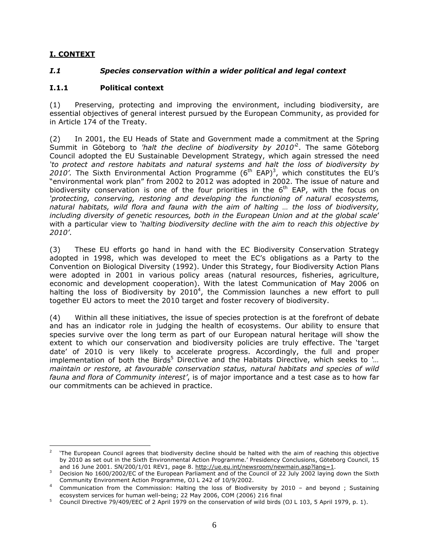# **I. CONTEXT**

## *I.1 Species conservation within a wider political and legal context*

## **I.1.1 Political context**

(1) Preserving, protecting and improving the environment, including biodiversity, are essential objectives of general interest pursued by the European Community, as provided for in Article 174 of the Treaty.

(2) In 2001, the EU Heads of State and Government made a commitment at the Spring Summit in Göteborg to *'halt the decline of biodiversity by 2010'*<sup>2</sup> . The same Göteborg Council adopted the EU Sustainable Development Strategy, which again stressed the need *'to protect and restore habitats and natural systems and halt the loss of biodiversity by*  2010'. The Sixth Environmental Action Programme  $(6<sup>th</sup> EAP)<sup>3</sup>$ , which constitutes the EU's "environmental work plan" from 2002 to 2012 was adopted in 2002. The issue of nature and biodiversity conservation is one of the four priorities in the  $6<sup>th</sup>$  EAP, with the focus on *'protecting, conserving, restoring and developing the functioning of natural ecosystems, natural habitats, wild flora and fauna with the aim of halting … the loss of biodiversity, including diversity of genetic resources, both in the European Union and at the global scale*' with a particular view to *'halting biodiversity decline with the aim to reach this objective by 2010'*.

(3) These EU efforts go hand in hand with the EC Biodiversity Conservation Strategy adopted in 1998, which was developed to meet the EC's obligations as a Party to the Convention on Biological Diversity (1992). Under this Strategy, four Biodiversity Action Plans were adopted in 2001 in various policy areas (natural resources, fisheries, agriculture, economic and development cooperation). With the latest Communication of May 2006 on halting the loss of Biodiversity by  $2010^4$ , the Commission launches a new effort to pull together EU actors to meet the 2010 target and foster recovery of biodiversity.

(4) Within all these initiatives, the issue of species protection is at the forefront of debate and has an indicator role in judging the health of ecosystems. Our ability to ensure that species survive over the long term as part of our European natural heritage will show the extent to which our conservation and biodiversity policies are truly effective. The 'target date' of 2010 is very likely to accelerate progress. Accordingly, the full and proper implementation of both the Birds<sup>5</sup> Directive and the Habitats Directive, which seeks to '... *maintain or restore, at favourable conservation status, natural habitats and species of wild fauna and flora of Community interest'*, is of major importance and a test case as to how far our commitments can be achieved in practice.

<sup>1</sup> 2 'The European Council agrees that biodiversity decline should be halted with the aim of reaching this objective by 2010 as set out in the Sixth Environmental Action Programme.' Presidency Conclusions, Göteborg Council, 15 and 16 June 2001. SN/200/1/01 REV1, page 8. http://ue.eu.int/newsroom/newmain.asp?lang=1.

Bridge Line 2000/2002/EC of the European Parliament and of the Council of 22 July 2002 laying down the Sixth Community Environment Action Programme, OJ L 242 of 10/9/2002. <sup>4</sup>

Communication from the Commission: Halting the loss of Biodiversity by 2010 – and beyond ; Sustaining ecosystem services for human well-being; 22 May 2006, COM (2006) 216 final  $\frac{5}{2}$  Council Directive 79/409/EEC of 2 April 1979 on the conservation of wild birds

Council Directive 79/409/EEC of 2 April 1979 on the conservation of wild birds (OJ L 103, 5 April 1979, p. 1).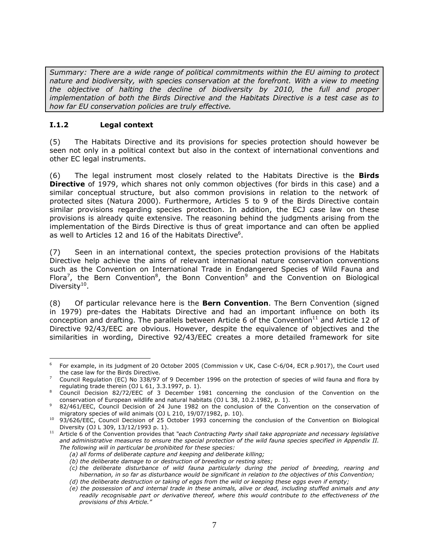*Summary: There are a wide range of political commitments within the EU aiming to protect nature and biodiversity, with species conservation at the forefront. With a view to meeting the objective of halting the decline of biodiversity by 2010, the full and proper implementation of both the Birds Directive and the Habitats Directive is a test case as to how far EU conservation policies are truly effective.* 

# **I.1.2 Legal context**

(5) The Habitats Directive and its provisions for species protection should however be seen not only in a political context but also in the context of international conventions and other EC legal instruments.

(6) The legal instrument most closely related to the Habitats Directive is the **Birds Directive** of 1979, which shares not only common objectives (for birds in this case) and a similar conceptual structure, but also common provisions in relation to the network of protected sites (Natura 2000). Furthermore, Articles 5 to 9 of the Birds Directive contain similar provisions regarding species protection. In addition, the ECJ case law on these provisions is already quite extensive. The reasoning behind the judgments arising from the implementation of the Birds Directive is thus of great importance and can often be applied as well to Articles 12 and 16 of the Habitats Directive<sup>6</sup>.

(7) Seen in an international context, the species protection provisions of the Habitats Directive help achieve the aims of relevant international nature conservation conventions such as the Convention on International Trade in Endangered Species of Wild Fauna and Flora<sup>7</sup>, the Bern Convention<sup>8</sup>, the Bonn Convention<sup>9</sup> and the Convention on Biological Diversity $10$ .

(8) Of particular relevance here is the **Bern Convention**. The Bern Convention (signed in 1979) pre-dates the Habitats Directive and had an important influence on both its conception and drafting. The parallels between Article 6 of the Convention $^{11}$  and Article 12 of Directive 92/43/EEC are obvious. However, despite the equivalence of objectives and the similarities in wording, Directive 92/43/EEC creates a more detailed framework for site

<sup>1</sup> 6 For example, in its judgment of 20 October 2005 (Commission v UK, Case C-6/04, ECR p.9017), the Court used the case law for the Birds Directive. 7

Council Regulation (EC) No 338/97 of 9 December 1996 on the protection of species of wild fauna and flora by regulating trade therein (OJ L  $61$ , 3.3.1997, p. 1).

Council Decision 82/72/EEC of 3 December 1981 concerning the conclusion of the Convention on the conservation of European wildlife and natural habitats (OJ L 38, 10.2.1982, p. 1). 9

 <sup>82/461/</sup>EEC, Council Decision of 24 June 1982 on the conclusion of the Convention on the conservation of migratory species of wild animals (OJ L 210, 19/07/1982, p. 10).<br><sup>10</sup> 93/626/EEC, Council Decision of 25 October 1993 concerning the conclusion of the Convention on Biological

Diversity (OJ L 309, 13/12/1993 p. 1). 11 Article 6 of the Convention provides that *"each Contracting Party shall take appropriate and necessary legislative*  and administrative measures to ensure the special protection of the wild fauna species specified in Appendix II. *The following will in particular be prohibited for these species:* 

*<sup>(</sup>a) all forms of deliberate capture and keeping and deliberate killing;* 

*<sup>(</sup>b) the deliberate damage to or destruction of breeding or resting sites;* 

*<sup>(</sup>c) the deliberate disturbance of wild fauna particularly during the period of breeding, rearing and hibernation, in so far as disturbance would be significant in relation to the objectives of this Convention; (d) the deliberate destruction or taking of eggs from the wild or keeping these eggs even if empty;* 

*<sup>(</sup>e) the possession of and internal trade in these animals, alive or dead, including stuffed animals and any readily recognisable part or derivative thereof, where this would contribute to the effectiveness of the provisions of this Article."*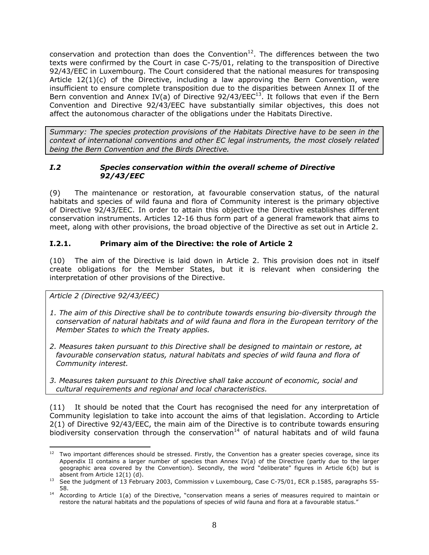conservation and protection than does the Convention $12$ . The differences between the two texts were confirmed by the Court in case C-75/01, relating to the transposition of Directive 92/43/EEC in Luxembourg. The Court considered that the national measures for transposing Article 12(1)(c) of the Directive, including a law approving the Bern Convention, were insufficient to ensure complete transposition due to the disparities between Annex II of the Bern convention and Annex IV(a) of Directive 92/43/EEC<sup>13</sup>. It follows that even if the Bern Convention and Directive 92/43/EEC have substantially similar objectives, this does not affect the autonomous character of the obligations under the Habitats Directive.

*Summary: The species protection provisions of the Habitats Directive have to be seen in the context of international conventions and other EC legal instruments, the most closely related being the Bern Convention and the Birds Directive.* 

## *I.2 Species conservation within the overall scheme of Directive 92/43/EEC*

(9) The maintenance or restoration, at favourable conservation status, of the natural habitats and species of wild fauna and flora of Community interest is the primary objective of Directive 92/43/EEC. In order to attain this objective the Directive establishes different conservation instruments. Articles 12-16 thus form part of a general framework that aims to meet, along with other provisions, the broad objective of the Directive as set out in Article 2.

# **I.2.1. Primary aim of the Directive: the role of Article 2**

(10) The aim of the Directive is laid down in Article 2. This provision does not in itself create obligations for the Member States, but it is relevant when considering the interpretation of other provisions of the Directive.

*Article 2 (Directive 92/43/EEC)* 

1

- *1. The aim of this Directive shall be to contribute towards ensuring bio-diversity through the conservation of natural habitats and of wild fauna and flora in the European territory of the Member States to which the Treaty applies.*
- *2. Measures taken pursuant to this Directive shall be designed to maintain or restore, at*  favourable conservation status, natural habitats and species of wild fauna and flora of *Community interest.*
- *3. Measures taken pursuant to this Directive shall take account of economic, social and cultural requirements and regional and local characteristics.*

(11) It should be noted that the Court has recognised the need for any interpretation of Community legislation to take into account the aims of that legislation. According to Article 2(1) of Directive 92/43/EEC, the main aim of the Directive is to contribute towards ensuring biodiversity conservation through the conservation<sup>14</sup> of natural habitats and of wild fauna

 $12$  Two important differences should be stressed. Firstly, the Convention has a greater species coverage, since its Appendix II contains a larger number of species than Annex IV(a) of the Directive (partly due to the larger geographic area covered by the Convention). Secondly, the word "deliberate" figures in Article 6(b) but is

absent from Article 12(1) (d).<br><sup>13</sup> See the judgment of 13 February 2003, Commission v Luxembourg, Case C-75/01, ECR p.1585, paragraphs 55-58.<br><sup>14</sup> According to Article 1(a) of the Directive, "conservation means a series of measures required to maintain or

restore the natural habitats and the populations of species of wild fauna and flora at a favourable status."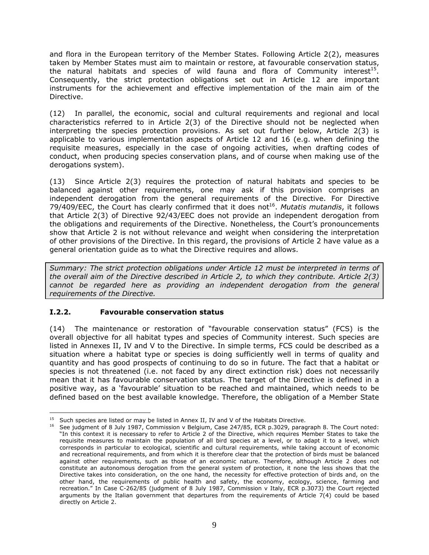and flora in the European territory of the Member States. Following Article 2(2), measures taken by Member States must aim to maintain or restore, at favourable conservation status, the natural habitats and species of wild fauna and flora of Community interest<sup>15</sup>. Consequently, the strict protection obligations set out in Article 12 are important instruments for the achievement and effective implementation of the main aim of the Directive.

(12) In parallel, the economic, social and cultural requirements and regional and local characteristics referred to in Article 2(3) of the Directive should not be neglected when interpreting the species protection provisions. As set out further below, Article 2(3) is applicable to various implementation aspects of Article 12 and 16 (e.g. when defining the requisite measures, especially in the case of ongoing activities, when drafting codes of conduct, when producing species conservation plans, and of course when making use of the derogations system).

(13) Since Article 2(3) requires the protection of natural habitats and species to be balanced against other requirements, one may ask if this provision comprises an independent derogation from the general requirements of the Directive. For Directive 79/409/EEC, the Court has clearly confirmed that it does not<sup>16</sup>. Mutatis mutandis, it follows that Article 2(3) of Directive 92/43/EEC does not provide an independent derogation from the obligations and requirements of the Directive. Nonetheless, the Court's pronouncements show that Article 2 is not without relevance and weight when considering the interpretation of other provisions of the Directive. In this regard, the provisions of Article 2 have value as a general orientation guide as to what the Directive requires and allows.

*Summary: The strict protection obligations under Article 12 must be interpreted in terms of the overall aim of the Directive described in Article 2, to which they contribute. Article 2(3) cannot be regarded here as providing an independent derogation from the general requirements of the Directive.* 

## **I.2.2. Favourable conservation status**

(14) The maintenance or restoration of "favourable conservation status" (FCS) is the overall objective for all habitat types and species of Community interest. Such species are listed in Annexes II, IV and V to the Directive. In simple terms, FCS could be described as a situation where a habitat type or species is doing sufficiently well in terms of quality and quantity and has good prospects of continuing to do so in future. The fact that a habitat or species is not threatened (i.e. not faced by any direct extinction risk) does not necessarily mean that it has favourable conservation status. The target of the Directive is defined in a positive way, as a 'favourable' situation to be reached and maintained, which needs to be defined based on the best available knowledge. Therefore, the obligation of a Member State

<sup>&</sup>lt;sup>15</sup> Such species are listed or may be listed in Annex II, IV and V of the Habitats Directive.

<sup>&</sup>lt;sup>16</sup> See judgment of 8 July 1987, Commission v Belgium, Case 247/85, ECR p.3029, paragraph 8. The Court noted: "In this context it is necessary to refer to Article 2 of the Directive, which requires Member States to take the requisite measures to maintain the population of all bird species at a level, or to adapt it to a level, which corresponds in particular to ecological, scientific and cultural requirements, while taking account of economic and recreational requirements, and from which it is therefore clear that the protection of birds must be balanced against other requirements, such as those of an economic nature. Therefore, although Article 2 does not constitute an autonomous derogation from the general system of protection, it none the less shows that the Directive takes into consideration, on the one hand, the necessity for effective protection of birds and, on the other hand, the requirements of public health and safety, the economy, ecology, science, farming and recreation." In Case C-262/85 (judgment of 8 July 1987, Commission v Italy, ECR p.3073) the Court rejected arguments by the Italian government that departures from the requirements of Article 7(4) could be based directly on Article 2.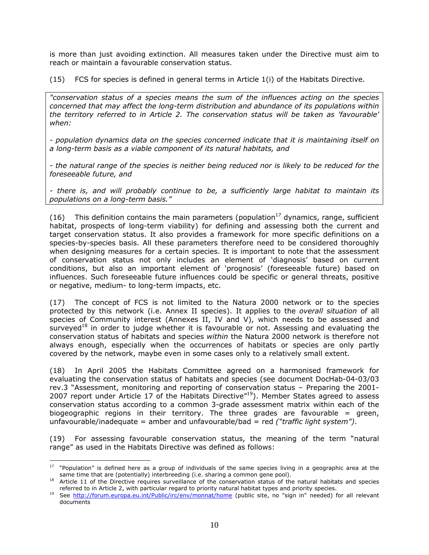is more than just avoiding extinction. All measures taken under the Directive must aim to reach or maintain a favourable conservation status.

(15) FCS for species is defined in general terms in Article 1(i) of the Habitats Directive.

*"conservation status of a species means the sum of the influences acting on the species concerned that may affect the long-term distribution and abundance of its populations within the territory referred to in Article 2. The conservation status will be taken as 'favourable' when:* 

*- population dynamics data on the species concerned indicate that it is maintaining itself on a long-term basis as a viable component of its natural habitats, and* 

*- the natural range of the species is neither being reduced nor is likely to be reduced for the foreseeable future, and* 

*- there is, and will probably continue to be, a sufficiently large habitat to maintain its populations on a long-term basis."* 

(16) This definition contains the main parameters (population<sup>17</sup> dynamics, range, sufficient habitat, prospects of long-term viability) for defining and assessing both the current and target conservation status. It also provides a framework for more specific definitions on a species-by-species basis. All these parameters therefore need to be considered thoroughly when designing measures for a certain species. It is important to note that the assessment of conservation status not only includes an element of 'diagnosis' based on current conditions, but also an important element of 'prognosis' (foreseeable future) based on influences. Such foreseeable future influences could be specific or general threats, positive or negative, medium- to long-term impacts, etc.

(17) The concept of FCS is not limited to the Natura 2000 network or to the species protected by this network (i.e. Annex II species). It applies to the *overall situation* of all species of Community interest (Annexes II, IV and V), which needs to be assessed and surveyed<sup>18</sup> in order to judge whether it is favourable or not. Assessing and evaluating the conservation status of habitats and species *within* the Natura 2000 network is therefore not always enough, especially when the occurrences of habitats or species are only partly covered by the network, maybe even in some cases only to a relatively small extent.

(18) In April 2005 the Habitats Committee agreed on a harmonised framework for evaluating the conservation status of habitats and species (see document DocHab-04-03/03 rev.3 "Assessment, monitoring and reporting of conservation status – Preparing the 2001- 2007 report under Article 17 of the Habitats Directive<sup>"19</sup>). Member States agreed to assess conservation status according to a common 3-grade assessment matrix within each of the biogeographic regions in their territory. The three grades are favourable  $=$  green, unfavourable/inadequate = amber and unfavourable/bad = red *("traffic light system")*.

(19) For assessing favourable conservation status, the meaning of the term "natural range" as used in the Habitats Directive was defined as follows:

1

 $17$  "Population" is defined here as a group of individuals of the same species living in a geographic area at the same time that are (potentially) interbreeding (i.e. sharing a common gene pool).<br><sup>18</sup> Article 11 of the Directive requires surveillance of the conservation status of the natural habitats and species

refe[rred to in Article 2, with particular regard to priority natura](http://forum.europa.eu.int/Public/irc/env/monnat/home)l habitat types and priority species.<br><sup>19</sup> See<http://forum.europa.eu.int/Public/irc/env/monnat/home>(public site, no "sign in" needed) for all relevant documents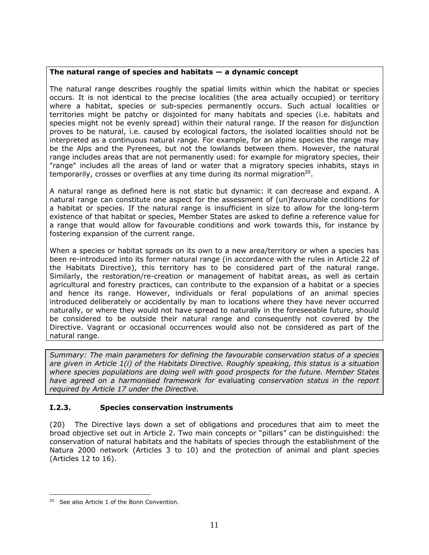## **The natural range of species and habitats — a dynamic concept**

The natural range describes roughly the spatial limits within which the habitat or species occurs. It is not identical to the precise localities (the area actually occupied) or territory where a habitat, species or sub-species permanently occurs. Such actual localities or territories might be patchy or disjointed for many habitats and species (i.e. habitats and species might not be evenly spread) within their natural range. If the reason for disjunction proves to be natural, i.e. caused by ecological factors, the isolated localities should not be interpreted as a continuous natural range. For example, for an alpine species the range may be the Alps and the Pyrenees, but not the lowlands between them. However, the natural range includes areas that are not permanently used: for example for migratory species, their "range" includes all the areas of land or water that a migratory species inhabits, stays in temporarily, crosses or overflies at any time during its normal migration<sup>20</sup>.

A natural range as defined here is not static but dynamic: it can decrease and expand. A natural range can constitute one aspect for the assessment of (un)favourable conditions for a habitat or species. If the natural range is insufficient in size to allow for the long-term existence of that habitat or species, Member States are asked to define a reference value for a range that would allow for favourable conditions and work towards this, for instance by fostering expansion of the current range.

When a species or habitat spreads on its own to a new area/territory or when a species has been re-introduced into its former natural range (in accordance with the rules in Article 22 of the Habitats Directive), this territory has to be considered part of the natural range. Similarly, the restoration/re-creation or management of habitat areas, as well as certain agricultural and forestry practices, can contribute to the expansion of a habitat or a species and hence its range. However, individuals or feral populations of an animal species introduced deliberately or accidentally by man to locations where they have never occurred naturally, or where they would not have spread to naturally in the foreseeable future, should be considered to be outside their natural range and consequently not covered by the Directive. Vagrant or occasional occurrences would also not be considered as part of the natural range.

*Summary: The main parameters for defining the favourable conservation status of a species are given in Article 1(i) of the Habitats Directive. Roughly speaking, this status is a situation where species populations are doing well with good prospects for the future. Member States have agreed on a harmonised framework for* evaluating *conservation status in the report required by Article 17 under the Directive.* 

# **I.2.3. Species conservation instruments**

(20) The Directive lays down a set of obligations and procedures that aim to meet the broad objective set out in Article 2. Two main concepts or "pillars" can be distinguished: the conservation of natural habitats and the habitats of species through the establishment of the Natura 2000 network (Articles 3 to 10) and the protection of animal and plant species (Articles 12 to 16).

<u>.</u>

 $20$  See also Article 1 of the Bonn Convention.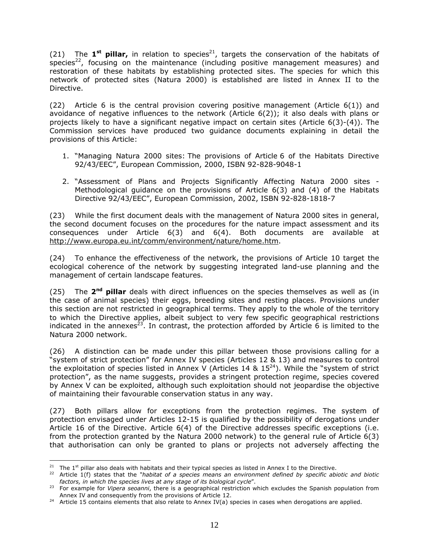(21) The  $1^{st}$  pillar, in relation to species<sup>21</sup>, targets the conservation of the habitats of species<sup>22</sup>, focusing on the maintenance (including positive management measures) and restoration of these habitats by establishing protected sites. The species for which this network of protected sites (Natura 2000) is established are listed in Annex II to the Directive.

(22) Article 6 is the central provision covering positive management (Article  $6(1)$ ) and avoidance of negative influences to the network (Article 6(2)); it also deals with plans or projects likely to have a significant negative impact on certain sites (Article 6(3)-(4)). The Commission services have produced two guidance documents explaining in detail the provisions of this Article:

- 1. "Managing Natura 2000 sites: The provisions of Article 6 of the Habitats Directive 92/43/EEC", European Commission, 2000, ISBN 92-828-9048-1
- 2. "Assessment of Plans and Projects Significantly Affecting Natura 2000 sites Methodological guidance on the provisions of Article 6(3) and (4) of the Habitats Directive 92/43/EEC", European Commission, 2002, ISBN 92-828-1818-7

(23) While the first document deals with the management of Natura 2000 sites in general, the second document focuses on the procedures for the nature impact assessment and its consequences under Article 6(3) and 6(4). Both documents are available at [http://www.europa.eu.int/comm/environment/nature/home.htm.](http://www.europa.eu.int/comm/environment/nature/home.htm)

(24) To enhance the effectiveness of the network, the provisions of Article 10 target the ecological coherence of the network by suggesting integrated land-use planning and the management of certain landscape features.

(25) The **2nd pillar** deals with direct influences on the species themselves as well as (in the case of animal species) their eggs, breeding sites and resting places. Provisions under this section are not restricted in geographical terms. They apply to the whole of the territory to which the Directive applies, albeit subject to very few specific geographical restrictions indicated in the annexes<sup>23</sup>. In contrast, the protection afforded by Article 6 is limited to the Natura 2000 network.

(26) A distinction can be made under this pillar between those provisions calling for a "system of strict protection" for Annex IV species (Articles 12 & 13) and measures to control the exploitation of species listed in Annex V (Articles 14 &  $15^{24}$ ). While the "system of strict protection", as the name suggests, provides a stringent protection regime, species covered by Annex V can be exploited, although such exploitation should not jeopardise the objective of maintaining their favourable conservation status in any way.

(27) Both pillars allow for exceptions from the protection regimes. The system of protection envisaged under Articles 12-15 is qualified by the possibility of derogations under Article 16 of the Directive. Article 6(4) of the Directive addresses specific exceptions (i.e. from the protection granted by the Natura 2000 network) to the general rule of Article 6(3) that authorisation can only be granted to plans or projects not adversely affecting the

<sup>1</sup> 

<sup>&</sup>lt;sup>21</sup> The 1<sup>st</sup> pillar also deals with habitats and their typical species as listed in Annex I to the Directive.<br><sup>22</sup> Article 1(f) states that the "*habitat of a species means an environment defined by specific abiotic and* 

<sup>&</sup>lt;sup>23</sup> For example for Vipera seoanni, there is a geographical restriction which excludes the Spanish population from Annex IV and consequently from the provisions of Article 12.<br><sup>24</sup> Article 15 contains elements that also relate to Annex IV(a) species in cases when derogations are applied.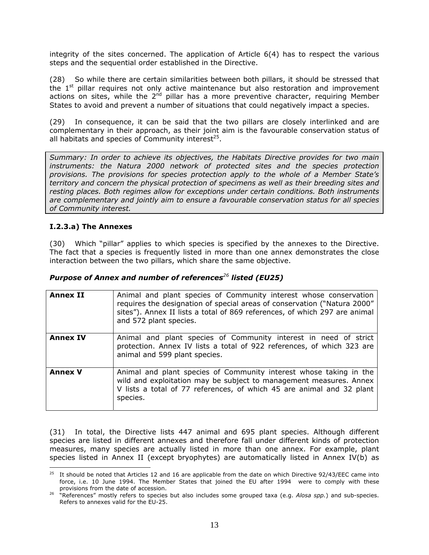integrity of the sites concerned. The application of Article 6(4) has to respect the various steps and the sequential order established in the Directive.

(28) So while there are certain similarities between both pillars, it should be stressed that the  $1<sup>st</sup>$  pillar requires not only active maintenance but also restoration and improvement actions on sites, while the  $2^{nd}$  pillar has a more preventive character, requiring Member States to avoid and prevent a number of situations that could negatively impact a species.

(29) In consequence, it can be said that the two pillars are closely interlinked and are complementary in their approach, as their joint aim is the favourable conservation status of all habitats and species of Community interest $25$ .

*Summary: In order to achieve its objectives, the Habitats Directive provides for two main*  instruments: the Natura 2000 network of protected sites and the species protection *provisions. The provisions for species protection apply to the whole of a Member State's territory and concern the physical protection of specimens as well as their breeding sites and resting places. Both regimes allow for exceptions under certain conditions. Both instruments are complementary and jointly aim to ensure a favourable conservation status for all species of Community interest.* 

## **I.2.3.a) The Annexes**

(30) Which "pillar" applies to which species is specified by the annexes to the Directive. The fact that a species is frequently listed in more than one annex demonstrates the close interaction between the two pillars, which share the same objective.

| Purpose of Annex and number of references <sup>26</sup> listed (EU25) |
|-----------------------------------------------------------------------|
|-----------------------------------------------------------------------|

| <b>Annex II</b> | Animal and plant species of Community interest whose conservation<br>requires the designation of special areas of conservation ("Natura 2000"<br>sites"). Annex II lists a total of 869 references, of which 297 are animal   |
|-----------------|-------------------------------------------------------------------------------------------------------------------------------------------------------------------------------------------------------------------------------|
|                 | and 572 plant species.                                                                                                                                                                                                        |
| <b>Annex IV</b> | Animal and plant species of Community interest in need of strict<br>protection. Annex IV lists a total of 922 references, of which 323 are<br>animal and 599 plant species.                                                   |
| <b>Annex V</b>  | Animal and plant species of Community interest whose taking in the<br>wild and exploitation may be subject to management measures. Annex<br>V lists a total of 77 references, of which 45 are animal and 32 plant<br>species. |

(31) In total, the Directive lists 447 animal and 695 plant species. Although different species are listed in different annexes and therefore fall under different kinds of protection measures, many species are actually listed in more than one annex. For example, plant species listed in Annex II (except bryophytes) are automatically listed in Annex IV(b) as

<sup>1</sup> <sup>25</sup> It should be noted that Articles 12 and 16 are applicable from the date on which Directive 92/43/EEC came into force, i.e. 10 June 1994. The Member States that joined the EU after 1994 were to comply with these

provisions from the date of accession. 26 "References" mostly refers to species but also includes some grouped taxa (e.g. *Alosa spp.*) and sub-species. Refers to annexes valid for the EU-25.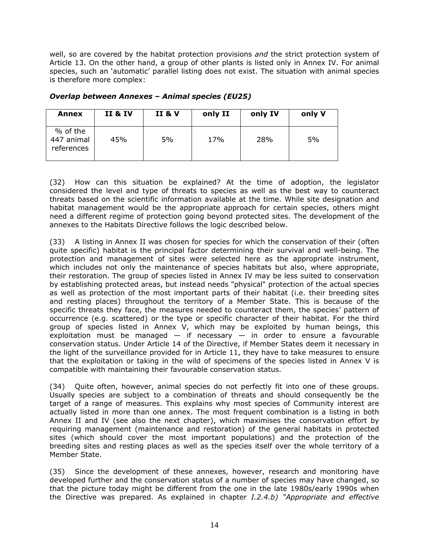well, so are covered by the habitat protection provisions *and* the strict protection system of Article 13. On the other hand, a group of other plants is listed only in Annex IV. For animal species, such an 'automatic' parallel listing does not exist. The situation with animal species is therefore more complex:

| Annex                                | <b>II &amp; IV</b> | <b>II &amp; V</b> | only II | only IV | only V |
|--------------------------------------|--------------------|-------------------|---------|---------|--------|
| % of the<br>447 animal<br>references | 45%                | 5%                | 17%     | 28%     | 5%     |

*Overlap between Annexes – Animal species (EU25)* 

(32) How can this situation be explained? At the time of adoption, the legislator considered the level and type of threats to species as well as the best way to counteract threats based on the scientific information available at the time. While site designation and habitat management would be the appropriate approach for certain species, others might need a different regime of protection going beyond protected sites. The development of the annexes to the Habitats Directive follows the logic described below.

(33) A listing in Annex II was chosen for species for which the conservation of their (often quite specific) habitat is the principal factor determining their survival and well-being. The protection and management of sites were selected here as the appropriate instrument, which includes not only the maintenance of species habitats but also, where appropriate, their restoration. The group of species listed in Annex IV may be less suited to conservation by establishing protected areas, but instead needs "physical" protection of the actual species as well as protection of the most important parts of their habitat (i.e. their breeding sites and resting places) throughout the territory of a Member State. This is because of the specific threats they face, the measures needed to counteract them, the species' pattern of occurrence (e.g. scattered) or the type or specific character of their habitat. For the third group of species listed in Annex V, which may be exploited by human beings, this exploitation must be managed  $-$  if necessary  $-$  in order to ensure a favourable conservation status. Under Article 14 of the Directive, if Member States deem it necessary in the light of the surveillance provided for in Article 11, they have to take measures to ensure that the exploitation or taking in the wild of specimens of the species listed in Annex V is compatible with maintaining their favourable conservation status.

(34) Quite often, however, animal species do not perfectly fit into one of these groups. Usually species are subject to a combination of threats and should consequently be the target of a range of measures. This explains why most species of Community interest are actually listed in more than one annex. The most frequent combination is a listing in both Annex II and IV (see also the next chapter), which maximises the conservation effort by requiring management (maintenance and restoration) of the general habitats in protected sites (which should cover the most important populations) and the protection of the breeding sites and resting places as well as the species itself over the whole territory of a Member State.

(35) Since the development of these annexes, however, research and monitoring have developed further and the conservation status of a number of species may have changed, so that the picture today might be different from the one in the late 1980s/early 1990s when the Directive was prepared. As explained in chapter *I.2.4.b) "Appropriate and effective*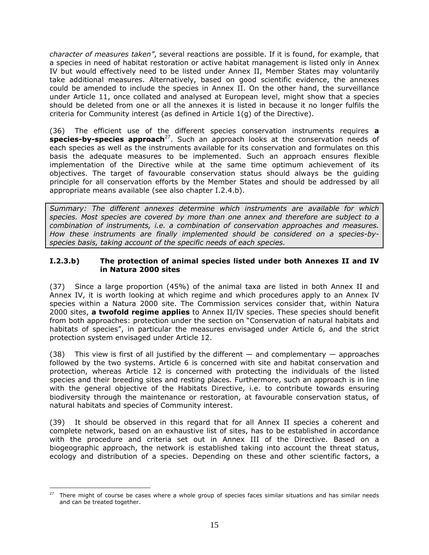*character of measures taken"*, several reactions are possible. If it is found, for example, that a species in need of habitat restoration or active habitat management is listed only in Annex IV but would effectively need to be listed under Annex II, Member States may voluntarily take additional measures. Alternatively, based on good scientific evidence, the annexes could be amended to include the species in Annex II. On the other hand, the surveillance under Article 11, once collated and analysed at European level, might show that a species should be deleted from one or all the annexes it is listed in because it no longer fulfils the criteria for Community interest (as defined in Article 1(g) of the Directive).

(36) The efficient use of the different species conservation instruments requires **a species-by-species approach**<sup>27</sup>. Such an approach looks at the conservation needs of each species as well as the instruments available for its conservation and formulates on this basis the adequate measures to be implemented. Such an approach ensures flexible implementation of the Directive while at the same time optimum achievement of its objectives. The target of favourable conservation status should always be the guiding principle for all conservation efforts by the Member States and should be addressed by all appropriate means available (see also chapter I.2.4.b).

*Summary: The different annexes determine which instruments are available for which species. Most species are covered by more than one annex and therefore are subject to a combination of instruments, i.e. a combination of conservation approaches and measures. How these instruments are finally implemented should be considered on a species-byspecies basis, taking account of the specific needs of each species.* 

## **I.2.3.b) The protection of animal species listed under both Annexes II and IV in Natura 2000 sites**

(37) Since a large proportion (45%) of the animal taxa are listed in both Annex II and Annex IV, it is worth looking at which regime and which procedures apply to an Annex IV species within a Natura 2000 site. The Commission services consider that, within Natura 2000 sites, **a twofold regime applies** to Annex II/IV species. These species should benefit from both approaches: protection under the section on "Conservation of natural habitats and habitats of species", in particular the measures envisaged under Article 6, and the strict protection system envisaged under Article 12.

(38) This view is first of all justified by the different  $-$  and complementary  $-$  approaches followed by the two systems. Article 6 is concerned with site and habitat conservation and protection, whereas Article 12 is concerned with protecting the individuals of the listed species and their breeding sites and resting places. Furthermore, such an approach is in line with the general objective of the Habitats Directive, i.e. to contribute towards ensuring biodiversity through the maintenance or restoration, at favourable conservation status, of natural habitats and species of Community interest.

(39) It should be observed in this regard that for all Annex II species a coherent and complete network, based on an exhaustive list of sites, has to be established in accordance with the procedure and criteria set out in Annex III of the Directive. Based on a biogeographic approach, the network is established taking into account the threat status, ecology and distribution of a species. Depending on these and other scientific factors, a

<sup>&</sup>lt;u>.</u> <sup>27</sup> There might of course be cases where a whole group of species faces similar situations and has similar needs and can be treated together.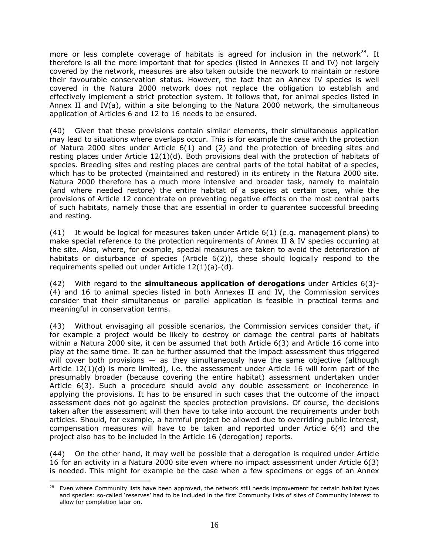more or less complete coverage of habitats is agreed for inclusion in the network<sup>28</sup>. It therefore is all the more important that for species (listed in Annexes II and IV) not largely covered by the network, measures are also taken outside the network to maintain or restore their favourable conservation status. However, the fact that an Annex IV species is well covered in the Natura 2000 network does not replace the obligation to establish and effectively implement a strict protection system. It follows that, for animal species listed in Annex II and IV(a), within a site belonging to the Natura 2000 network, the simultaneous application of Articles 6 and 12 to 16 needs to be ensured.

(40) Given that these provisions contain similar elements, their simultaneous application may lead to situations where overlaps occur. This is for example the case with the protection of Natura 2000 sites under Article 6(1) and (2) and the protection of breeding sites and resting places under Article 12(1)(d). Both provisions deal with the protection of habitats of species. Breeding sites and resting places are central parts of the total habitat of a species, which has to be protected (maintained and restored) in its entirety in the Natura 2000 site. Natura 2000 therefore has a much more intensive and broader task, namely to maintain (and where needed restore) the entire habitat of a species at certain sites, while the provisions of Article 12 concentrate on preventing negative effects on the most central parts of such habitats, namely those that are essential in order to guarantee successful breeding and resting.

(41) It would be logical for measures taken under Article 6(1) (e.g. management plans) to make special reference to the protection requirements of Annex II & IV species occurring at the site. Also, where, for example, special measures are taken to avoid the deterioration of habitats or disturbance of species (Article 6(2)), these should logically respond to the requirements spelled out under Article 12(1)(a)-(d).

(42) With regard to the **simultaneous application of derogations** under Articles 6(3)- (4) and 16 to animal species listed in both Annexes II and IV, the Commission services consider that their simultaneous or parallel application is feasible in practical terms and meaningful in conservation terms.

(43) Without envisaging all possible scenarios, the Commission services consider that, if for example a project would be likely to destroy or damage the central parts of habitats within a Natura 2000 site, it can be assumed that both Article 6(3) and Article 16 come into play at the same time. It can be further assumed that the impact assessment thus triggered will cover both provisions — as they simultaneously have the same objective (although Article 12(1)(d) is more limited), i.e. the assessment under Article 16 will form part of the presumably broader (because covering the entire habitat) assessment undertaken under Article 6(3). Such a procedure should avoid any double assessment or incoherence in applying the provisions. It has to be ensured in such cases that the outcome of the impact assessment does not go against the species protection provisions. Of course, the decisions taken after the assessment will then have to take into account the requirements under both articles. Should, for example, a harmful project be allowed due to overriding public interest, compensation measures will have to be taken and reported under Article 6(4) and the project also has to be included in the Article 16 (derogation) reports.

(44) On the other hand, it may well be possible that a derogation is required under Article 16 for an activity in a Natura 2000 site even where no impact assessment under Article 6(3) is needed. This might for example be the case when a few specimens or eggs of an Annex

<sup>&</sup>lt;u>.</u> <sup>28</sup> Even where Community lists have been approved, the network still needs improvement for certain habitat types and species: so-called 'reserves' had to be included in the first Community lists of sites of Community interest to allow for completion later on.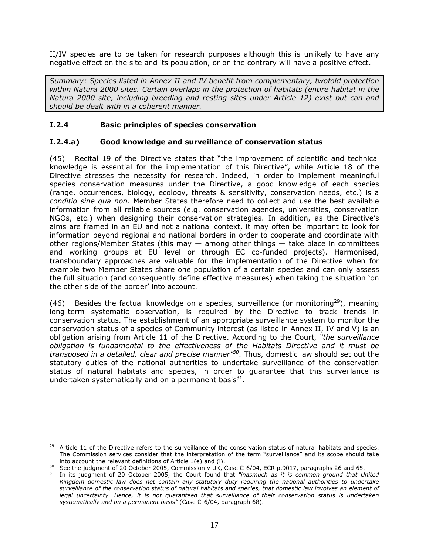II/IV species are to be taken for research purposes although this is unlikely to have any negative effect on the site and its population, or on the contrary will have a positive effect.

*Summary: Species listed in Annex II and IV benefit from complementary, twofold protection within Natura 2000 sites. Certain overlaps in the protection of habitats (entire habitat in the Natura 2000 site, including breeding and resting sites under Article 12) exist but can and should be dealt with in a coherent manner.* 

## **I.2.4 Basic principles of species conservation**

## **I.2.4.a) Good knowledge and surveillance of conservation status**

(45) Recital 19 of the Directive states that "the improvement of scientific and technical knowledge is essential for the implementation of this Directive", while Article 18 of the Directive stresses the necessity for research. Indeed, in order to implement meaningful species conservation measures under the Directive, a good knowledge of each species (range, occurrences, biology, ecology, threats & sensitivity, conservation needs, etc.) is a *conditio sine qua non*. Member States therefore need to collect and use the best available information from all reliable sources (e.g. conservation agencies, universities, conservation NGOs, etc.) when designing their conservation strategies. In addition, as the Directive's aims are framed in an EU and not a national context, it may often be important to look for information beyond regional and national borders in order to cooperate and coordinate with other regions/Member States (this may  $-$  among other things  $-$  take place in committees and working groups at EU level or through EC co-funded projects). Harmonised, transboundary approaches are valuable for the implementation of the Directive when for example two Member States share one population of a certain species and can only assess the full situation (and consequently define effective measures) when taking the situation 'on the other side of the border' into account.

(46) Besides the factual knowledge on a species, surveillance (or monitoring<sup>29</sup>), meaning long-term systematic observation, is required by the Directive to track trends in conservation status. The establishment of an appropriate surveillance system to monitor the conservation status of a species of Community interest (as listed in Annex II, IV and V) is an obligation arising from Article 11 of the Directive. According to the Court, *"the surveillance obligation is fundamental to the effectiveness of the Habitats Directive and it must be transposed in a detailed, clear and precise manner"30*. Thus, domestic law should set out the statutory duties of the national authorities to undertake surveillance of the conservation status of natural habitats and species, in order to guarantee that this surveillance is undertaken systematically and on a permanent basis $^{31}$ .

<sup>1</sup>  $^{29}$  Article 11 of the Directive refers to the surveillance of the conservation status of natural habitats and species. The Commission services consider that the interpretation of the term "surveillance" and its scope should take into account the relevant definitions of Article 1(e) and (i).

<sup>&</sup>lt;sup>30</sup> See the judgment of 20 October 2005, Commission v UK, Case C-6/04, ECR p.9017, paragraphs 26 and 65.<br><sup>31</sup> In its judgment of 20 October 2005, the Court found that "*inasmuch as it is common ground that United Kingdom domestic law does not contain any statutory duty requiring the national authorities to undertake surveillance of the conservation status of natural habitats and species, that domestic law involves an element of legal uncertainty. Hence, it is not guaranteed that surveillance of their conservation status is undertaken systematically and on a permanent basis"* (Case C-6/04, paragraph 68).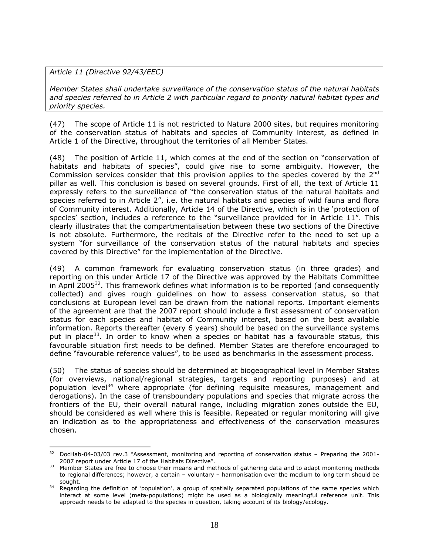*Article 11 (Directive 92/43/EEC)* 

1

*Member States shall undertake surveillance of the conservation status of the natural habitats and species referred to in Article 2 with particular regard to priority natural habitat types and priority species.* 

(47) The scope of Article 11 is not restricted to Natura 2000 sites, but requires monitoring of the conservation status of habitats and species of Community interest, as defined in Article 1 of the Directive, throughout the territories of all Member States.

(48) The position of Article 11, which comes at the end of the section on "conservation of habitats and habitats of species", could give rise to some ambiguity. However, the Commission services consider that this provision applies to the species covered by the 2<sup>nd</sup> pillar as well. This conclusion is based on several grounds. First of all, the text of Article 11 expressly refers to the surveillance of "the conservation status of the natural habitats and species referred to in Article 2", i.e. the natural habitats and species of wild fauna and flora of Community interest. Additionally, Article 14 of the Directive, which is in the 'protection of species' section, includes a reference to the "surveillance provided for in Article 11". This clearly illustrates that the compartmentalisation between these two sections of the Directive is not absolute. Furthermore, the recitals of the Directive refer to the need to set up a system "for surveillance of the conservation status of the natural habitats and species covered by this Directive" for the implementation of the Directive.

(49) A common framework for evaluating conservation status (in three grades) and reporting on this under Article 17 of the Directive was approved by the Habitats Committee in April 2005 $32$ . This framework defines what information is to be reported (and consequently collected) and gives rough guidelines on how to assess conservation status, so that conclusions at European level can be drawn from the national reports. Important elements of the agreement are that the 2007 report should include a first assessment of conservation status for each species and habitat of Community interest, based on the best available information. Reports thereafter (every 6 years) should be based on the surveillance systems put in place<sup>33</sup>. In order to know when a species or habitat has a favourable status, this favourable situation first needs to be defined. Member States are therefore encouraged to define "favourable reference values", to be used as benchmarks in the assessment process.

(50) The status of species should be determined at biogeographical level in Member States (for overviews, national/regional strategies, targets and reporting purposes) and at population level<sup>34</sup> where appropriate (for defining requisite measures, management and derogations). In the case of transboundary populations and species that migrate across the frontiers of the EU, their overall natural range, including migration zones outside the EU, should be considered as well where this is feasible. Repeated or regular monitoring will give an indication as to the appropriateness and effectiveness of the conservation measures chosen.

<sup>32</sup> DocHab-04-03/03 rev.3 "Assessment, monitoring and reporting of conservation status – Preparing the 2001-<br>2007 report under Article 17 of the Habitats Directive".

<sup>&</sup>lt;sup>33</sup> Member States are free to choose their means and methods of gathering data and to adapt monitoring methods to regional differences; however, a certain – voluntary – harmonisation over the medium to long term should be sought.<br><sup>34</sup> Regarding the definition of 'population', a group of spatially separated populations of the same species which

interact at some level (meta-populations) might be used as a biologically meaningful reference unit. This approach needs to be adapted to the species in question, taking account of its biology/ecology.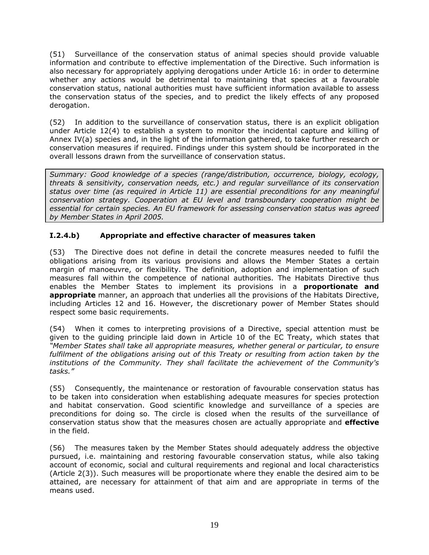(51) Surveillance of the conservation status of animal species should provide valuable information and contribute to effective implementation of the Directive. Such information is also necessary for appropriately applying derogations under Article 16: in order to determine whether any actions would be detrimental to maintaining that species at a favourable conservation status, national authorities must have sufficient information available to assess the conservation status of the species, and to predict the likely effects of any proposed derogation.

(52) In addition to the surveillance of conservation status, there is an explicit obligation under Article 12(4) to establish a system to monitor the incidental capture and killing of Annex IV(a) species and, in the light of the information gathered, to take further research or conservation measures if required. Findings under this system should be incorporated in the overall lessons drawn from the surveillance of conservation status.

*Summary: Good knowledge of a species (range/distribution, occurrence, biology, ecology, threats & sensitivity, conservation needs, etc.) and regular surveillance of its conservation status over time (as required in Article 11) are essential preconditions for any meaningful conservation strategy. Cooperation at EU level and transboundary cooperation might be essential for certain species. An EU framework for assessing conservation status was agreed by Member States in April 2005.* 

# **I.2.4.b) Appropriate and effective character of measures taken**

(53) The Directive does not define in detail the concrete measures needed to fulfil the obligations arising from its various provisions and allows the Member States a certain margin of manoeuvre, or flexibility. The definition, adoption and implementation of such measures fall within the competence of national authorities. The Habitats Directive thus enables the Member States to implement its provisions in a **proportionate and appropriate** manner, an approach that underlies all the provisions of the Habitats Directive, including Articles 12 and 16. However, the discretionary power of Member States should respect some basic requirements.

(54) When it comes to interpreting provisions of a Directive, special attention must be given to the guiding principle laid down in Article 10 of the EC Treaty, which states that *"Member States shall take all appropriate measures, whether general or particular, to ensure fulfilment of the obligations arising out of this Treaty or resulting from action taken by the institutions of the Community. They shall facilitate the achievement of the Community's tasks."*

(55) Consequently, the maintenance or restoration of favourable conservation status has to be taken into consideration when establishing adequate measures for species protection and habitat conservation. Good scientific knowledge and surveillance of a species are preconditions for doing so. The circle is closed when the results of the surveillance of conservation status show that the measures chosen are actually appropriate and **effective** in the field.

(56) The measures taken by the Member States should adequately address the objective pursued, i.e. maintaining and restoring favourable conservation status, while also taking account of economic, social and cultural requirements and regional and local characteristics (Article 2(3)). Such measures will be proportionate where they enable the desired aim to be attained, are necessary for attainment of that aim and are appropriate in terms of the means used.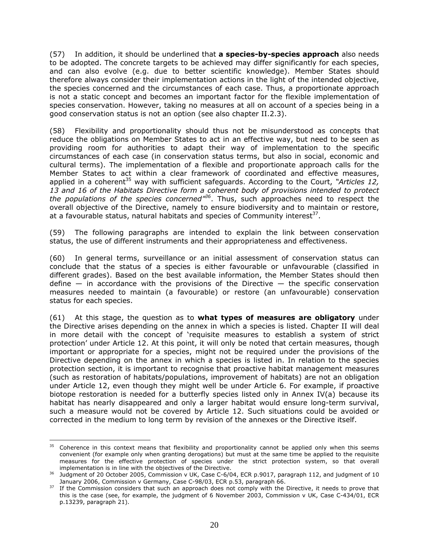(57) In addition, it should be underlined that **a species-by-species approach** also needs to be adopted. The concrete targets to be achieved may differ significantly for each species, and can also evolve (e.g. due to better scientific knowledge). Member States should therefore always consider their implementation actions in the light of the intended objective, the species concerned and the circumstances of each case. Thus, a proportionate approach is not a static concept and becomes an important factor for the flexible implementation of species conservation. However, taking no measures at all on account of a species being in a good conservation status is not an option (see also chapter II.2.3).

(58) Flexibility and proportionality should thus not be misunderstood as concepts that reduce the obligations on Member States to act in an effective way, but need to be seen as providing room for authorities to adapt their way of implementation to the specific circumstances of each case (in conservation status terms, but also in social, economic and cultural terms). The implementation of a flexible and proportionate approach calls for the Member States to act within a clear framework of coordinated and effective measures, applied in a coherent<sup>35</sup> way with sufficient safeguards. According to the Court, "Articles 12, *13 and 16 of the Habitats Directive form a coherent body of provisions intended to protect the populations of the species concerned"36*. Thus, such approaches need to respect the overall objective of the Directive, namely to ensure biodiversity and to maintain or restore, at a favourable status, natural habitats and species of Community interest<sup>37</sup>.

(59) The following paragraphs are intended to explain the link between conservation status, the use of different instruments and their appropriateness and effectiveness.

(60) In general terms, surveillance or an initial assessment of conservation status can conclude that the status of a species is either favourable or unfavourable (classified in different grades). Based on the best available information, the Member States should then define  $-$  in accordance with the provisions of the Directive  $-$  the specific conservation measures needed to maintain (a favourable) or restore (an unfavourable) conservation status for each species.

(61) At this stage, the question as to **what types of measures are obligatory** under the Directive arises depending on the annex in which a species is listed. Chapter II will deal in more detail with the concept of 'requisite measures to establish a system of strict protection' under Article 12. At this point, it will only be noted that certain measures, though important or appropriate for a species, might not be required under the provisions of the Directive depending on the annex in which a species is listed in. In relation to the species protection section, it is important to recognise that proactive habitat management measures (such as restoration of habitats/populations, improvement of habitats) are not an obligation under Article 12, even though they might well be under Article 6. For example, if proactive biotope restoration is needed for a butterfly species listed only in Annex IV(a) because its habitat has nearly disappeared and only a larger habitat would ensure long-term survival, such a measure would not be covered by Article 12. Such situations could be avoided or corrected in the medium to long term by revision of the annexes or the Directive itself.

1

<sup>&</sup>lt;sup>35</sup> Coherence in this context means that flexibility and proportionality cannot be applied only when this seems convenient (for example only when granting derogations) but must at the same time be applied to the requisite measures for the effective protection of species under the strict protection system, so that overall

implementation is in line with the objectives of the Directive.<br>36 Judgment of 20 October 2005, Commission v UK, Case C-6/04, ECR p.9017, paragraph 112, and judgment of 10<br>January 2006, Commission v Germany, Case C-98/03,

If the Commission considers that such an approach does not comply with the Directive, it needs to prove that this is the case (see, for example, the judgment of 6 November 2003, Commission v UK, Case C-434/01, ECR p.13239, paragraph 21).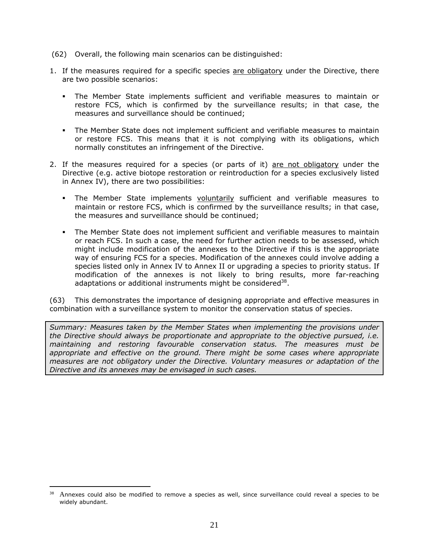- (62) Overall, the following main scenarios can be distinguished:
- 1. If the measures required for a specific species are obligatory under the Directive, there are two possible scenarios:
	- The Member State implements sufficient and verifiable measures to maintain or restore FCS, which is confirmed by the surveillance results; in that case, the measures and surveillance should be continued;
	- The Member State does not implement sufficient and verifiable measures to maintain or restore FCS. This means that it is not complying with its obligations, which normally constitutes an infringement of the Directive.
- 2. If the measures required for a species (or parts of it) are not obligatory under the Directive (e.g. active biotope restoration or reintroduction for a species exclusively listed in Annex IV), there are two possibilities:
	- The Member State implements voluntarily sufficient and verifiable measures to maintain or restore FCS, which is confirmed by the surveillance results; in that case, the measures and surveillance should be continued;
	- The Member State does not implement sufficient and verifiable measures to maintain or reach FCS. In such a case, the need for further action needs to be assessed, which might include modification of the annexes to the Directive if this is the appropriate way of ensuring FCS for a species. Modification of the annexes could involve adding a species listed only in Annex IV to Annex II or upgrading a species to priority status. If modification of the annexes is not likely to bring results, more far-reaching adaptations or additional instruments might be considered $38$ .

(63) This demonstrates the importance of designing appropriate and effective measures in combination with a surveillance system to monitor the conservation status of species.

*Summary: Measures taken by the Member States when implementing the provisions under the Directive should always be proportionate and appropriate to the objective pursued, i.e. maintaining and restoring favourable conservation status. The measures must be appropriate and effective on the ground. There might be some cases where appropriate measures are not obligatory under the Directive. Voluntary measures or adaptation of the Directive and its annexes may be envisaged in such cases.*

1

<sup>&</sup>lt;sup>38</sup> Annexes could also be modified to remove a species as well, since surveillance could reveal a species to be widely abundant.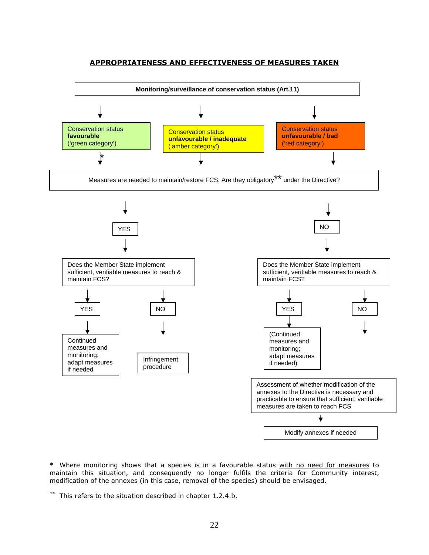### **APPROPRIATENESS AND EFFECTIVENESS OF MEASURES TAKEN**



\* Where monitoring shows that a species is in a favourable status with no need for measures to maintain this situation, and consequently no longer fulfils the criteria for Community interest, modification of the annexes (in this case, removal of the species) should be envisaged.

\*\* This refers to the situation described in chapter 1.2.4.b.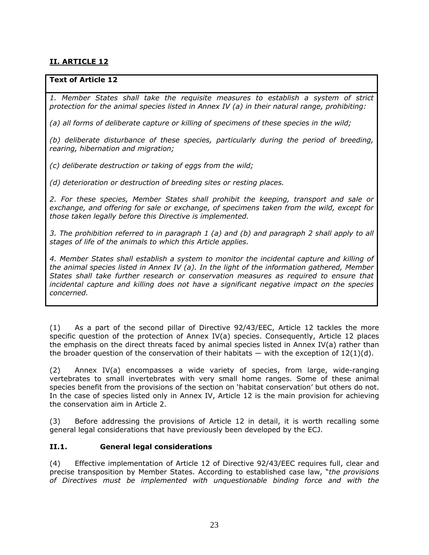# **II. ARTICLE 12**

## **Text of Article 12**

*1. Member States shall take the requisite measures to establish a system of strict protection for the animal species listed in Annex IV (a) in their natural range, prohibiting:* 

*(a) all forms of deliberate capture or killing of specimens of these species in the wild;* 

*(b) deliberate disturbance of these species, particularly during the period of breeding, rearing, hibernation and migration;* 

*(c) deliberate destruction or taking of eggs from the wild;* 

*(d) deterioration or destruction of breeding sites or resting places.* 

*2. For these species, Member States shall prohibit the keeping, transport and sale or exchange, and offering for sale or exchange, of specimens taken from the wild, except for those taken legally before this Directive is implemented.* 

*3. The prohibition referred to in paragraph 1 (a) and (b) and paragraph 2 shall apply to all stages of life of the animals to which this Article applies.* 

*4. Member States shall establish a system to monitor the incidental capture and killing of the animal species listed in Annex IV (a). In the light of the information gathered, Member States shall take further research or conservation measures as required to ensure that incidental capture and killing does not have a significant negative impact on the species concerned.* 

(1) As a part of the second pillar of Directive 92/43/EEC, Article 12 tackles the more specific question of the protection of Annex IV(a) species. Consequently, Article 12 places the emphasis on the direct threats faced by animal species listed in Annex IV(a) rather than the broader question of the conservation of their habitats  $-$  with the exception of  $12(1)(d)$ .

(2) Annex IV(a) encompasses a wide variety of species, from large, wide-ranging vertebrates to small invertebrates with very small home ranges. Some of these animal species benefit from the provisions of the section on 'habitat conservation' but others do not. In the case of species listed only in Annex IV, Article 12 is the main provision for achieving the conservation aim in Article 2.

(3) Before addressing the provisions of Article 12 in detail, it is worth recalling some general legal considerations that have previously been developed by the ECJ.

## **II.1. General legal considerations**

(4) Effective implementation of Article 12 of Directive 92/43/EEC requires full, clear and precise transposition by Member States. According to established case law, "*the provisions of Directives must be implemented with unquestionable binding force and with the*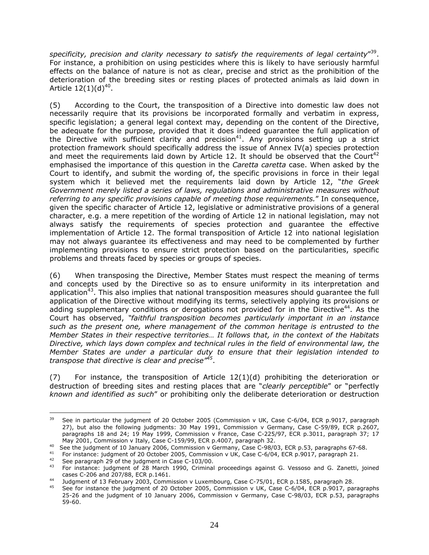*specificity, precision and clarity necessary to satisfy the requirements of legal certainty*"39. For instance, a prohibition on using pesticides where this is likely to have seriously harmful effects on the balance of nature is not as clear, precise and strict as the prohibition of the deterioration of the breeding sites or resting places of protected animals as laid down in Article  $12(1)(d)^{40}$ .

(5) According to the Court, the transposition of a Directive into domestic law does not necessarily require that its provisions be incorporated formally and verbatim in express, specific legislation; a general legal context may, depending on the content of the Directive, be adequate for the purpose, provided that it does indeed guarantee the full application of the Directive with sufficient clarity and precision<sup>41</sup>. Any provisions setting up a strict protection framework should specifically address the issue of Annex IV(a) species protection and meet the requirements laid down by Article 12. It should be observed that the Court<sup>42</sup> emphasised the importance of this question in the *Caretta caretta* case. When asked by the Court to identify, and submit the wording of, the specific provisions in force in their legal system which it believed met the requirements laid down by Article 12, "*the Greek Government merely listed a series of laws, regulations and administrative measures without referring to any specific provisions capable of meeting those requirements.*" In consequence, given the specific character of Article 12, legislative or administrative provisions of a general character, e.g. a mere repetition of the wording of Article 12 in national legislation, may not always satisfy the requirements of species protection and guarantee the effective implementation of Article 12. The formal transposition of Article 12 into national legislation may not always guarantee its effectiveness and may need to be complemented by further implementing provisions to ensure strict protection based on the particularities, specific problems and threats faced by species or groups of species.

(6) When transposing the Directive, Member States must respect the meaning of terms and concepts used by the Directive so as to ensure uniformity in its interpretation and application<sup>43</sup>. This also implies that national transposition measures should quarantee the full application of the Directive without modifying its terms, selectively applying its provisions or adding supplementary conditions or derogations not provided for in the Directive<sup>44</sup>. As the Court has observed, *"faithful transposition becomes particularly important in an instance such as the present one, where management of the common heritage is entrusted to the Member States in their respective territories… It follows that, in the context of the Habitats Directive, which lays down complex and technical rules in the field of environmental law, the Member States are under a particular duty to ensure that their legislation intended to transpose that directive is clear and precise"45*.

(7) For instance, the transposition of Article 12(1)(d) prohibiting the deterioration or destruction of breeding sites and resting places that are "*clearly perceptible*" or "perfectly *known and identified as such*" or prohibiting only the deliberate deterioration or destruction

<sup>39</sup> See in particular the judgment of 20 October 2005 (Commission v UK, Case C-6/04, ECR p.9017, paragraph 27), but also the following judgments: 30 May 1991, Commission v Germany, Case C-59/89, ECR p.2607, paragraphs 18 and 24; 19 May 1999, Commission v France, Case C-225/97, ECR p.3011, paragraph 37; 17

May 2001, Commission v Italy, Case C-159/99, ECR p.4007, paragraph 32.<br><sup>40</sup> See the judgment of 10 January 2006, Commission v Germany, Case C-98/03, ECR p.53, paragraphs 67-68.<br><sup>41</sup> For instance: judgment of 20 October 200

<sup>&</sup>lt;sup>42</sup> See paragraph 29 of the judgment in Case C-103/00.<br><sup>43</sup> For instance: judgment of 28 March 1990, Criminal proceedings against G. Vessoso and G. Zanetti, joined

cases C-206 and 207/88, ECR p.1461.<br><sup>44</sup> Judgment of 13 February 2003, Commission v Luxembourg, Case C-75/01, ECR p.1585, paragraph 28.<br><sup>45</sup> See for instance the judgment of 20 October 2005, Commission v UK, Case C-6/04, E 25-26 and the judgment of 10 January 2006, Commission v Germany, Case C-98/03, ECR p.53, paragraphs 59-60.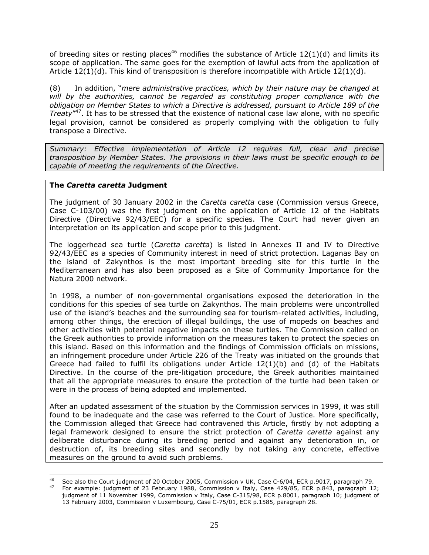of breeding sites or resting places<sup>46</sup> modifies the substance of Article  $12(1)(d)$  and limits its scope of application. The same goes for the exemption of lawful acts from the application of Article  $12(1)(d)$ . This kind of transposition is therefore incompatible with Article  $12(1)(d)$ .

(8) In addition, "*mere administrative practices, which by their nature may be changed at will by the authorities, cannot be regarded as constituting proper compliance with the obligation on Member States to which a Directive is addressed, pursuant to Article 189 of the Treaty*"47. It has to be stressed that the existence of national case law alone, with no specific legal provision, cannot be considered as properly complying with the obligation to fully transpose a Directive.

*Summary: Effective implementation of Article 12 requires full, clear and precise transposition by Member States. The provisions in their laws must be specific enough to be capable of meeting the requirements of the Directive.* 

#### **The** *Caretta caretta* **Judgment**

The judgment of 30 January 2002 in the *Caretta caretta* case (Commission versus Greece, Case C-103/00) was the first judgment on the application of Article 12 of the Habitats Directive (Directive 92/43/EEC) for a specific species. The Court had never given an interpretation on its application and scope prior to this judgment.

The loggerhead sea turtle (*Caretta caretta*) is listed in Annexes II and IV to Directive 92/43/EEC as a species of Community interest in need of strict protection. Laganas Bay on the island of Zakynthos is the most important breeding site for this turtle in the Mediterranean and has also been proposed as a Site of Community Importance for the Natura 2000 network.

In 1998, a number of non-governmental organisations exposed the deterioration in the conditions for this species of sea turtle on Zakynthos. The main problems were uncontrolled use of the island's beaches and the surrounding sea for tourism-related activities, including, among other things, the erection of illegal buildings, the use of mopeds on beaches and other activities with potential negative impacts on these turtles. The Commission called on the Greek authorities to provide information on the measures taken to protect the species on this island. Based on this information and the findings of Commission officials on missions, an infringement procedure under Article 226 of the Treaty was initiated on the grounds that Greece had failed to fulfil its obligations under Article  $12(1)(b)$  and (d) of the Habitats Directive. In the course of the pre-litigation procedure, the Greek authorities maintained that all the appropriate measures to ensure the protection of the turtle had been taken or were in the process of being adopted and implemented.

After an updated assessment of the situation by the Commission services in 1999, it was still found to be inadequate and the case was referred to the Court of Justice. More specifically, the Commission alleged that Greece had contravened this Article, firstly by not adopting a legal framework designed to ensure the strict protection of *Caretta caretta* against any deliberate disturbance during its breeding period and against any deterioration in, or destruction of, its breeding sites and secondly by not taking any concrete, effective measures on the ground to avoid such problems.

<sup>46</sup> See also the Court judgment of 20 October 2005, Commission v UK, Case C-6/04, ECR p.9017, paragraph 79. For example: judgment of 23 February 1988, Commission v Italy, Case 429/85, ECR p.843, paragraph 12;

judgment of 11 November 1999, Commission v Italy, Case C-315/98, ECR p.8001, paragraph 10; judgment of 13 February 2003, Commission v Luxembourg, Case C-75/01, ECR p.1585, paragraph 28.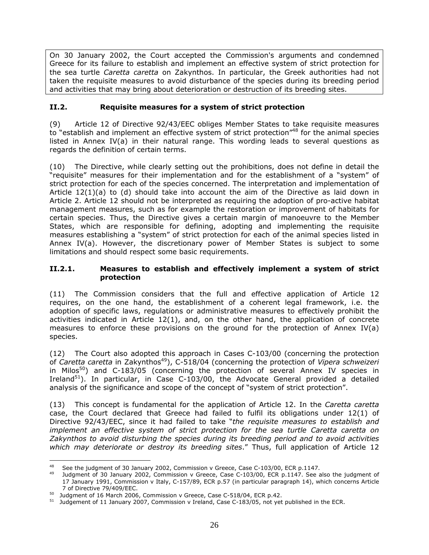On 30 January 2002, the Court accepted the Commission's arguments and condemned Greece for its failure to establish and implement an effective system of strict protection for the sea turtle *Caretta caretta* on Zakynthos. In particular, the Greek authorities had not taken the requisite measures to avoid disturbance of the species during its breeding period and activities that may bring about deterioration or destruction of its breeding sites.

# **II.2. Requisite measures for a system of strict protection**

(9) Article 12 of Directive 92/43/EEC obliges Member States to take requisite measures to "establish and implement an effective system of strict protection"<sup>48</sup> for the animal species listed in Annex IV(a) in their natural range. This wording leads to several questions as regards the definition of certain terms.

(10) The Directive, while clearly setting out the prohibitions, does not define in detail the "requisite" measures for their implementation and for the establishment of a "system" of strict protection for each of the species concerned. The interpretation and implementation of Article 12(1)(a) to (d) should take into account the aim of the Directive as laid down in Article 2. Article 12 should not be interpreted as requiring the adoption of pro-active habitat management measures, such as for example the restoration or improvement of habitats for certain species. Thus, the Directive gives a certain margin of manoeuvre to the Member States, which are responsible for defining, adopting and implementing the requisite measures establishing a "system" of strict protection for each of the animal species listed in Annex IV(a). However, the discretionary power of Member States is subject to some limitations and should respect some basic requirements.

## **II.2.1. Measures to establish and effectively implement a system of strict protection**

(11) The Commission considers that the full and effective application of Article 12 requires, on the one hand, the establishment of a coherent legal framework, i.e. the adoption of specific laws, regulations or administrative measures to effectively prohibit the activities indicated in Article 12(1), and, on the other hand, the application of concrete measures to enforce these provisions on the ground for the protection of Annex IV(a) species.

(12) The Court also adopted this approach in Cases C-103/00 (concerning the protection of *Caretta caretta* in Zakynthos<sup>49</sup>), C-518/04 (concerning the protection of *Vipera schweizeri* in Milos<sup>50</sup>) and C-183/05 (concerning the protection of several Annex IV species in Ireland<sup>51</sup>). In particular, in Case C-103/00, the Advocate General provided a detailed analysis of the significance and scope of the concept of "system of strict protection".

(13) This concept is fundamental for the application of Article 12. In the *Caretta caretta* case, the Court declared that Greece had failed to fulfil its obligations under 12(1) of Directive 92/43/EEC, since it had failed to take "*the requisite measures to establish and implement an effective system of strict protection for the sea turtle Caretta caretta on Zakynthos to avoid disturbing the species during its breeding period and to avoid activities which may deteriorate or destroy its breeding sites*." Thus, full application of Article 12

<sup>1</sup> 

<sup>&</sup>lt;sup>48</sup> See the judgment of 30 January 2002, Commission v Greece, Case C-103/00, ECR p.1147.<br><sup>49</sup> Judgment of 30 January 2002, Commission v Greece, Case C-103/00, ECR p.1147. See also the judgment of 17 January 1991, Commission v Italy, C-157/89, ECR p.57 (in particular paragraph 14), which concerns Article 7 of Directive 79/409/EEC.<br><sup>50</sup> Judgment of 16 March 2006, Commission v Greece, Case C-518/04, ECR p.42.<br><sup>51</sup> Judgement of 11 January 2007, Commission v Ireland, Case C-183/05, not yet published in the ECR.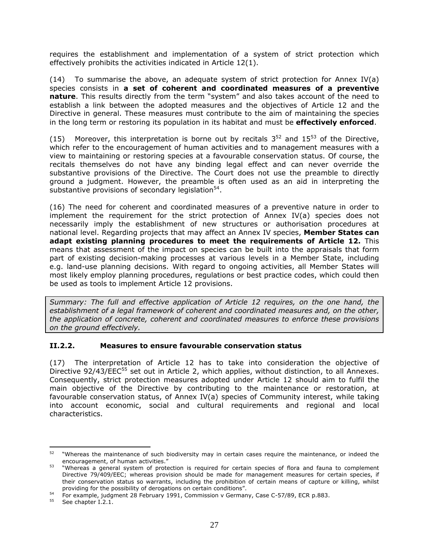requires the establishment and implementation of a system of strict protection which effectively prohibits the activities indicated in Article 12(1).

(14) To summarise the above, an adequate system of strict protection for Annex IV(a) species consists in **a set of coherent and coordinated measures of a preventive nature**. This results directly from the term "system" and also takes account of the need to establish a link between the adopted measures and the objectives of Article 12 and the Directive in general. These measures must contribute to the aim of maintaining the species in the long term or restoring its population in its habitat and must be **effectively enforced**.

(15) Moreover, this interpretation is borne out by recitals  $3^{52}$  and  $15^{53}$  of the Directive, which refer to the encouragement of human activities and to management measures with a view to maintaining or restoring species at a favourable conservation status. Of course, the recitals themselves do not have any binding legal effect and can never override the substantive provisions of the Directive. The Court does not use the preamble to directly ground a judgment. However, the preamble is often used as an aid in interpreting the substantive provisions of secondary legislation<sup>54</sup>.

(16) The need for coherent and coordinated measures of a preventive nature in order to implement the requirement for the strict protection of Annex IV(a) species does not necessarily imply the establishment of new structures or authorisation procedures at national level. Regarding projects that may affect an Annex IV species, **Member States can adapt existing planning procedures to meet the requirements of Article 12.** This means that assessment of the impact on species can be built into the appraisals that form part of existing decision-making processes at various levels in a Member State, including e.g. land-use planning decisions. With regard to ongoing activities, all Member States will most likely employ planning procedures, regulations or best practice codes, which could then be used as tools to implement Article 12 provisions.

*Summary: The full and effective application of Article 12 requires, on the one hand, the establishment of a legal framework of coherent and coordinated measures and, on the other, the application of concrete, coherent and coordinated measures to enforce these provisions on the ground effectively.* 

#### **II.2.2. Measures to ensure favourable conservation status**

(17) The interpretation of Article 12 has to take into consideration the objective of Directive 92/43/EEC<sup>55</sup> set out in Article 2, which applies, without distinction, to all Annexes. Consequently, strict protection measures adopted under Article 12 should aim to fulfil the main objective of the Directive by contributing to the maintenance or restoration, at favourable conservation status, of Annex IV(a) species of Community interest, while taking into account economic, social and cultural requirements and regional and local characteristics.

1

 $52$  "Whereas the maintenance of such biodiversity may in certain cases require the maintenance, or indeed the encouragement, of human activities."

encouragement, of human activities." 53 "Whereas a general system of protection is required for certain species of flora and fauna to complement Directive 79/409/EEC; whereas provision should be made for management measures for certain species, if their conservation status so warrants, including the prohibition of certain means of capture or killing, whilst providing for the possibility of derogations on certain conditions".

providing for the possibility of derogation<br>  $54$  For example, judgment 28 February 1991, Commission v Germany, Case C-57/89, ECR p.883.<br>
See chapter I.2.1.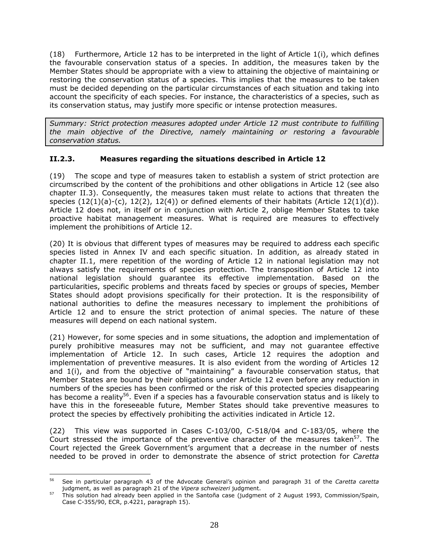(18) Furthermore, Article 12 has to be interpreted in the light of Article 1(i), which defines the favourable conservation status of a species. In addition, the measures taken by the Member States should be appropriate with a view to attaining the objective of maintaining or restoring the conservation status of a species. This implies that the measures to be taken must be decided depending on the particular circumstances of each situation and taking into account the specificity of each species. For instance, the characteristics of a species, such as its conservation status, may justify more specific or intense protection measures.

*Summary: Strict protection measures adopted under Article 12 must contribute to fulfilling the main objective of the Directive, namely maintaining or restoring a favourable conservation status.* 

# **II.2.3. Measures regarding the situations described in Article 12**

(19) The scope and type of measures taken to establish a system of strict protection are circumscribed by the content of the prohibitions and other obligations in Article 12 (see also chapter II.3). Consequently, the measures taken must relate to actions that threaten the species  $(12(1)(a)-(c), 12(2), 12(4))$  or defined elements of their habitats  $(Article 12(1)(d)).$ Article 12 does not, in itself or in conjunction with Article 2, oblige Member States to take proactive habitat management measures. What is required are measures to effectively implement the prohibitions of Article 12.

(20) It is obvious that different types of measures may be required to address each specific species listed in Annex IV and each specific situation. In addition, as already stated in chapter II.1, mere repetition of the wording of Article 12 in national legislation may not always satisfy the requirements of species protection. The transposition of Article 12 into national legislation should guarantee its effective implementation. Based on the particularities, specific problems and threats faced by species or groups of species, Member States should adopt provisions specifically for their protection. It is the responsibility of national authorities to define the measures necessary to implement the prohibitions of Article 12 and to ensure the strict protection of animal species. The nature of these measures will depend on each national system.

(21) However, for some species and in some situations, the adoption and implementation of purely prohibitive measures may not be sufficient, and may not guarantee effective implementation of Article 12. In such cases, Article 12 requires the adoption and implementation of preventive measures. It is also evident from the wording of Articles 12 and 1(i), and from the objective of "maintaining" a favourable conservation status, that Member States are bound by their obligations under Article 12 even before any reduction in numbers of the species has been confirmed or the risk of this protected species disappearing has become a reality<sup>56</sup>. Even if a species has a favourable conservation status and is likely to have this in the foreseeable future, Member States should take preventive measures to protect the species by effectively prohibiting the activities indicated in Article 12.

(22) This view was supported in Cases C-103/00, C-518/04 and C-183/05, where the Court stressed the importance of the preventive character of the measures taken<sup>57</sup>. The Court rejected the Greek Government's argument that a decrease in the number of nests needed to be proved in order to demonstrate the absence of strict protection for *Caretta* 

<sup>&</sup>lt;u>.</u> 56 See in particular paragraph 43 of the Advocate General's opinion and paragraph 31 of the *Caretta caretta*

<sup>&</sup>lt;sup>57</sup> This solution had already been applied in the Santoña case (judgment of 2 August 1993, Commission/Spain, Case C-355/90, ECR, p.4221, paragraph 15).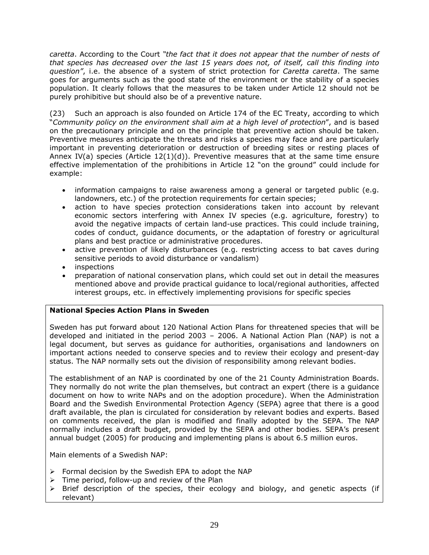*caretta*. According to the Court *"the fact that it does not appear that the number of nests of that species has decreased over the last 15 years does not, of itself, call this finding into question"*, i.e. the absence of a system of strict protection for *Caretta caretta*. The same goes for arguments such as the good state of the environment or the stability of a species population. It clearly follows that the measures to be taken under Article 12 should not be purely prohibitive but should also be of a preventive nature.

(23) Such an approach is also founded on Article 174 of the EC Treaty, according to which "*Community policy on the environment shall aim at a high level of protection*", and is based on the precautionary principle and on the principle that preventive action should be taken. Preventive measures anticipate the threats and risks a species may face and are particularly important in preventing deterioration or destruction of breeding sites or resting places of Annex IV(a) species (Article  $12(1)(d)$ ). Preventive measures that at the same time ensure effective implementation of the prohibitions in Article 12 "on the ground" could include for example:

- information campaigns to raise awareness among a general or targeted public (e.g. landowners, etc.) of the protection requirements for certain species;
- action to have species protection considerations taken into account by relevant economic sectors interfering with Annex IV species (e.g. agriculture, forestry) to avoid the negative impacts of certain land-use practices. This could include training, codes of conduct, guidance documents, or the adaptation of forestry or agricultural plans and best practice or administrative procedures.
- active prevention of likely disturbances (e.g. restricting access to bat caves during sensitive periods to avoid disturbance or vandalism)
- inspections
- preparation of national conservation plans, which could set out in detail the measures mentioned above and provide practical guidance to local/regional authorities, affected interest groups, etc. in effectively implementing provisions for specific species

## **National Species Action Plans in Sweden**

Sweden has put forward about 120 National Action Plans for threatened species that will be developed and initiated in the period 2003 – 2006. A National Action Plan (NAP) is not a legal document, but serves as guidance for authorities, organisations and landowners on important actions needed to conserve species and to review their ecology and present-day status. The NAP normally sets out the division of responsibility among relevant bodies.

The establishment of an NAP is coordinated by one of the 21 County Administration Boards. They normally do not write the plan themselves, but contract an expert (there is a guidance document on how to write NAPs and on the adoption procedure). When the Administration Board and the Swedish Environmental Protection Agency (SEPA) agree that there is a good draft available, the plan is circulated for consideration by relevant bodies and experts. Based on comments received, the plan is modified and finally adopted by the SEPA. The NAP normally includes a draft budget, provided by the SEPA and other bodies. SEPA's present annual budget (2005) for producing and implementing plans is about 6.5 million euros.

Main elements of a Swedish NAP:

- $\triangleright$  Formal decision by the Swedish EPA to adopt the NAP
- $\triangleright$  Time period, follow-up and review of the Plan
- $\triangleright$  Brief description of the species, their ecology and biology, and genetic aspects (if relevant)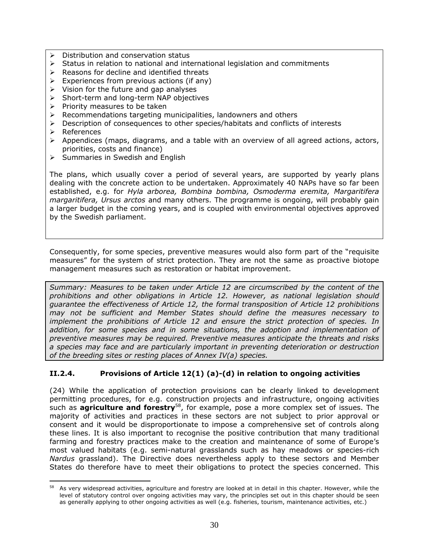- $\triangleright$  Distribution and conservation status
- $\triangleright$  Status in relation to national and international legislation and commitments
- $\triangleright$  Reasons for decline and identified threats
- $\triangleright$  Experiences from previous actions (if any)
- $\triangleright$  Vision for the future and gap analyses
- ¾ Short-term and long-term NAP objectives
- $\triangleright$  Priority measures to be taken
- $\triangleright$  Recommendations targeting municipalities, landowners and others
- ¾ Description of consequences to other species/habitats and conflicts of interests
- ¾ References
- $\triangleright$  Appendices (maps, diagrams, and a table with an overview of all agreed actions, actors, priorities, costs and finance)
- $\triangleright$  Summaries in Swedish and English

The plans, which usually cover a period of several years, are supported by yearly plans dealing with the concrete action to be undertaken. Approximately 40 NAPs have so far been established, e.g. for *Hyla arborea, Bombina bombina, Osmoderma eremita, Margaritifera margaritifera, Ursus arctos* and many others. The programme is ongoing, will probably gain a larger budget in the coming years, and is coupled with environmental objectives approved by the Swedish parliament.

Consequently, for some species, preventive measures would also form part of the "requisite measures" for the system of strict protection. They are not the same as proactive biotope management measures such as restoration or habitat improvement.

*Summary: Measures to be taken under Article 12 are circumscribed by the content of the prohibitions and other obligations in Article 12. However, as national legislation should guarantee the effectiveness of Article 12, the formal transposition of Article 12 prohibitions may not be sufficient and Member States should define the measures necessary to implement the prohibitions of Article 12 and ensure the strict protection of species. In addition, for some species and in some situations, the adoption and implementation of preventive measures may be required. Preventive measures anticipate the threats and risks a species may face and are particularly important in preventing deterioration or destruction of the breeding sites or resting places of Annex IV(a) species.* 

## **II.2.4. Provisions of Article 12(1) (a)-(d) in relation to ongoing activities**

(24) While the application of protection provisions can be clearly linked to development permitting procedures, for e.g. construction projects and infrastructure, ongoing activities such as **agriculture and forestry**58, for example, pose a more complex set of issues. The majority of activities and practices in these sectors are not subject to prior approval or consent and it would be disproportionate to impose a comprehensive set of controls along these lines. It is also important to recognise the positive contribution that many traditional farming and forestry practices make to the creation and maintenance of some of Europe's most valued habitats (e.g. semi-natural grasslands such as hay meadows or species-rich *Nardus* grassland). The Directive does nevertheless apply to these sectors and Member States do therefore have to meet their obligations to protect the species concerned. This

<sup>&</sup>lt;u>.</u> <sup>58</sup> As very widespread activities, agriculture and forestry are looked at in detail in this chapter. However, while the level of statutory control over ongoing activities may vary, the principles set out in this chapter should be seen as generally applying to other ongoing activities as well (e.g. fisheries, tourism, maintenance activities, etc.)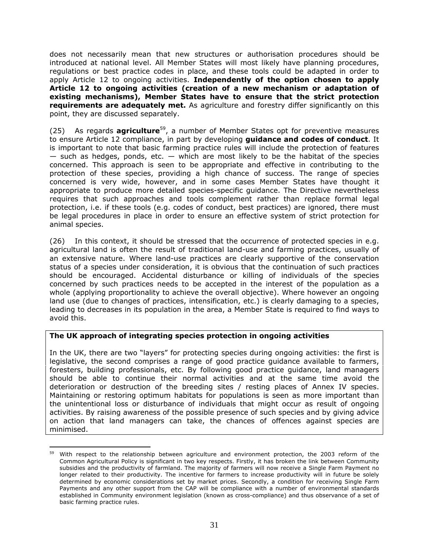does not necessarily mean that new structures or authorisation procedures should be introduced at national level. All Member States will most likely have planning procedures, regulations or best practice codes in place, and these tools could be adapted in order to apply Article 12 to ongoing activities. **Independently of the option chosen to apply Article 12 to ongoing activities (creation of a new mechanism or adaptation of existing mechanisms), Member States have to ensure that the strict protection requirements are adequately met.** As agriculture and forestry differ significantly on this point, they are discussed separately.

(25) As regards **agriculture**59, a number of Member States opt for preventive measures to ensure Article 12 compliance, in part by developing **guidance and codes of conduct**. It is important to note that basic farming practice rules will include the protection of features  $-$  such as hedges, ponds, etc.  $-$  which are most likely to be the habitat of the species concerned. This approach is seen to be appropriate and effective in contributing to the protection of these species, providing a high chance of success. The range of species concerned is very wide, however, and in some cases Member States have thought it appropriate to produce more detailed species-specific guidance. The Directive nevertheless requires that such approaches and tools complement rather than replace formal legal protection, i.e. if these tools (e.g. codes of conduct, best practices) are ignored, there must be legal procedures in place in order to ensure an effective system of strict protection for animal species.

(26) In this context, it should be stressed that the occurrence of protected species in e.g. agricultural land is often the result of traditional land-use and farming practices, usually of an extensive nature. Where land-use practices are clearly supportive of the conservation status of a species under consideration, it is obvious that the continuation of such practices should be encouraged. Accidental disturbance or killing of individuals of the species concerned by such practices needs to be accepted in the interest of the population as a whole (applying proportionality to achieve the overall objective). Where however an ongoing land use (due to changes of practices, intensification, etc.) is clearly damaging to a species, leading to decreases in its population in the area, a Member State is required to find ways to avoid this.

#### **The UK approach of integrating species protection in ongoing activities**

1

In the UK, there are two "layers" for protecting species during ongoing activities: the first is legislative, the second comprises a range of good practice guidance available to farmers, foresters, building professionals, etc. By following good practice guidance, land managers should be able to continue their normal activities and at the same time avoid the deterioration or destruction of the breeding sites / resting places of Annex IV species. Maintaining or restoring optimum habitats for populations is seen as more important than the unintentional loss or disturbance of individuals that might occur as result of ongoing activities. By raising awareness of the possible presence of such species and by giving advice on action that land managers can take, the chances of offences against species are minimised.

<sup>&</sup>lt;sup>59</sup> With respect to the relationship between agriculture and environment protection, the 2003 reform of the Common Agricultural Policy is significant in two key respects. Firstly, it has broken the link between Community subsidies and the productivity of farmland. The majority of farmers will now receive a Single Farm Payment no longer related to their productivity. The incentive for farmers to increase productivity will in future be solely determined by economic considerations set by market prices. Secondly, a condition for receiving Single Farm Payments and any other support from the CAP will be compliance with a number of environmental standards established in Community environment legislation (known as cross-compliance) and thus observance of a set of basic farming practice rules.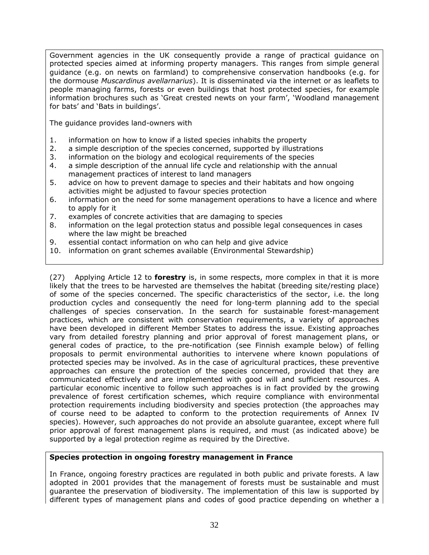Government agencies in the UK consequently provide a range of practical guidance on protected species aimed at informing property managers. This ranges from simple general guidance (e.g. on newts on farmland) to comprehensive conservation handbooks (e.g. for the dormouse *Muscardinus avellarnarius*). It is disseminated via the internet or as leaflets to people managing farms, forests or even buildings that host protected species, for example information brochures such as 'Great crested newts on your farm', 'Woodland management for bats' and 'Bats in buildings'.

The guidance provides land-owners with

- 1. information on how to know if a listed species inhabits the property
- 2. a simple description of the species concerned, supported by illustrations
- 3. information on the biology and ecological requirements of the species
- 4. a simple description of the annual life cycle and relationship with the annual management practices of interest to land managers
- 5. advice on how to prevent damage to species and their habitats and how ongoing activities might be adjusted to favour species protection
- 6. information on the need for some management operations to have a licence and where to apply for it
- 7. examples of concrete activities that are damaging to species
- 8. information on the legal protection status and possible legal consequences in cases where the law might be breached
- 9. essential contact information on who can help and give advice
- 10. information on grant schemes available (Environmental Stewardship)

(27) Applying Article 12 to **forestry** is, in some respects, more complex in that it is more likely that the trees to be harvested are themselves the habitat (breeding site/resting place) of some of the species concerned. The specific characteristics of the sector, i.e. the long production cycles and consequently the need for long-term planning add to the special challenges of species conservation. In the search for sustainable forest-management practices, which are consistent with conservation requirements, a variety of approaches have been developed in different Member States to address the issue. Existing approaches vary from detailed forestry planning and prior approval of forest management plans, or general codes of practice, to the pre-notification (see Finnish example below) of felling proposals to permit environmental authorities to intervene where known populations of protected species may be involved. As in the case of agricultural practices, these preventive approaches can ensure the protection of the species concerned, provided that they are communicated effectively and are implemented with good will and sufficient resources. A particular economic incentive to follow such approaches is in fact provided by the growing prevalence of forest certification schemes, which require compliance with environmental protection requirements including biodiversity and species protection (the approaches may of course need to be adapted to conform to the protection requirements of Annex IV species). However, such approaches do not provide an absolute guarantee, except where full prior approval of forest management plans is required, and must (as indicated above) be supported by a legal protection regime as required by the Directive.

#### **Species protection in ongoing forestry management in France**

In France, ongoing forestry practices are regulated in both public and private forests. A law adopted in 2001 provides that the management of forests must be sustainable and must guarantee the preservation of biodiversity. The implementation of this law is supported by different types of management plans and codes of good practice depending on whether a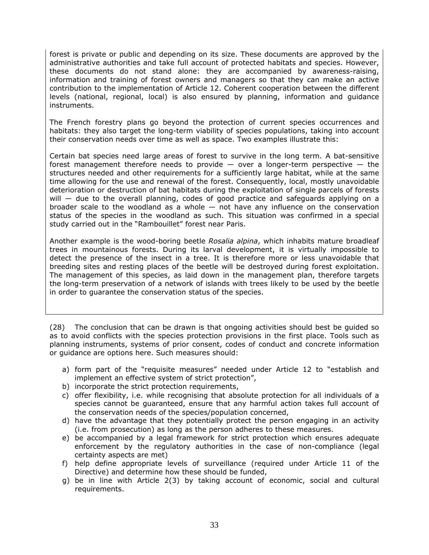forest is private or public and depending on its size. These documents are approved by the administrative authorities and take full account of protected habitats and species. However, these documents do not stand alone: they are accompanied by awareness-raising, information and training of forest owners and managers so that they can make an active contribution to the implementation of Article 12. Coherent cooperation between the different levels (national, regional, local) is also ensured by planning, information and guidance instruments.

The French forestry plans go beyond the protection of current species occurrences and habitats: they also target the long-term viability of species populations, taking into account their conservation needs over time as well as space. Two examples illustrate this:

Certain bat species need large areas of forest to survive in the long term. A bat-sensitive forest management therefore needs to provide  $-$  over a longer-term perspective  $-$  the structures needed and other requirements for a sufficiently large habitat, while at the same time allowing for the use and renewal of the forest. Consequently, local, mostly unavoidable deterioration or destruction of bat habitats during the exploitation of single parcels of forests will  $-$  due to the overall planning, codes of good practice and safeguards applying on a broader scale to the woodland as a whole — not have any influence on the conservation status of the species in the woodland as such. This situation was confirmed in a special study carried out in the "Rambouillet" forest near Paris.

Another example is the wood-boring beetle *Rosalia alpina*, which inhabits mature broadleaf trees in mountainous forests. During its larval development, it is virtually impossible to detect the presence of the insect in a tree. It is therefore more or less unavoidable that breeding sites and resting places of the beetle will be destroyed during forest exploitation. The management of this species, as laid down in the management plan, therefore targets the long-term preservation of a network of islands with trees likely to be used by the beetle in order to guarantee the conservation status of the species.

(28) The conclusion that can be drawn is that ongoing activities should best be guided so as to avoid conflicts with the species protection provisions in the first place. Tools such as planning instruments, systems of prior consent, codes of conduct and concrete information or guidance are options here. Such measures should:

- a) form part of the "requisite measures" needed under Article 12 to "establish and implement an effective system of strict protection",
- b) incorporate the strict protection requirements,
- c) offer flexibility, i.e. while recognising that absolute protection for all individuals of a species cannot be guaranteed, ensure that any harmful action takes full account of the conservation needs of the species/population concerned,
- d) have the advantage that they potentially protect the person engaging in an activity (i.e. from prosecution) as long as the person adheres to these measures.
- e) be accompanied by a legal framework for strict protection which ensures adequate enforcement by the regulatory authorities in the case of non-compliance (legal certainty aspects are met)
- f) help define appropriate levels of surveillance (required under Article 11 of the Directive) and determine how these should be funded,
- g) be in line with Article 2(3) by taking account of economic, social and cultural requirements.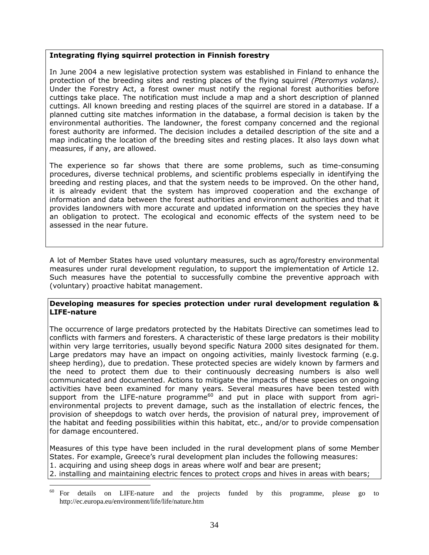## **Integrating flying squirrel protection in Finnish forestry**

In June 2004 a new legislative protection system was established in Finland to enhance the protection of the breeding sites and resting places of the flying squirrel *(Pteromys volans)*. Under the Forestry Act, a forest owner must notify the regional forest authorities before cuttings take place. The notification must include a map and a short description of planned cuttings. All known breeding and resting places of the squirrel are stored in a database. If a planned cutting site matches information in the database, a formal decision is taken by the environmental authorities. The landowner, the forest company concerned and the regional forest authority are informed. The decision includes a detailed description of the site and a map indicating the location of the breeding sites and resting places. It also lays down what measures, if any, are allowed.

The experience so far shows that there are some problems, such as time-consuming procedures, diverse technical problems, and scientific problems especially in identifying the breeding and resting places, and that the system needs to be improved. On the other hand, it is already evident that the system has improved cooperation and the exchange of information and data between the forest authorities and environment authorities and that it provides landowners with more accurate and updated information on the species they have an obligation to protect. The ecological and economic effects of the system need to be assessed in the near future.

A lot of Member States have used voluntary measures, such as agro/forestry environmental measures under rural development regulation, to support the implementation of Article 12. Such measures have the potential to successfully combine the preventive approach with (voluntary) proactive habitat management.

#### **Developing measures for species protection under rural development regulation & LIFE-nature**

The occurrence of large predators protected by the Habitats Directive can sometimes lead to conflicts with farmers and foresters. A characteristic of these large predators is their mobility within very large territories, usually beyond specific Natura 2000 sites designated for them. Large predators may have an impact on ongoing activities, mainly livestock farming (e.g. sheep herding), due to predation. These protected species are widely known by farmers and the need to protect them due to their continuously decreasing numbers is also well communicated and documented. Actions to mitigate the impacts of these species on ongoing activities have been examined for many years. Several measures have been tested with support from the LIFE-nature programme<sup>60</sup> and put in place with support from agrienvironmental projects to prevent damage, such as the installation of electric fences, the provision of sheepdogs to watch over herds, the provision of natural prey, improvement of the habitat and feeding possibilities within this habitat, etc., and/or to provide compensation for damage encountered.

Measures of this type have been included in the rural development plans of some Member States. For example, Greece's rural development plan includes the following measures:

- 1. acquiring and using sheep dogs in areas where wolf and bear are present;
- 2. installing and maintaining electric fences to protect crops and hives in areas with bears;

<sup>60</sup> 60 For details on LIFE-nature and the projects funded by this programme, please go to http://ec.europa.eu/environment/life/life/nature.htm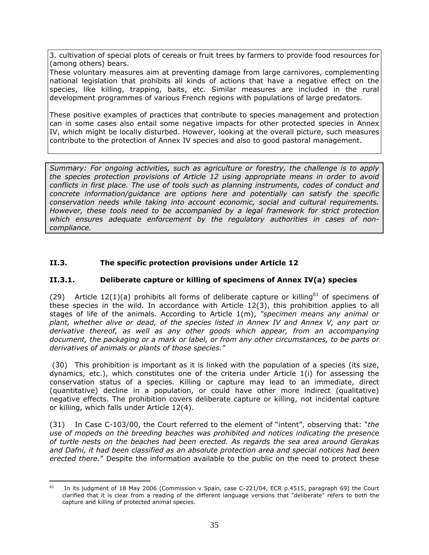3. cultivation of special plots of cereals or fruit trees by farmers to provide food resources for (among others) bears.

These voluntary measures aim at preventing damage from large carnivores, complementing national legislation that prohibits all kinds of actions that have a negative effect on the species, like killing, trapping, baits, etc. Similar measures are included in the rural development programmes of various French regions with populations of large predators.

These positive examples of practices that contribute to species management and protection can in some cases also entail some negative impacts for other protected species in Annex IV, which might be locally disturbed. However, looking at the overall picture, such measures contribute to the protection of Annex IV species and also to good pastoral management.

*Summary: For ongoing activities, such as agriculture or forestry, the challenge is to apply the species protection provisions of Article 12 using appropriate means in order to avoid conflicts in first place. The use of tools such as planning instruments, codes of conduct and concrete information/guidance are options here and potentially can satisfy the specific conservation needs while taking into account economic, social and cultural requirements. However, these tools need to be accompanied by a legal framework for strict protection which ensures adequate enforcement by the regulatory authorities in cases of noncompliance.* 

# **II.3. The specific protection provisions under Article 12**

## **II.3.1. Deliberate capture or killing of specimens of Annex IV(a) species**

(29) Article 12(1)(a) prohibits all forms of deliberate capture or killing<sup>61</sup> of specimens of these species in the wild. In accordance with Article 12(3), this prohibition applies to all stages of life of the animals. According to Article 1(m), *"specimen means any animal or plant, whether alive or dead, of the species listed in Annex IV and Annex V, any part or derivative thereof, as well as any other goods which appear, from an accompanying document, the packaging or a mark or label, or from any other circumstances, to be parts or derivatives of animals or plants of those species."*

 (30) This prohibition is important as it is linked with the population of a species (its size, dynamics, etc.), which constitutes one of the criteria under Article 1(i) for assessing the conservation status of a species. Killing or capture may lead to an immediate, direct (quantitative) decline in a population, or could have other more indirect (qualitative) negative effects. The prohibition covers deliberate capture or killing, not incidental capture or killing, which falls under Article 12(4).

(31) In Case C-103/00, the Court referred to the element of "intent", observing that: "*the use of mopeds on the breeding beaches was prohibited and notices indicating the presence of turtle nests on the beaches had been erected. As regards the sea area around Gerakas and Dafni, it had been classified as an absolute protection area and special notices had been erected there.*" Despite the information available to the public on the need to protect these

<sup>61</sup> In its judgment of 18 May 2006 (Commission v Spain, case C-221/04, ECR p.4515, paragraph 69) the Court clarified that it is clear from a reading of the different language versions that "deliberate" refers to both the capture and killing of protected animal species.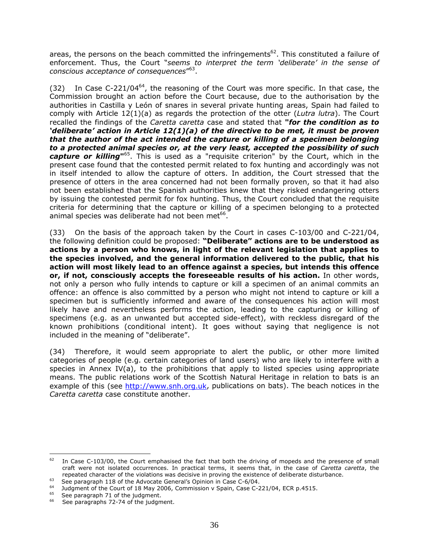areas, the persons on the beach committed the infringements<sup>62</sup>. This constituted a failure of enforcement. Thus, the Court "*seems to interpret the term 'deliberate' in the sense of conscious acceptance of consequences*"63.

(32) In Case C-221/04 $^{64}$ , the reasoning of the Court was more specific. In that case, the Commission brought an action before the Court because, due to the authorisation by the authorities in Castilla y León of snares in several private hunting areas, Spain had failed to comply with Article 12(1)(a) as regards the protection of the otter (*Lutra lutra*). The Court recalled the findings of the *Caretta caretta* case and stated that **"***for the condition as to 'deliberate' action in Article 12(1)(a) of the directive to be met, it must be proven that the author of the act intended the capture or killing of a specimen belonging to a protected animal species or, at the very least, accepted the possibility of such capture or killing***"**65. This is used as a "requisite criterion" by the Court, which in the present case found that the contested permit related to fox hunting and accordingly was not in itself intended to allow the capture of otters. In addition, the Court stressed that the presence of otters in the area concerned had not been formally proven, so that it had also not been established that the Spanish authorities knew that they risked endangering otters by issuing the contested permit for fox hunting. Thus, the Court concluded that the requisite criteria for determining that the capture or killing of a specimen belonging to a protected animal species was deliberate had not been met<sup>66</sup>.

(33) On the basis of the approach taken by the Court in cases C-103/00 and C-221/04, the following definition could be proposed: **"Deliberate" actions are to be understood as actions by a person who knows, in light of the relevant legislation that applies to the species involved, and the general information delivered to the public, that his action will most likely lead to an offence against a species, but intends this offence or, if not, consciously accepts the foreseeable results of his action.** In other words, not only a person who fully intends to capture or kill a specimen of an animal commits an offence: an offence is also committed by a person who might not intend to capture or kill a specimen but is sufficiently informed and aware of the consequences his action will most likely have and nevertheless performs the action, leading to the capturing or killing of specimens (e.g. as an unwanted but accepted side-effect), with reckless disregard of the known prohibitions (conditional intent). It goes without saying that negligence is not included in the meaning of "deliberate".

(34) Therefore, it would seem appropriate to alert the public, or other more limited categories of people (e.g. certain categories of land users) who are likely to interfere with a species in Annex IV(a), to the prohibitions that apply to listed species using appropriate means. The public relations work of the Scottish Natural Heritage in relation to bats is an example of this (see [http://www.snh.org.uk,](http://www.snh.org.uk/) publications on bats). The beach notices in the *Caretta caretta* case constitute another.

1

 $62$  In Case C-103/00, the Court emphasised the fact that both the driving of mopeds and the presence of small craft were not isolated occurrences. In practical terms, it seems that, in the case of *Caretta caretta*, the repeated character of the violations was decisive in proving the existence of deliberate disturbance.<br>
See paragraph 118 of the Advocate General's Opinion in Case C-6/04.<br>
Judgment of the Court of 18 May 2006, Commission v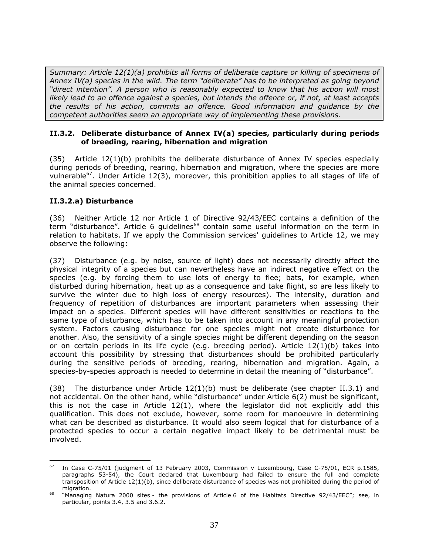*Summary: Article 12(1)(a) prohibits all forms of deliberate capture or killing of specimens of Annex IV(a) species in the wild. The term "deliberate" has to be interpreted as going beyond "direct intention". A person who is reasonably expected to know that his action will most likely lead to an offence against a species, but intends the offence or, if not, at least accepts the results of his action, commits an offence. Good information and guidance by the competent authorities seem an appropriate way of implementing these provisions.* 

#### **II.3.2. Deliberate disturbance of Annex IV(a) species, particularly during periods of breeding, rearing, hibernation and migration**

 $(35)$  Article  $12(1)(b)$  prohibits the deliberate disturbance of Annex IV species especially during periods of breeding, rearing, hibernation and migration, where the species are more vulnerable<sup>67</sup>. Under Article 12(3), moreover, this prohibition applies to all stages of life of the animal species concerned.

### **II.3.2.a) Disturbance**

(36) Neither Article 12 nor Article 1 of Directive 92/43/EEC contains a definition of the  $term$  "disturbance". Article 6 guidelines<sup>68</sup> contain some useful information on the term in relation to habitats. If we apply the Commission services' guidelines to Article 12, we may observe the following:

(37) Disturbance (e.g. by noise, source of light) does not necessarily directly affect the physical integrity of a species but can nevertheless have an indirect negative effect on the species (e.g. by forcing them to use lots of energy to flee; bats, for example, when disturbed during hibernation, heat up as a consequence and take flight, so are less likely to survive the winter due to high loss of energy resources). The intensity, duration and frequency of repetition of disturbances are important parameters when assessing their impact on a species. Different species will have different sensitivities or reactions to the same type of disturbance, which has to be taken into account in any meaningful protection system. Factors causing disturbance for one species might not create disturbance for another. Also, the sensitivity of a single species might be different depending on the season or on certain periods in its life cycle (e.g. breeding period). Article 12(1)(b) takes into account this possibility by stressing that disturbances should be prohibited particularly during the sensitive periods of breeding, rearing, hibernation and migration. Again, a species-by-species approach is needed to determine in detail the meaning of "disturbance".

(38) The disturbance under Article  $12(1)(b)$  must be deliberate (see chapter II.3.1) and not accidental. On the other hand, while "disturbance" under Article 6(2) must be significant, this is not the case in Article  $12(1)$ , where the legislator did not explicitly add this qualification. This does not exclude, however, some room for manoeuvre in determining what can be described as disturbance. It would also seem logical that for disturbance of a protected species to occur a certain negative impact likely to be detrimental must be involved.

<sup>1</sup>  $67$  In Case C-75/01 (judgment of 13 February 2003, Commission v Luxembourg, Case C-75/01, ECR p.1585, paragraphs 53-54), the Court declared that Luxembourg had failed to ensure the full and complete transposition of Article 12(1)(b), since deliberate disturbance of species was not prohibited during the period of

<sup>&</sup>quot;Managing Natura 2000 sites - the provisions of Article 6 of the Habitats Directive 92/43/EEC"; see, in particular, points 3.4, 3.5 and 3.6.2.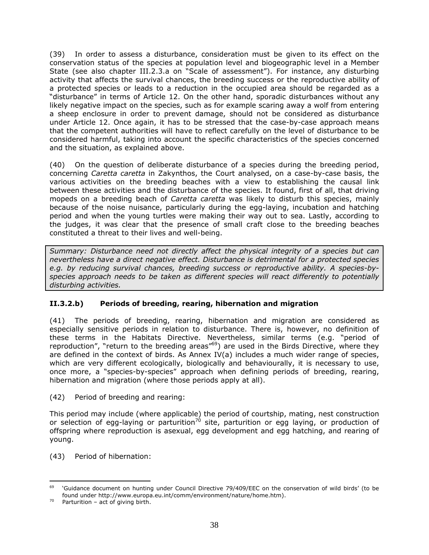(39) In order to assess a disturbance, consideration must be given to its effect on the conservation status of the species at population level and biogeographic level in a Member State (see also chapter III.2.3.a on "Scale of assessment"). For instance, any disturbing activity that affects the survival chances, the breeding success or the reproductive ability of a protected species or leads to a reduction in the occupied area should be regarded as a "disturbance" in terms of Article 12. On the other hand, sporadic disturbances without any likely negative impact on the species, such as for example scaring away a wolf from entering a sheep enclosure in order to prevent damage, should not be considered as disturbance under Article 12. Once again, it has to be stressed that the case-by-case approach means that the competent authorities will have to reflect carefully on the level of disturbance to be considered harmful, taking into account the specific characteristics of the species concerned and the situation, as explained above.

(40) On the question of deliberate disturbance of a species during the breeding period, concerning *Caretta caretta* in Zakynthos, the Court analysed, on a case-by-case basis, the various activities on the breeding beaches with a view to establishing the causal link between these activities and the disturbance of the species. It found, first of all, that driving mopeds on a breeding beach of *Caretta caretta* was likely to disturb this species, mainly because of the noise nuisance, particularly during the egg-laying, incubation and hatching period and when the young turtles were making their way out to sea. Lastly, according to the judges, it was clear that the presence of small craft close to the breeding beaches constituted a threat to their lives and well-being.

*Summary: Disturbance need not directly affect the physical integrity of a species but can nevertheless have a direct negative effect. Disturbance is detrimental for a protected species e.g. by reducing survival chances, breeding success or reproductive ability. A species-byspecies approach needs to be taken as different species will react differently to potentially disturbing activities.* 

### **II.3.2.b) Periods of breeding, rearing, hibernation and migration**

(41) The periods of breeding, rearing, hibernation and migration are considered as especially sensitive periods in relation to disturbance. There is, however, no definition of these terms in the Habitats Directive. Nevertheless, similar terms (e.g. "period of reproduction", "return to the breeding areas"<sup>69</sup>) are used in the Birds Directive, where they are defined in the context of birds. As Annex IV(a) includes a much wider range of species, which are very different ecologically, biologically and behaviourally, it is necessary to use, once more, a "species-by-species" approach when defining periods of breeding, rearing, hibernation and migration (where those periods apply at all).

(42) Period of breeding and rearing:

This period may include (where applicable) the period of courtship, mating, nest construction or selection of egg-laying or parturition<sup>70</sup> site, parturition or egg laying, or production of offspring where reproduction is asexual, egg development and egg hatching, and rearing of young.

(43) Period of hibernation:

<sup>&</sup>lt;u>.</u>  $69$  'Guidance document on hunting under Council Directive 79/409/EEC on the conservation of wild birds' (to be found under http://www.europa.eu.int/comm/environment/nature/home.htm). 70 Parturition – act of giving birth.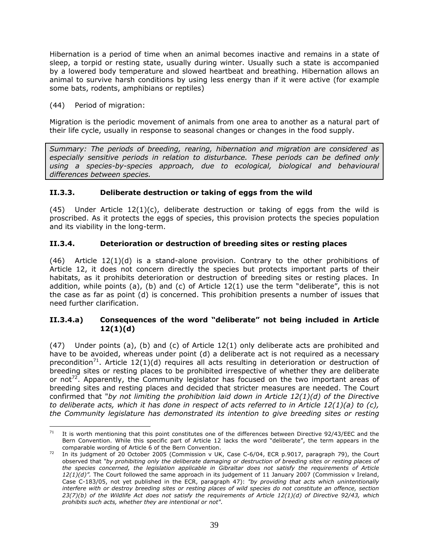Hibernation is a period of time when an animal becomes inactive and remains in a state of sleep, a torpid or resting state, usually during winter. Usually such a state is accompanied by a lowered body temperature and slowed heartbeat and breathing. Hibernation allows an animal to survive harsh conditions by using less energy than if it were active (for example some bats, rodents, amphibians or reptiles)

(44) Period of migration:

Migration is the periodic movement of animals from one area to another as a natural part of their life cycle, usually in response to seasonal changes or changes in the food supply.

*Summary: The periods of breeding, rearing, hibernation and migration are considered as especially sensitive periods in relation to disturbance. These periods can be defined only using a species-by-species approach, due to ecological, biological and behavioural differences between species.* 

# **II.3.3. Deliberate destruction or taking of eggs from the wild**

(45) Under Article  $12(1)(c)$ , deliberate destruction or taking of eggs from the wild is proscribed. As it protects the eggs of species, this provision protects the species population and its viability in the long-term.

# **II.3.4. Deterioration or destruction of breeding sites or resting places**

 $(46)$  Article 12(1)(d) is a stand-alone provision. Contrary to the other prohibitions of Article 12, it does not concern directly the species but protects important parts of their habitats, as it prohibits deterioration or destruction of breeding sites or resting places. In addition, while points (a), (b) and (c) of Article  $12(1)$  use the term "deliberate", this is not the case as far as point (d) is concerned. This prohibition presents a number of issues that need further clarification.

### **II.3.4.a) Consequences of the word "deliberate" not being included in Article 12(1)(d)**

 $(47)$  Under points  $(a)$ ,  $(b)$  and  $(c)$  of Article 12(1) only deliberate acts are prohibited and have to be avoided, whereas under point (d) a deliberate act is not required as a necessary precondition<sup>71</sup>. Article 12(1)(d) requires all acts resulting in deterioration or destruction of breeding sites or resting places to be prohibited irrespective of whether they are deliberate or not<sup>72</sup>. Apparently, the Community legislator has focused on the two important areas of breeding sites and resting places and decided that stricter measures are needed. The Court confirmed that "*by not limiting the prohibition laid down in Article 12(1)(d) of the Directive to deliberate acts, which it has done in respect of acts referred to in Article 12(1)(a) to (c), the Community legislature has demonstrated its intention to give breeding sites or resting* 

<sup>1</sup> <sup>71</sup> It is worth mentioning that this point constitutes one of the differences between Directive 92/43/EEC and the Bern Convention. While this specific part of Article 12 lacks the word "deliberate", the term appears in the

comparable wording of Article 6 of the Bern Convention.<br><sup>72</sup> In its judgment of 20 October 2005 (Commission v UK, Case C-6/04, ECR p.9017, paragraph 79), the Court observed that *"by prohibiting only the deliberate damaging or destruction of breeding sites or resting places of the species concerned, the legislation applicable in Gibraltar does not satisfy the requirements of Article 12(1)(d)".* The Court followed the same approach in its judgement of 11 January 2007 (Commission v Ireland, Case C-183/05, not yet published in the ECR, paragraph 47): *"by providing that acts which unintentionally interfere with or destroy breeding sites or resting places of wild species do not constitute an offence, section 23(7)(b) of the Wildlife Act does not satisfy the requirements of Article 12(1)(d) of Directive 92/43, which prohibits such acts, whether they are intentional or not"*.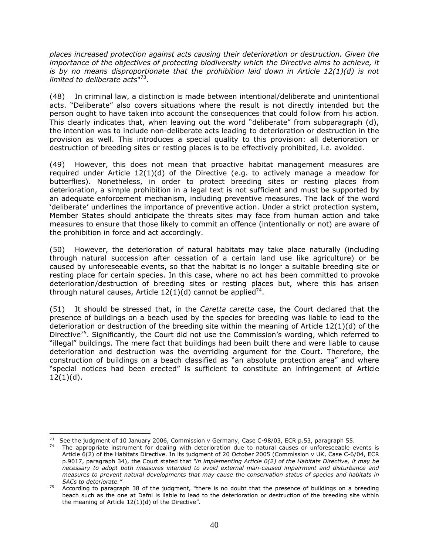*places increased protection against acts causing their deterioration or destruction. Given the importance of the objectives of protecting biodiversity which the Directive aims to achieve, it is by no means disproportionate that the prohibition laid down in Article 12(1)(d) is not limited to deliberate acts*"73.

(48) In criminal law, a distinction is made between intentional/deliberate and unintentional acts. "Deliberate" also covers situations where the result is not directly intended but the person ought to have taken into account the consequences that could follow from his action. This clearly indicates that, when leaving out the word "deliberate" from subparagraph (d), the intention was to include non-deliberate acts leading to deterioration or destruction in the provision as well. This introduces a special quality to this provision: all deterioration or destruction of breeding sites or resting places is to be effectively prohibited, i.e. avoided.

(49) However, this does not mean that proactive habitat management measures are required under Article 12(1)(d) of the Directive (e.g. to actively manage a meadow for butterflies). Nonetheless, in order to protect breeding sites or resting places from deterioration, a simple prohibition in a legal text is not sufficient and must be supported by an adequate enforcement mechanism, including preventive measures. The lack of the word 'deliberate' underlines the importance of preventive action. Under a strict protection system, Member States should anticipate the threats sites may face from human action and take measures to ensure that those likely to commit an offence (intentionally or not) are aware of the prohibition in force and act accordingly.

(50) However, the deterioration of natural habitats may take place naturally (including through natural succession after cessation of a certain land use like agriculture) or be caused by unforeseeable events, so that the habitat is no longer a suitable breeding site or resting place for certain species. In this case, where no act has been committed to provoke deterioration/destruction of breeding sites or resting places but, where this has arisen through natural causes, Article  $12(1)(d)$  cannot be applied<sup>74</sup>.

(51) It should be stressed that, in the *Caretta caretta* case, the Court declared that the presence of buildings on a beach used by the species for breeding was liable to lead to the deterioration or destruction of the breeding site within the meaning of Article 12(1)(d) of the Directive<sup>75</sup>. Significantly, the Court did not use the Commission's wording, which referred to "illegal" buildings. The mere fact that buildings had been built there and were liable to cause deterioration and destruction was the overriding argument for the Court. Therefore, the construction of buildings on a beach classified as "an absolute protection area" and where "special notices had been erected" is sufficient to constitute an infringement of Article  $12(1)(d)$ .

<sup>&</sup>lt;sup>73</sup> See the judgment of 10 January 2006, Commission v Germany, Case C-98/03, ECR p.53, paragraph 55.

 $74$  The appropriate instrument for dealing with deterioration due to natural causes or unforeseeable events is Article 6(2) of the Habitats Directive. In its judgment of 20 October 2005 (Commission v UK, Case C-6/04, ECR p.9017, paragraph 34), the Court stated that *"in implementing Article 6(2) of the Habitats Directive, it may be necessary to adopt both measures intended to avoid external man-caused impairment and disturbance and measures to prevent natural developments that may cause the conservation status of species and habitats in SACs to deteriorate."* 

 $\frac{275}{2}$  According to paragraph 38 of the judgment, "there is no doubt that the presence of buildings on a breeding beach such as the one at Dafni is liable to lead to the deterioration or destruction of the breeding site within the meaning of Article 12(1)(d) of the Directive".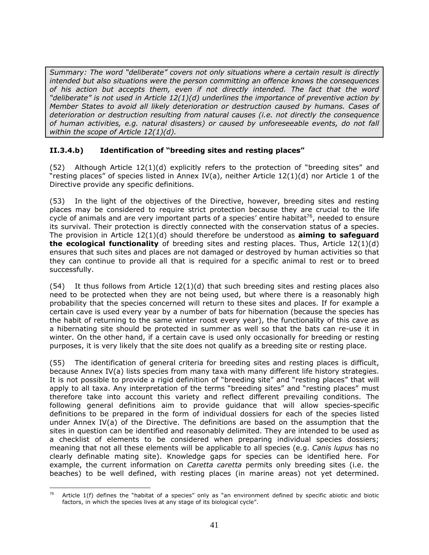*Summary: The word "deliberate" covers not only situations where a certain result is directly intended but also situations were the person committing an offence knows the consequences of his action but accepts them, even if not directly intended. The fact that the word "deliberate" is not used in Article 12(1)(d) underlines the importance of preventive action by Member States to avoid all likely deterioration or destruction caused by humans. Cases of deterioration or destruction resulting from natural causes (i.e. not directly the consequence of human activities, e.g. natural disasters) or caused by unforeseeable events, do not fall within the scope of Article 12(1)(d).* 

# **II.3.4.b) Identification of "breeding sites and resting places"**

(52) Although Article 12(1)(d) explicitly refers to the protection of "breeding sites" and "resting places" of species listed in Annex IV(a), neither Article 12(1)(d) nor Article 1 of the Directive provide any specific definitions.

(53) In the light of the objectives of the Directive, however, breeding sites and resting places may be considered to require strict protection because they are crucial to the life cycle of animals and are very important parts of a species' entire habitat<sup>76</sup>, needed to ensure its survival. Their protection is directly connected with the conservation status of a species. The provision in Article 12(1)(d) should therefore be understood as **aiming to safeguard the ecological functionality** of breeding sites and resting places. Thus, Article 12(1)(d) ensures that such sites and places are not damaged or destroyed by human activities so that they can continue to provide all that is required for a specific animal to rest or to breed successfully.

 $(54)$  It thus follows from Article  $12(1)(d)$  that such breeding sites and resting places also need to be protected when they are not being used, but where there is a reasonably high probability that the species concerned will return to these sites and places. If for example a certain cave is used every year by a number of bats for hibernation (because the species has the habit of returning to the same winter roost every year), the functionality of this cave as a hibernating site should be protected in summer as well so that the bats can re-use it in winter. On the other hand, if a certain cave is used only occasionally for breeding or resting purposes, it is very likely that the site does not qualify as a breeding site or resting place.

(55) The identification of general criteria for breeding sites and resting places is difficult, because Annex IV(a) lists species from many taxa with many different life history strategies. It is not possible to provide a rigid definition of "breeding site" and "resting places" that will apply to all taxa. Any interpretation of the terms "breeding sites" and "resting places" must therefore take into account this variety and reflect different prevailing conditions. The following general definitions aim to provide guidance that will allow species-specific definitions to be prepared in the form of individual dossiers for each of the species listed under Annex IV(a) of the Directive. The definitions are based on the assumption that the sites in question can be identified and reasonably delimited. They are intended to be used as a checklist of elements to be considered when preparing individual species dossiers; meaning that not all these elements will be applicable to all species (e.g. *Canis lupus* has no clearly definable mating site). Knowledge gaps for species can be identified here. For example, the current information on *Caretta caretta* permits only breeding sites (i.e. the beaches) to be well defined, with resting places (in marine areas) not yet determined.

<sup>&</sup>lt;u>.</u> <sup>76</sup> Article 1(f) defines the "habitat of a species" only as "an environment defined by specific abiotic and biotic factors, in which the species lives at any stage of its biological cycle".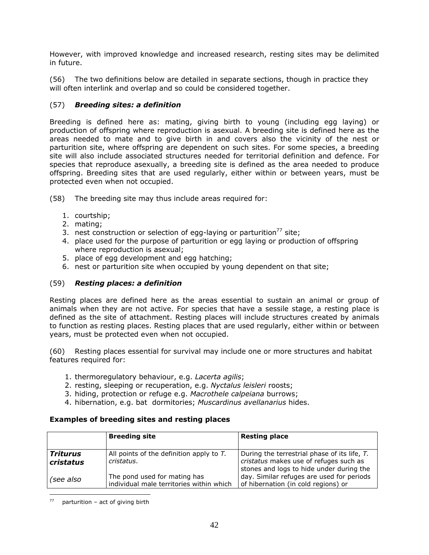However, with improved knowledge and increased research, resting sites may be delimited in future.

(56) The two definitions below are detailed in separate sections, though in practice they will often interlink and overlap and so could be considered together.

### (57) *Breeding sites: a definition*

Breeding is defined here as: mating, giving birth to young (including egg laying) or production of offspring where reproduction is asexual. A breeding site is defined here as the areas needed to mate and to give birth in and covers also the vicinity of the nest or parturition site, where offspring are dependent on such sites. For some species, a breeding site will also include associated structures needed for territorial definition and defence. For species that reproduce asexually, a breeding site is defined as the area needed to produce offspring. Breeding sites that are used regularly, either within or between years, must be protected even when not occupied.

- (58) The breeding site may thus include areas required for:
	- 1. courtship;
	- 2. mating;
	- 3. nest construction or selection of egg-laying or parturition<sup>77</sup> site;
	- 4. place used for the purpose of parturition or egg laying or production of offspring where reproduction is asexual;
	- 5. place of egg development and egg hatching;
	- 6. nest or parturition site when occupied by young dependent on that site;

### (59) *Resting places: a definition*

Resting places are defined here as the areas essential to sustain an animal or group of animals when they are not active. For species that have a sessile stage, a resting place is defined as the site of attachment. Resting places will include structures created by animals to function as resting places. Resting places that are used regularly, either within or between years, must be protected even when not occupied.

(60) Resting places essential for survival may include one or more structures and habitat features required for:

- 1. thermoregulatory behaviour, e.g. *Lacerta agilis*;
- 2. resting, sleeping or recuperation, e.g. *Nyctalus leisleri* roosts;
- 3. hiding, protection or refuge e.g. *Macrothele calpeiana* burrows;
- 4. hibernation, e.g. bat dormitories; *Muscardinus avellanarius* hides.

#### **Examples of breeding sites and resting places**

|                       | <b>Breeding site</b>                                                     | <b>Resting place</b>                                                                                                               |
|-----------------------|--------------------------------------------------------------------------|------------------------------------------------------------------------------------------------------------------------------------|
| Triturus<br>cristatus | All points of the definition apply to $T$ .<br>cristatus.                | During the terrestrial phase of its life, T.<br>cristatus makes use of refuges such as<br>stones and logs to hide under during the |
| (see also             | The pond used for mating has<br>individual male territories within which | day. Similar refuges are used for periods<br>of hibernation (in cold regions) or                                                   |

<u>.</u>  $parturition - act of giving birth$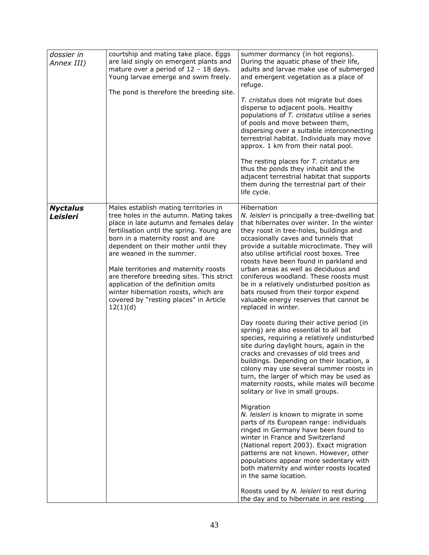| dossier in<br>Annex III)    | courtship and mating take place. Eggs<br>are laid singly on emergent plants and<br>mature over a period of $12 - 18$ days.<br>Young larvae emerge and swim freely.<br>The pond is therefore the breeding site.                                                                                                                                                                                                                                                                                              | summer dormancy (in hot regions).<br>During the aquatic phase of their life,<br>adults and larvae make use of submerged<br>and emergent vegetation as a place of<br>refuge.<br>T. cristatus does not migrate but does<br>disperse to adjacent pools. Healthy<br>populations of T. cristatus utilise a series<br>of pools and move between them,<br>dispersing over a suitable interconnecting<br>terrestrial habitat. Individuals may move<br>approx. 1 km from their natal pool.<br>The resting places for T. cristatus are<br>thus the ponds they inhabit and the<br>adjacent terrestrial habitat that supports<br>them during the terrestrial part of their |
|-----------------------------|-------------------------------------------------------------------------------------------------------------------------------------------------------------------------------------------------------------------------------------------------------------------------------------------------------------------------------------------------------------------------------------------------------------------------------------------------------------------------------------------------------------|----------------------------------------------------------------------------------------------------------------------------------------------------------------------------------------------------------------------------------------------------------------------------------------------------------------------------------------------------------------------------------------------------------------------------------------------------------------------------------------------------------------------------------------------------------------------------------------------------------------------------------------------------------------|
|                             |                                                                                                                                                                                                                                                                                                                                                                                                                                                                                                             | life cycle.                                                                                                                                                                                                                                                                                                                                                                                                                                                                                                                                                                                                                                                    |
| <b>Nyctalus</b><br>Leisleri | Males establish mating territories in<br>tree holes in the autumn. Mating takes<br>place in late autumn and females delay<br>fertilisation until the spring. Young are<br>born in a maternity roost and are<br>dependent on their mother until they<br>are weaned in the summer.<br>Male territories and maternity roosts<br>are therefore breeding sites. This strict<br>application of the definition omits<br>winter hibernation roosts, which are<br>covered by "resting places" in Article<br>12(1)(d) | Hibernation<br>N. leisleri is principally a tree-dwelling bat<br>that hibernates over winter. In the winter<br>they roost in tree-holes, buildings and<br>occasionally caves and tunnels that<br>provide a suitable microclimate. They will<br>also utilise artificial roost boxes. Tree<br>roosts have been found in parkland and<br>urban areas as well as deciduous and<br>coniferous woodland. These roosts must<br>be in a relatively undisturbed position as<br>bats roused from their torpor expend<br>valuable energy reserves that cannot be<br>replaced in winter.                                                                                   |
|                             |                                                                                                                                                                                                                                                                                                                                                                                                                                                                                                             | Day roosts during their active period (in<br>spring) are also essential to all bat<br>species, requiring a relatively undisturbed<br>site during daylight hours, again in the<br>cracks and crevasses of old trees and<br>buildings. Depending on their location, a<br>colony may use several summer roosts in<br>turn, the larger of which may be used as<br>maternity roosts, while males will become<br>solitary or live in small groups.                                                                                                                                                                                                                   |
|                             |                                                                                                                                                                                                                                                                                                                                                                                                                                                                                                             | Migration<br>N. leisleri is known to migrate in some<br>parts of its European range: individuals<br>ringed in Germany have been found to<br>winter in France and Switzerland<br>(National report 2003). Exact migration<br>patterns are not known. However, other<br>populations appear more sedentary with<br>both maternity and winter roosts located<br>in the same location.                                                                                                                                                                                                                                                                               |
|                             |                                                                                                                                                                                                                                                                                                                                                                                                                                                                                                             | Roosts used by N. leisleri to rest during<br>the day and to hibernate in are resting                                                                                                                                                                                                                                                                                                                                                                                                                                                                                                                                                                           |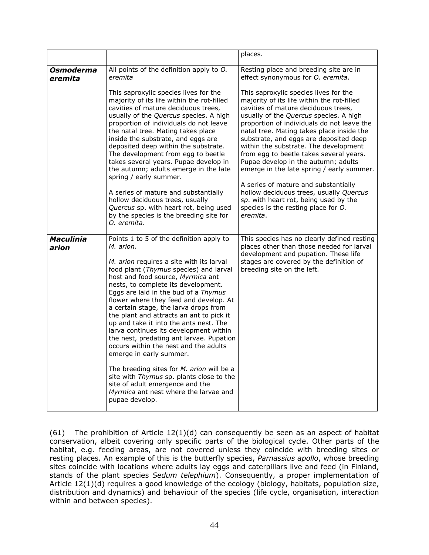|                             |                                                                                                                                                                                                                                                                                                                                                                                                                                                                                                                                                                                                                                                                                                                                                                                           | places.                                                                                                                                                                                                                                                                                                                                                                                                                                                                                                                                                                                                                                                          |
|-----------------------------|-------------------------------------------------------------------------------------------------------------------------------------------------------------------------------------------------------------------------------------------------------------------------------------------------------------------------------------------------------------------------------------------------------------------------------------------------------------------------------------------------------------------------------------------------------------------------------------------------------------------------------------------------------------------------------------------------------------------------------------------------------------------------------------------|------------------------------------------------------------------------------------------------------------------------------------------------------------------------------------------------------------------------------------------------------------------------------------------------------------------------------------------------------------------------------------------------------------------------------------------------------------------------------------------------------------------------------------------------------------------------------------------------------------------------------------------------------------------|
| <b>Osmoderma</b><br>eremita | All points of the definition apply to O.<br>eremita                                                                                                                                                                                                                                                                                                                                                                                                                                                                                                                                                                                                                                                                                                                                       | Resting place and breeding site are in<br>effect synonymous for O. eremita.                                                                                                                                                                                                                                                                                                                                                                                                                                                                                                                                                                                      |
|                             | This saproxylic species lives for the<br>majority of its life within the rot-filled<br>cavities of mature deciduous trees,<br>usually of the Quercus species. A high<br>proportion of individuals do not leave<br>the natal tree. Mating takes place<br>inside the substrate, and eggs are<br>deposited deep within the substrate.<br>The development from egg to beetle<br>takes several years. Pupae develop in<br>the autumn; adults emerge in the late<br>spring / early summer.<br>A series of mature and substantially<br>hollow deciduous trees, usually<br>Quercus sp. with heart rot, being used<br>by the species is the breeding site for<br>O. eremita.                                                                                                                       | This saproxylic species lives for the<br>majority of its life within the rot-filled<br>cavities of mature deciduous trees,<br>usually of the Quercus species. A high<br>proportion of individuals do not leave the<br>natal tree. Mating takes place inside the<br>substrate, and eggs are deposited deep<br>within the substrate. The development<br>from egg to beetle takes several years.<br>Pupae develop in the autumn; adults<br>emerge in the late spring / early summer.<br>A series of mature and substantially<br>hollow deciduous trees, usually Quercus<br>sp. with heart rot, being used by the<br>species is the resting place for O.<br>eremita. |
| <b>Maculinia</b><br>arion   | Points 1 to 5 of the definition apply to<br>M. arion.<br>M. arion requires a site with its larval<br>food plant (Thymus species) and larval<br>host and food source, Myrmica ant<br>nests, to complete its development.<br>Eggs are laid in the bud of a Thymus<br>flower where they feed and develop. At<br>a certain stage, the larva drops from<br>the plant and attracts an ant to pick it<br>up and take it into the ants nest. The<br>larva continues its development within<br>the nest, predating ant larvae. Pupation<br>occurs within the nest and the adults<br>emerge in early summer.<br>The breeding sites for M. arion will be a<br>site with Thymus sp. plants close to the<br>site of adult emergence and the<br>Myrmica ant nest where the larvae and<br>pupae develop. | This species has no clearly defined resting<br>places other than those needed for larval<br>development and pupation. These life<br>stages are covered by the definition of<br>breeding site on the left.                                                                                                                                                                                                                                                                                                                                                                                                                                                        |

(61) The prohibition of Article  $12(1)(d)$  can consequently be seen as an aspect of habitat conservation, albeit covering only specific parts of the biological cycle. Other parts of the habitat, e.g. feeding areas, are not covered unless they coincide with breeding sites or resting places. An example of this is the butterfly species, *Parnassius apollo*, whose breeding sites coincide with locations where adults lay eggs and caterpillars live and feed (in Finland, stands of the plant species *Sedum telephium*). Consequently, a proper implementation of Article 12(1)(d) requires a good knowledge of the ecology (biology, habitats, population size, distribution and dynamics) and behaviour of the species (life cycle, organisation, interaction within and between species).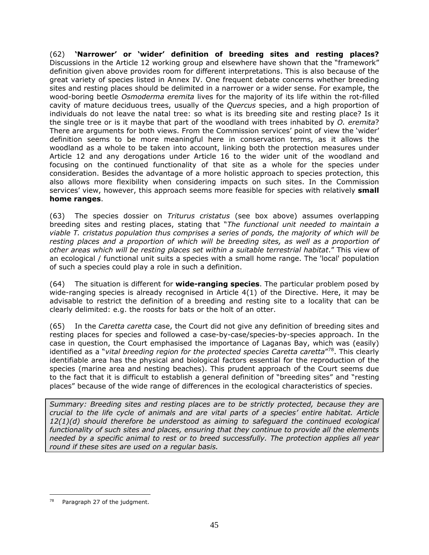(62) **'Narrower' or 'wider' definition of breeding sites and resting places?**  Discussions in the Article 12 working group and elsewhere have shown that the "framework" definition given above provides room for different interpretations. This is also because of the great variety of species listed in Annex IV. One frequent debate concerns whether breeding sites and resting places should be delimited in a narrower or a wider sense. For example, the wood-boring beetle *Osmoderma eremita* lives for the majority of its life within the rot-filled cavity of mature deciduous trees, usually of the *Quercus* species, and a high proportion of individuals do not leave the natal tree: so what is its breeding site and resting place? Is it the single tree or is it maybe that part of the woodland with trees inhabited by *O. eremita*? There are arguments for both views. From the Commission services' point of view the 'wider' definition seems to be more meaningful here in conservation terms, as it allows the woodland as a whole to be taken into account, linking both the protection measures under Article 12 and any derogations under Article 16 to the wider unit of the woodland and focusing on the continued functionality of that site as a whole for the species under consideration. Besides the advantage of a more holistic approach to species protection, this also allows more flexibility when considering impacts on such sites. In the Commission services' view, however, this approach seems more feasible for species with relatively **small home ranges**.

(63) The species dossier on *Triturus cristatus* (see box above) assumes overlapping breeding sites and resting places, stating that "*The functional unit needed to maintain a viable T. cristatus population thus comprises a series of ponds, the majority of which will be*  resting places and a proportion of which will be breeding sites, as well as a proportion of *other areas which will be resting places set within a suitable terrestrial habitat*." This view of an ecological / functional unit suits a species with a small home range. The 'local' population of such a species could play a role in such a definition.

(64) The situation is different for **wide-ranging species**. The particular problem posed by wide-ranging species is already recognised in Article 4(1) of the Directive. Here, it may be advisable to restrict the definition of a breeding and resting site to a locality that can be clearly delimited: e.g. the roosts for bats or the holt of an otter.

(65) In the *Caretta caretta* case, the Court did not give any definition of breeding sites and resting places for species and followed a case-by-case/species-by-species approach. In the case in question, the Court emphasised the importance of Laganas Bay, which was (easily) identified as a "*vital breeding region for the protected species Caretta caretta*"78. This clearly identifiable area has the physical and biological factors essential for the reproduction of the species (marine area and nesting beaches). This prudent approach of the Court seems due to the fact that it is difficult to establish a general definition of "breeding sites" and "resting places" because of the wide range of differences in the ecological characteristics of species.

*Summary: Breeding sites and resting places are to be strictly protected, because they are crucial to the life cycle of animals and are vital parts of a species' entire habitat. Article 12(1)(d) should therefore be understood as aiming to safeguard the continued ecological functionality of such sites and places, ensuring that they continue to provide all the elements needed by a specific animal to rest or to breed successfully. The protection applies all year round if these sites are used on a regular basis.* 

<sup>&</sup>lt;u>.</u> Paragraph 27 of the judgment.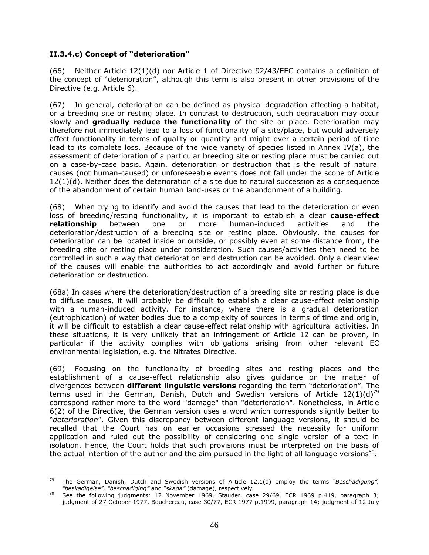# **II.3.4.c) Concept of "deterioration"**

(66) Neither Article 12(1)(d) nor Article 1 of Directive 92/43/EEC contains a definition of the concept of "deterioration", although this term is also present in other provisions of the Directive (e.g. Article 6).

(67) In general, deterioration can be defined as physical degradation affecting a habitat, or a breeding site or resting place. In contrast to destruction, such degradation may occur slowly and **gradually reduce the functionality** of the site or place. Deterioration may therefore not immediately lead to a loss of functionality of a site/place, but would adversely affect functionality in terms of quality or quantity and might over a certain period of time lead to its complete loss. Because of the wide variety of species listed in Annex IV(a), the assessment of deterioration of a particular breeding site or resting place must be carried out on a case-by-case basis. Again, deterioration or destruction that is the result of natural causes (not human-caused) or unforeseeable events does not fall under the scope of Article 12(1)(d). Neither does the deterioration of a site due to natural succession as a consequence of the abandonment of certain human land-uses or the abandonment of a building.

(68) When trying to identify and avoid the causes that lead to the deterioration or even loss of breeding/resting functionality, it is important to establish a clear **cause-effect relationship** between one or more human-induced activities and the deterioration/destruction of a breeding site or resting place. Obviously, the causes for deterioration can be located inside or outside, or possibly even at some distance from, the breeding site or resting place under consideration. Such causes/activities then need to be controlled in such a way that deterioration and destruction can be avoided. Only a clear view of the causes will enable the authorities to act accordingly and avoid further or future deterioration or destruction.

(68a) In cases where the deterioration/destruction of a breeding site or resting place is due to diffuse causes, it will probably be difficult to establish a clear cause-effect relationship with a human-induced activity. For instance, where there is a gradual deterioration (eutrophication) of water bodies due to a complexity of sources in terms of time and origin, it will be difficult to establish a clear cause-effect relationship with agricultural activities. In these situations, it is very unlikely that an infringement of Article 12 can be proven, in particular if the activity complies with obligations arising from other relevant EC environmental legislation, e.g. the Nitrates Directive.

(69) Focusing on the functionality of breeding sites and resting places and the establishment of a cause-effect relationship also gives guidance on the matter of divergences between **different linguistic versions** regarding the term "deterioration". The terms used in the German, Danish, Dutch and Swedish versions of Article  $12(1)(d)^{79}$ correspond rather more to the word "damage" than "deterioration". Nonetheless, in Article 6(2) of the Directive, the German version uses a word which corresponds slightly better to "*deterioration*". Given this discrepancy between different language versions, it should be recalled that the Court has on earlier occasions stressed the necessity for uniform application and ruled out the possibility of considering one single version of a text in isolation. Hence, the Court holds that such provisions must be interpreted on the basis of the actual intention of the author and the aim pursued in the light of all language versions<sup>80</sup>.

<sup>&</sup>lt;u>.</u> 79 The German, Danish, Dutch and Swedish versions of Article 12.1(d) employ the terms *"Beschädigung",* 

<sup>&</sup>lt;sup>80</sup> See the following judgments: 12 November 1969, Stauder, case 29/69, ECR 1969 p.419, paragraph 3; judgment of 27 October 1977, Bouchereau, case 30/77, ECR 1977 p.1999, paragraph 14; judgment of 12 July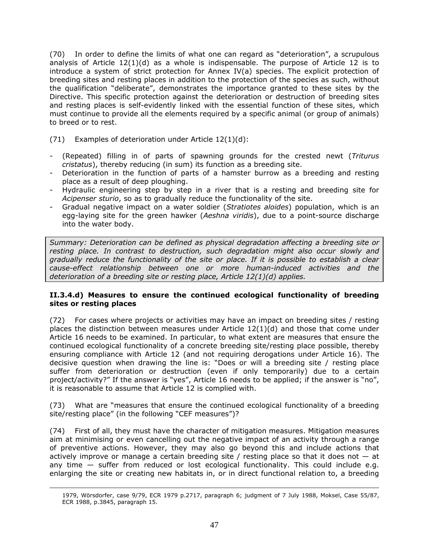(70) In order to define the limits of what one can regard as "deterioration", a scrupulous analysis of Article 12(1)(d) as a whole is indispensable. The purpose of Article 12 is to introduce a system of strict protection for Annex IV(a) species. The explicit protection of breeding sites and resting places in addition to the protection of the species as such, without the qualification "deliberate", demonstrates the importance granted to these sites by the Directive. This specific protection against the deterioration or destruction of breeding sites and resting places is self-evidently linked with the essential function of these sites, which must continue to provide all the elements required by a specific animal (or group of animals) to breed or to rest.

(71) Examples of deterioration under Article 12(1)(d):

<u>.</u>

- (Repeated) filling in of parts of spawning grounds for the crested newt (*Triturus cristatus*), thereby reducing (in sum) its function as a breeding site.
- Deterioration in the function of parts of a hamster burrow as a breeding and resting place as a result of deep ploughing.
- Hydraulic engineering step by step in a river that is a resting and breeding site for *Acipenser sturio*, so as to gradually reduce the functionality of the site.
- Gradual negative impact on a water soldier (*Stratiotes aloides*) population, which is an egg-laying site for the green hawker (*Aeshna viridis*), due to a point-source discharge into the water body.

*Summary: Deterioration can be defined as physical degradation affecting a breeding site or resting place. In contrast to destruction, such degradation might also occur slowly and gradually reduce the functionality of the site or place. If it is possible to establish a clear cause-effect relationship between one or more human-induced activities and the deterioration of a breeding site or resting place, Article 12(1)(d) applies.* 

### **II.3.4.d) Measures to ensure the continued ecological functionality of breeding sites or resting places**

(72) For cases where projects or activities may have an impact on breeding sites / resting places the distinction between measures under Article 12(1)(d) and those that come under Article 16 needs to be examined. In particular, to what extent are measures that ensure the continued ecological functionality of a concrete breeding site/resting place possible, thereby ensuring compliance with Article 12 (and not requiring derogations under Article 16). The decisive question when drawing the line is: "Does or will a breeding site / resting place suffer from deterioration or destruction (even if only temporarily) due to a certain project/activity?" If the answer is "yes", Article 16 needs to be applied; if the answer is "no", it is reasonable to assume that Article 12 is complied with.

(73) What are "measures that ensure the continued ecological functionality of a breeding site/resting place" (in the following "CEF measures")?

(74) First of all, they must have the character of mitigation measures. Mitigation measures aim at minimising or even cancelling out the negative impact of an activity through a range of preventive actions. However, they may also go beyond this and include actions that actively improve or manage a certain breeding site / resting place so that it does not  $-$  at any time — suffer from reduced or lost ecological functionality. This could include e.g. enlarging the site or creating new habitats in, or in direct functional relation to, a breeding

<sup>1979,</sup> Wörsdorfer, case 9/79, ECR 1979 p.2717, paragraph 6; judgment of 7 July 1988, Moksel, Case 55/87, ECR 1988, p.3845, paragraph 15.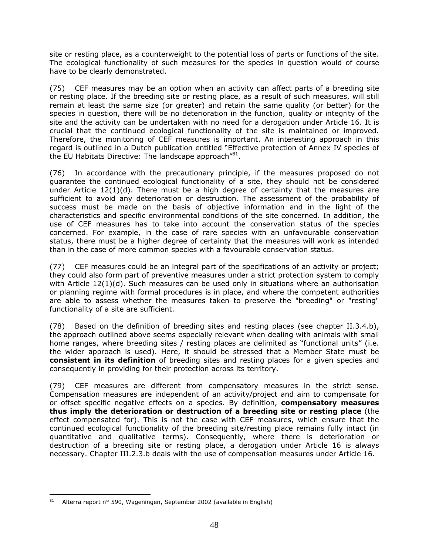site or resting place, as a counterweight to the potential loss of parts or functions of the site. The ecological functionality of such measures for the species in question would of course have to be clearly demonstrated.

(75) CEF measures may be an option when an activity can affect parts of a breeding site or resting place. If the breeding site or resting place, as a result of such measures, will still remain at least the same size (or greater) and retain the same quality (or better) for the species in question, there will be no deterioration in the function, quality or integrity of the site and the activity can be undertaken with no need for a derogation under Article 16. It is crucial that the continued ecological functionality of the site is maintained or improved. Therefore, the monitoring of CEF measures is important. An interesting approach in this regard is outlined in a Dutch publication entitled "Effective protection of Annex IV species of the EU Habitats Directive: The landscape approach $^{\prime\prime81}$ .

(76) In accordance with the precautionary principle, if the measures proposed do not guarantee the continued ecological functionality of a site, they should not be considered under Article  $12(1)(d)$ . There must be a high degree of certainty that the measures are sufficient to avoid any deterioration or destruction. The assessment of the probability of success must be made on the basis of objective information and in the light of the characteristics and specific environmental conditions of the site concerned. In addition, the use of CEF measures has to take into account the conservation status of the species concerned. For example, in the case of rare species with an unfavourable conservation status, there must be a higher degree of certainty that the measures will work as intended than in the case of more common species with a favourable conservation status.

(77) CEF measures could be an integral part of the specifications of an activity or project; they could also form part of preventive measures under a strict protection system to comply with Article 12(1)(d). Such measures can be used only in situations where an authorisation or planning regime with formal procedures is in place, and where the competent authorities are able to assess whether the measures taken to preserve the "breeding" or "resting" functionality of a site are sufficient.

(78) Based on the definition of breeding sites and resting places (see chapter II.3.4.b), the approach outlined above seems especially relevant when dealing with animals with small home ranges, where breeding sites / resting places are delimited as "functional units" (i.e. the wider approach is used). Here, it should be stressed that a Member State must be **consistent in its definition** of breeding sites and resting places for a given species and consequently in providing for their protection across its territory.

(79) CEF measures are different from compensatory measures in the strict sense*.*  Compensation measures are independent of an activity/project and aim to compensate for or offset specific negative effects on a species. By definition, **compensatory measures thus imply the deterioration or destruction of a breeding site or resting place** (the effect compensated for). This is not the case with CEF measures, which ensure that the continued ecological functionality of the breeding site/resting place remains fully intact (in quantitative and qualitative terms). Consequently, where there is deterioration or destruction of a breeding site or resting place, a derogation under Article 16 is always necessary. Chapter III.2.3.b deals with the use of compensation measures under Article 16.

<sup>&</sup>lt;u>.</u> 81 Alterra report n° 590, Wageningen, September 2002 (available in English)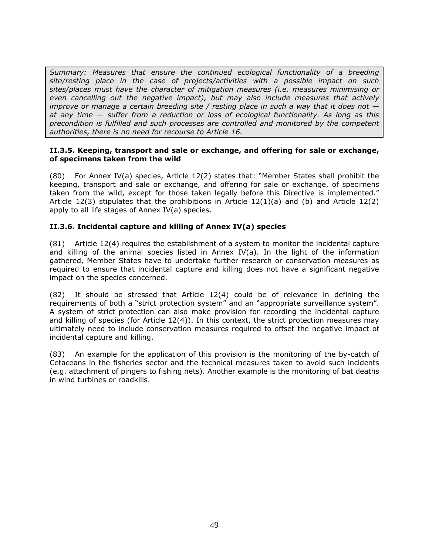*Summary: Measures that ensure the continued ecological functionality of a breeding site/resting place in the case of projects/activities with a possible impact on such sites/places must have the character of mitigation measures (i.e. measures minimising or even cancelling out the negative impact), but may also include measures that actively improve or manage a certain breeding site / resting place in such a way that it does not at any time — suffer from a reduction or loss of ecological functionality. As long as this precondition is fulfilled and such processes are controlled and monitored by the competent authorities, there is no need for recourse to Article 16.* 

#### **II.3.5. Keeping, transport and sale or exchange, and offering for sale or exchange, of specimens taken from the wild**

(80) For Annex IV(a) species, Article 12(2) states that: "Member States shall prohibit the keeping, transport and sale or exchange, and offering for sale or exchange, of specimens taken from the wild, except for those taken legally before this Directive is implemented." Article 12(3) stipulates that the prohibitions in Article 12(1)(a) and (b) and Article 12(2) apply to all life stages of Annex IV(a) species.

### **II.3.6. Incidental capture and killing of Annex IV(a) species**

(81) Article 12(4) requires the establishment of a system to monitor the incidental capture and killing of the animal species listed in Annex IV(a). In the light of the information gathered, Member States have to undertake further research or conservation measures as required to ensure that incidental capture and killing does not have a significant negative impact on the species concerned.

(82) It should be stressed that Article 12(4) could be of relevance in defining the requirements of both a "strict protection system" and an "appropriate surveillance system". A system of strict protection can also make provision for recording the incidental capture and killing of species (for Article 12(4)). In this context, the strict protection measures may ultimately need to include conservation measures required to offset the negative impact of incidental capture and killing.

(83) An example for the application of this provision is the monitoring of the by-catch of Cetaceans in the fisheries sector and the technical measures taken to avoid such incidents (e.g. attachment of pingers to fishing nets). Another example is the monitoring of bat deaths in wind turbines or roadkills.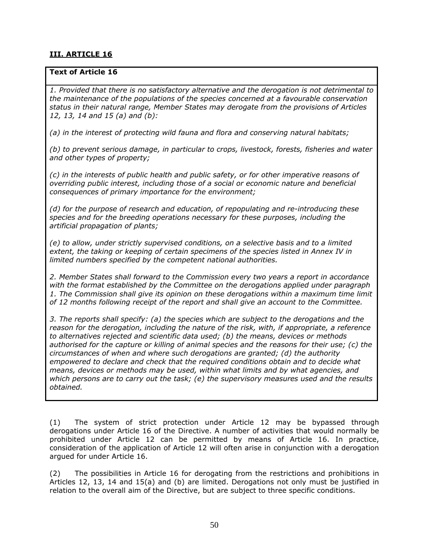# **III. ARTICLE 16**

### **Text of Article 16**

*1. Provided that there is no satisfactory alternative and the derogation is not detrimental to the maintenance of the populations of the species concerned at a favourable conservation status in their natural range, Member States may derogate from the provisions of Articles 12, 13, 14 and 15 (a) and (b):* 

*(a) in the interest of protecting wild fauna and flora and conserving natural habitats;* 

*(b) to prevent serious damage, in particular to crops, livestock, forests, fisheries and water and other types of property;* 

*(c) in the interests of public health and public safety, or for other imperative reasons of overriding public interest, including those of a social or economic nature and beneficial consequences of primary importance for the environment;* 

*(d) for the purpose of research and education, of repopulating and re-introducing these species and for the breeding operations necessary for these purposes, including the artificial propagation of plants;* 

*(e) to allow, under strictly supervised conditions, on a selective basis and to a limited extent, the taking or keeping of certain specimens of the species listed in Annex IV in limited numbers specified by the competent national authorities.* 

*2. Member States shall forward to the Commission every two years a report in accordance with the format established by the Committee on the derogations applied under paragraph 1. The Commission shall give its opinion on these derogations within a maximum time limit of 12 months following receipt of the report and shall give an account to the Committee.* 

*3. The reports shall specify: (a) the species which are subject to the derogations and the reason for the derogation, including the nature of the risk, with, if appropriate, a reference to alternatives rejected and scientific data used; (b) the means, devices or methods authorised for the capture or killing of animal species and the reasons for their use; (c) the circumstances of when and where such derogations are granted; (d) the authority empowered to declare and check that the required conditions obtain and to decide what means, devices or methods may be used, within what limits and by what agencies, and which persons are to carry out the task; (e) the supervisory measures used and the results obtained.*

(1) The system of strict protection under Article 12 may be bypassed through derogations under Article 16 of the Directive. A number of activities that would normally be prohibited under Article 12 can be permitted by means of Article 16. In practice, consideration of the application of Article 12 will often arise in conjunction with a derogation argued for under Article 16.

(2) The possibilities in Article 16 for derogating from the restrictions and prohibitions in Articles 12, 13, 14 and 15(a) and (b) are limited. Derogations not only must be justified in relation to the overall aim of the Directive, but are subject to three specific conditions.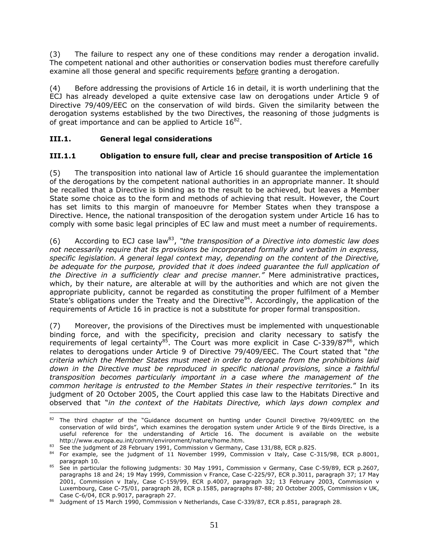(3) The failure to respect any one of these conditions may render a derogation invalid. The competent national and other authorities or conservation bodies must therefore carefully examine all those general and specific requirements before granting a derogation.

(4) Before addressing the provisions of Article 16 in detail, it is worth underlining that the ECJ has already developed a quite extensive case law on derogations under Article 9 of Directive 79/409/EEC on the conservation of wild birds. Given the similarity between the derogation systems established by the two Directives, the reasoning of those judgments is of great importance and can be applied to Article  $16^{82}$ .

# **III.1. General legal considerations**

# **III.1.1 Obligation to ensure full, clear and precise transposition of Article 16**

(5) The transposition into national law of Article 16 should guarantee the implementation of the derogations by the competent national authorities in an appropriate manner. It should be recalled that a Directive is binding as to the result to be achieved, but leaves a Member State some choice as to the form and methods of achieving that result. However, the Court has set limits to this margin of manoeuvre for Member States when they transpose a Directive. Hence, the national transposition of the derogation system under Article 16 has to comply with some basic legal principles of EC law and must meet a number of requirements.

(6) According to ECJ case law83, *"the transposition of a Directive into domestic law does not necessarily require that its provisions be incorporated formally and verbatim in express, specific legislation. A general legal context may, depending on the content of the Directive,*  be adequate for the purpose, provided that it does indeed quarantee the full application of *the Directive in a sufficiently clear and precise manner."* Mere administrative practices, which, by their nature, are alterable at will by the authorities and which are not given the appropriate publicity, cannot be regarded as constituting the proper fulfilment of a Member State's obligations under the Treaty and the Directive<sup>84</sup>. Accordingly, the application of the requirements of Article 16 in practice is not a substitute for proper formal transposition.

(7) Moreover, the provisions of the Directives must be implemented with unquestionable binding force, and with the specificity, precision and clarity necessary to satisfy the requirements of legal certainty<sup>85</sup>. The Court was more explicit in Case C-339/87<sup>86</sup>, which relates to derogations under Article 9 of Directive 79/409/EEC. The Court stated that "*the criteria which the Member States must meet in order to derogate from the prohibitions laid*  down in the Directive must be reproduced in specific national provisions, since a faithful *transposition becomes particularly important in a case where the management of the common heritage is entrusted to the Member States in their respective territories.*" In its judgment of 20 October 2005, the Court applied this case law to the Habitats Directive and observed that "*in the context of the Habitats Directive, which lays down complex and* 

<sup>1</sup>  $82$  The third chapter of the "Guidance document on hunting under Council Directive 79/409/EEC on the conservation of wild birds", which examines the derogation system under Article 9 of the Birds Directive, is a useful reference for the understanding of Article 16. The document is available on the website

http://www.europa.eu.int/comm/environment/nature/home.htm.<br><sup>83</sup> See the judgment of 28 February 1991, Commission v Germany, Case 131/88, ECR p.825.<br><sup>84</sup> For example, see the judgment of 11 November 1999, Commission v Ital

paragraph 10.<br><sup>85</sup> See in particular the following judgments: 30 May 1991, Commission v Germany, Case C-59/89, ECR p.2607, paragraphs 18 and 24; 19 May 1999, Commission v France, Case C-225/97, ECR p.3011, paragraph 37; 17 May 2001, Commission v Italy, Case C-159/99, ECR p.4007, paragraph 32; 13 February 2003, Commission v Luxembourg, Case C-75/01, paragraph 28, ECR p.1585, paragraphs 87-88; 20 October 2005, Commission v UK,

Case C-6/04, ECR p.9017, paragraph 27.<br><sup>86</sup> Judgment of 15 March 1990, Commission v Netherlands, Case C-339/87, ECR p.851, paragraph 28.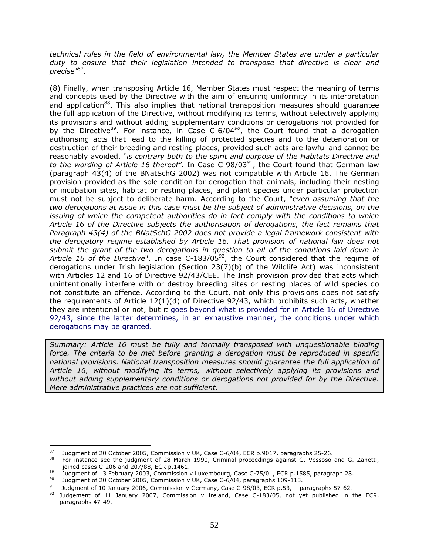*technical rules in the field of environmental law, the Member States are under a particular duty to ensure that their legislation intended to transpose that directive is clear and precise"*87.

(8) Finally, when transposing Article 16, Member States must respect the meaning of terms and concepts used by the Directive with the aim of ensuring uniformity in its interpretation and application<sup>88</sup>. This also implies that national transposition measures should guarantee the full application of the Directive, without modifying its terms, without selectively applying its provisions and without adding supplementary conditions or derogations not provided for by the Directive<sup>89</sup>. For instance, in Case C-6/04<sup>90</sup>, the Court found that a derogation authorising acts that lead to the killing of protected species and to the deterioration or destruction of their breeding and resting places, provided such acts are lawful and cannot be reasonably avoided, *"is contrary both to the spirit and purpose of the Habitats Directive and*  to the wording of Article 16 thereof". In Case C-98/03<sup>91</sup>, the Court found that German law (paragraph 43(4) of the BNatSchG 2002) was not compatible with Article 16. The German provision provided as the sole condition for derogation that animals, including their nesting or incubation sites, habitat or resting places, and plant species under particular protection must not be subject to deliberate harm. According to the Court, "*even assuming that the two derogations at issue in this case must be the subject of administrative decisions, on the issuing of which the competent authorities do in fact comply with the conditions to which Article 16 of the Directive subjects the authorisation of derogations, the fact remains that Paragraph 43(4) of the BNatSchG 2002 does not provide a legal framework consistent with the derogatory regime established by Article 16. That provision of national law does not submit the grant of the two derogations in question to all of the conditions laid down in*  Article 16 of the Directive". In case C-183/05<sup>92</sup>, the Court considered that the regime of derogations under Irish legislation (Section 23(7)(b) of the Wildlife Act) was inconsistent with Articles 12 and 16 of Directive 92/43/CEE. The Irish provision provided that acts which unintentionally interfere with or destroy breeding sites or resting places of wild species do not constitute an offence. According to the Court, not only this provisions does not satisfy the requirements of Article 12(1)(d) of Directive 92/43, which prohibits such acts, whether they are intentional or not, but it goes beyond what is provided for in Article 16 of Directive 92/43, since the latter determines, in an exhaustive manner, the conditions under which derogations may be granted.

*Summary: Article 16 must be fully and formally transposed with unquestionable binding force. The criteria to be met before granting a derogation must be reproduced in specific national provisions. National transposition measures should guarantee the full application of Article 16, without modifying its terms, without selectively applying its provisions and without adding supplementary conditions or derogations not provided for by the Directive. Mere administrative practices are not sufficient.* 

1

<sup>&</sup>lt;sup>87</sup> Judgment of 20 October 2005, Commission v UK, Case C-6/04, ECR p.9017, paragraphs 25-26.<br><sup>88</sup> For instance see the judgment of 28 March 1990, Criminal proceedings against G. Vessoso and G. Zanetti,

joined cases C-206 and 207/88, ECR p.1461.<br><sup>89</sup> Judgment of 13 February 2003, Commission v Luxembourg, Case C-75/01, ECR p.1585, paragraph 28.<br><sup>90</sup> Judgment of 20 October 2005, Commission v UK, Case C-6/04, paragraphs 109-

<sup>&</sup>lt;sup>91</sup> Judgment of 10 January 2006, Commission v Germany, Case C-98/03, ECR p.53, paragraphs 57-62.

 $92$  Judgement of 11 January 2007, Commission v Ireland, Case C-183/05, not yet published in the ECR, paragraphs 47-49.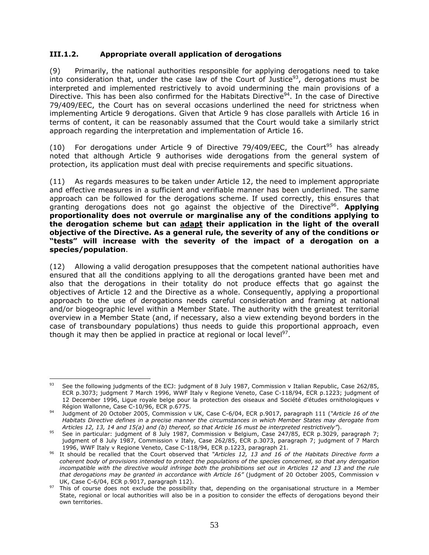### **III.1.2. Appropriate overall application of derogations**

(9) Primarily, the national authorities responsible for applying derogations need to take into consideration that, under the case law of the Court of Justice<sup>93</sup>, derogations must be interpreted and implemented restrictively to avoid undermining the main provisions of a Directive. This has been also confirmed for the Habitats Directive<sup>94</sup>. In the case of Directive 79/409/EEC, the Court has on several occasions underlined the need for strictness when implementing Article 9 derogations. Given that Article 9 has close parallels with Article 16 in terms of content, it can be reasonably assumed that the Court would take a similarly strict approach regarding the interpretation and implementation of Article 16.

(10) For derogations under Article 9 of Directive 79/409/EEC, the Court<sup>95</sup> has already noted that although Article 9 authorises wide derogations from the general system of protection, its application must deal with precise requirements and specific situations.

(11) As regards measures to be taken under Article 12, the need to implement appropriate and effective measures in a sufficient and verifiable manner has been underlined. The same approach can be followed for the derogations scheme. If used correctly, this ensures that granting derogations does not go against the objective of the Directive<sup>96</sup>. Applying **proportionality does not overrule or marginalise any of the conditions applying to the derogation scheme but can adapt their application in the light of the overall objective of the Directive. As a general rule, the severity of any of the conditions or "tests" will increase with the severity of the impact of a derogation on a species/population**.

(12) Allowing a valid derogation presupposes that the competent national authorities have ensured that all the conditions applying to all the derogations granted have been met and also that the derogations in their totality do not produce effects that go against the objectives of Article 12 and the Directive as a whole. Consequently, applying a proportional approach to the use of derogations needs careful consideration and framing at national and/or biogeographic level within a Member State. The authority with the greatest territorial overview in a Member State (and, if necessary, also a view extending beyond borders in the case of transboundary populations) thus needs to guide this proportional approach, even though it may then be applied in practice at regional or local level<sup>97</sup>.

<sup>93</sup> 93 See the following judgments of the ECJ: judgment of 8 July 1987, Commission v Italian Republic, Case 262/85, ECR p.3073; judgment 7 March 1996, WWF Italy v Regione Veneto, Case C-118/94, ECR p.1223; judgment of 12 December 1996, Ligue royale belge pour la protection des oiseaux and Société d'études ornithologiques v

Région Wallonne, Case C-10/96, ECR p.6775. 94 Judgment of 20 October 2005, Commission v UK, Case C-6/04, ECR p.9017, paragraph 111 (*"Article 16 of the Habitats Directive defines in a precise manner the circumstances in which Member States may derogate from* 

*Articles 12, 13, 14 and 15(a) and (b) thereof, so that Article 16 must be interpreted restrictively"*). <br><sup>95</sup> See in particular: judgment of 8 July 1987, Commission v Belgium, Case 247/85, ECR p.3029, paragraph 7; judgment of 8 July 1987, Commission v Italy, Case 262/85, ECR p.3073, paragraph 7; judgment of 7 March

<sup>1996,</sup> WWF Italy v Regione Veneto, Case C-118/94, ECR p.1223, paragraph 21. 96 It should be recalled that the Court observed that *"Articles 12, 13 and 16 of the Habitats Directive form a coherent body of provisions intended to protect the populations of the species concerned, so that any derogation*  incompatible with the directive would infringe both the prohibitions set out in Articles 12 and 13 and the rule *that derogations may be granted in accordance with Article 16"* (judgment of 20 October 2005, Commission v<br>UK, Case C-6/04, ECR p.9017, paragraph 112).

<sup>&</sup>lt;sup>97</sup> This of course does not exclude the possibility that, depending on the organisational structure in a Member State, regional or local authorities will also be in a position to consider the effects of derogations beyond their own territories.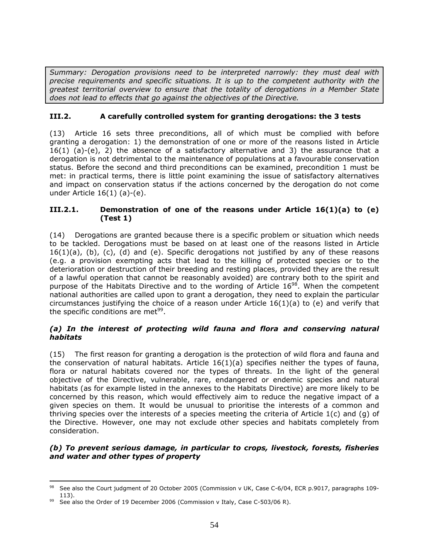*Summary: Derogation provisions need to be interpreted narrowly: they must deal with precise requirements and specific situations. It is up to the competent authority with the greatest territorial overview to ensure that the totality of derogations in a Member State does not lead to effects that go against the objectives of the Directive.* 

# **III.2. A carefully controlled system for granting derogations: the 3 tests**

(13) Article 16 sets three preconditions, all of which must be complied with before granting a derogation: 1) the demonstration of one or more of the reasons listed in Article  $16(1)$  (a)-(e), 2) the absence of a satisfactory alternative and 3) the assurance that a derogation is not detrimental to the maintenance of populations at a favourable conservation status. Before the second and third preconditions can be examined, precondition 1 must be met: in practical terms, there is little point examining the issue of satisfactory alternatives and impact on conservation status if the actions concerned by the derogation do not come under Article 16(1) (a)-(e).

## **III.2.1. Demonstration of one of the reasons under Article 16(1)(a) to (e) (Test 1)**

(14) Derogations are granted because there is a specific problem or situation which needs to be tackled. Derogations must be based on at least one of the reasons listed in Article  $16(1)(a)$ , (b), (c), (d) and (e). Specific derogations not justified by any of these reasons (e.g. a provision exempting acts that lead to the killing of protected species or to the deterioration or destruction of their breeding and resting places, provided they are the result of a lawful operation that cannot be reasonably avoided) are contrary both to the spirit and purpose of the Habitats Directive and to the wording of Article  $16^{98}$ . When the competent national authorities are called upon to grant a derogation, they need to explain the particular circumstances justifying the choice of a reason under Article  $16(1)(a)$  to (e) and verify that the specific conditions are met $99$ .

# (a) In the interest of protecting wild fauna and flora and conserving natural *habitats*

(15) The first reason for granting a derogation is the protection of wild flora and fauna and the conservation of natural habitats. Article  $16(1)(a)$  specifies neither the types of fauna, flora or natural habitats covered nor the types of threats. In the light of the general objective of the Directive, vulnerable, rare, endangered or endemic species and natural habitats (as for example listed in the annexes to the Habitats Directive) are more likely to be concerned by this reason, which would effectively aim to reduce the negative impact of a given species on them. It would be unusual to prioritise the interests of a common and thriving species over the interests of a species meeting the criteria of Article  $1(c)$  and (g) of the Directive. However, one may not exclude other species and habitats completely from consideration.

# *(b) To prevent serious damage, in particular to crops, livestock, forests, fisheries and water and other types of property*

<sup>&</sup>lt;u>.</u> <sup>98</sup> See also the Court judgment of 20 October 2005 (Commission v UK, Case C-6/04, ECR p.9017, paragraphs 109-

<sup>113). 99</sup> See also the Order of 19 December 2006 (Commission v Italy, Case C-503/06 R).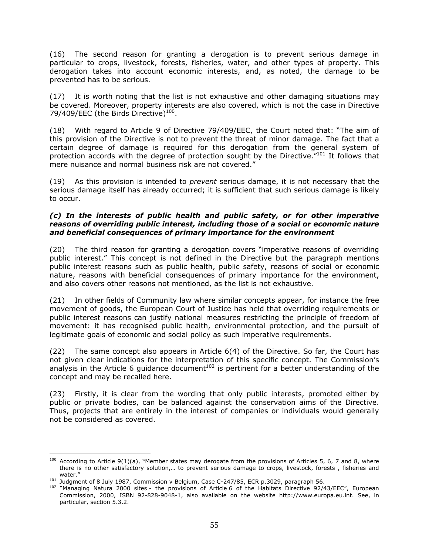(16) The second reason for granting a derogation is to prevent serious damage in particular to crops, livestock, forests, fisheries, water, and other types of property. This derogation takes into account economic interests, and, as noted, the damage to be prevented has to be serious.

(17) It is worth noting that the list is not exhaustive and other damaging situations may be covered. Moreover, property interests are also covered, which is not the case in Directive 79/409/EEC (the Birds Directive) $100$ .

(18) With regard to Article 9 of Directive 79/409/EEC, the Court noted that: "The aim of this provision of the Directive is not to prevent the threat of minor damage. The fact that a certain degree of damage is required for this derogation from the general system of protection accords with the degree of protection sought by the Directive. $10^{10}$  It follows that mere nuisance and normal business risk are not covered."

(19) As this provision is intended to *prevent* serious damage, it is not necessary that the serious damage itself has already occurred; it is sufficient that such serious damage is likely to occur.

#### *(c) In the interests of public health and public safety, or for other imperative reasons of overriding public interest, including those of a social or economic nature and beneficial consequences of primary importance for the environment*

(20) The third reason for granting a derogation covers "imperative reasons of overriding public interest." This concept is not defined in the Directive but the paragraph mentions public interest reasons such as public health, public safety, reasons of social or economic nature, reasons with beneficial consequences of primary importance for the environment, and also covers other reasons not mentioned, as the list is not exhaustive.

(21) In other fields of Community law where similar concepts appear, for instance the free movement of goods, the European Court of Justice has held that overriding requirements or public interest reasons can justify national measures restricting the principle of freedom of movement: it has recognised public health, environmental protection, and the pursuit of legitimate goals of economic and social policy as such imperative requirements.

(22) The same concept also appears in Article 6(4) of the Directive. So far, the Court has not given clear indications for the interpretation of this specific concept. The Commission's analysis in the Article 6 quidance document<sup>102</sup> is pertinent for a better understanding of the concept and may be recalled here.

(23) Firstly, it is clear from the wording that only public interests, promoted either by public or private bodies, can be balanced against the conservation aims of the Directive. Thus, projects that are entirely in the interest of companies or individuals would generally not be considered as covered.

1

 $100$  According to Article 9(1)(a), "Member states may derogate from the provisions of Articles 5, 6, 7 and 8, where there is no other satisfactory solution,… to prevent serious damage to crops, livestock, forests , fisheries and

water."<br><sup>101</sup> Judgment of 8 July 1987, Commission v Belgium, Case C-247/85, ECR p.3029, paragraph 56.<br><sup>102</sup> "Managing Natura 2000 sites - the provisions of Article 6 of the Habitats Directive 92/43/EEC", European Commission, 2000, ISBN 92-828-9048-1, also available on the website http://www.europa.eu.int. See, in particular, section 5.3.2.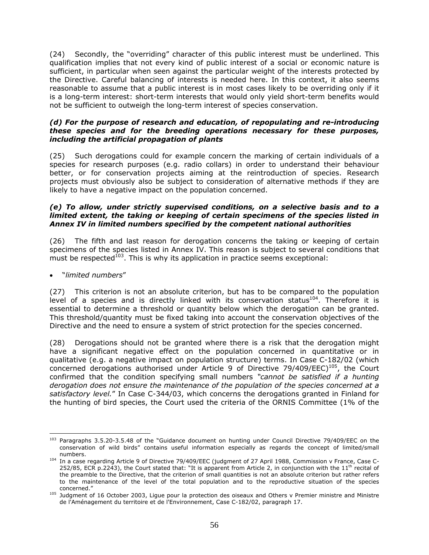(24) Secondly, the "overriding" character of this public interest must be underlined. This qualification implies that not every kind of public interest of a social or economic nature is sufficient, in particular when seen against the particular weight of the interests protected by the Directive. Careful balancing of interests is needed here. In this context, it also seems reasonable to assume that a public interest is in most cases likely to be overriding only if it is a long-term interest: short-term interests that would only yield short-term benefits would not be sufficient to outweigh the long-term interest of species conservation.

#### *(d) For the purpose of research and education, of repopulating and re-introducing these species and for the breeding operations necessary for these purposes, including the artificial propagation of plants*

(25) Such derogations could for example concern the marking of certain individuals of a species for research purposes (e.g. radio collars) in order to understand their behaviour better, or for conservation projects aiming at the reintroduction of species. Research projects must obviously also be subject to consideration of alternative methods if they are likely to have a negative impact on the population concerned.

#### *(e) To allow, under strictly supervised conditions, on a selective basis and to a limited extent, the taking or keeping of certain specimens of the species listed in Annex IV in limited numbers specified by the competent national authorities*

(26) The fifth and last reason for derogation concerns the taking or keeping of certain specimens of the species listed in Annex IV. This reason is subject to several conditions that must be respected<sup>103</sup>. This is why its application in practice seems exceptional:

### • "*limited numbers*"

(27) This criterion is not an absolute criterion, but has to be compared to the population level of a species and is directly linked with its conservation status $104$ . Therefore it is essential to determine a threshold or quantity below which the derogation can be granted. This threshold/quantity must be fixed taking into account the conservation objectives of the Directive and the need to ensure a system of strict protection for the species concerned.

(28) Derogations should not be granted where there is a risk that the derogation might have a significant negative effect on the population concerned in quantitative or in qualitative (e.g. a negative impact on population structure) terms. In Case C-182/02 (which concerned derogations authorised under Article 9 of Directive  $79/409/EEC)^{105}$ , the Court confirmed that the condition specifying small numbers *"cannot be satisfied if a hunting derogation does not ensure the maintenance of the population of the species concerned at a satisfactory level.*" In Case C-344/03, which concerns the derogations granted in Finland for the hunting of bird species, the Court used the criteria of the ORNIS Committee (1% of the

<sup>1</sup> 103 Paragraphs 3.5.20-3.5.48 of the "Guidance document on hunting under Council Directive 79/409/EEC on the conservation of wild birds" contains useful information especially as regards the concept of limited/small

numbers.<br><sup>104</sup> In a case regarding Article 9 of Directive 79/409/EEC (judgment of 27 April 1988, Commission v France, Case C-252/85, ECR p.2243), the Court stated that: "It is apparent from Article 2, in conjunction with the  $11<sup>th</sup>$  recital of the preamble to the Directive, that the criterion of small quantities is not an absolute criterion but rather refers to the maintenance of the level of the total population and to the reproductive situation of the species

concerned." 105 Judgment of 16 October 2003, Ligue pour la protection des oiseaux and Others v Premier ministre and Ministre de l'Aménagement du territoire et de l'Environnement, Case C-182/02, paragraph 17.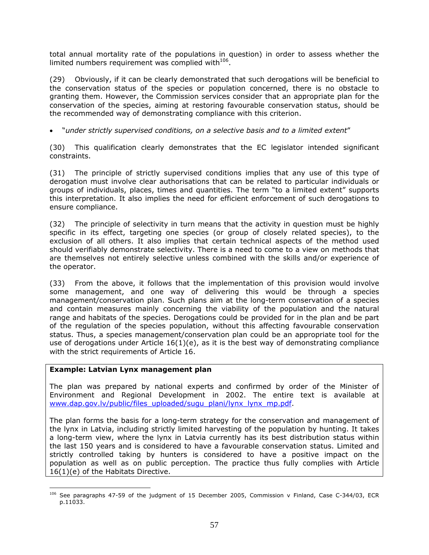total annual mortality rate of the populations in question) in order to assess whether the limited numbers requirement was complied with $106$ .

(29) Obviously, if it can be clearly demonstrated that such derogations will be beneficial to the conservation status of the species or population concerned, there is no obstacle to granting them. However, the Commission services consider that an appropriate plan for the conservation of the species, aiming at restoring favourable conservation status, should be the recommended way of demonstrating compliance with this criterion.

• "*under strictly supervised conditions, on a selective basis and to a limited extent*"

(30) This qualification clearly demonstrates that the EC legislator intended significant constraints.

(31) The principle of strictly supervised conditions implies that any use of this type of derogation must involve clear authorisations that can be related to particular individuals or groups of individuals, places, times and quantities. The term "to a limited extent" supports this interpretation. It also implies the need for efficient enforcement of such derogations to ensure compliance.

(32) The principle of selectivity in turn means that the activity in question must be highly specific in its effect, targeting one species (or group of closely related species), to the exclusion of all others. It also implies that certain technical aspects of the method used should verifiably demonstrate selectivity. There is a need to come to a view on methods that are themselves not entirely selective unless combined with the skills and/or experience of the operator.

(33) From the above, it follows that the implementation of this provision would involve some management, and one way of delivering this would be through a species management/conservation plan. Such plans aim at the long-term conservation of a species and contain measures mainly concerning the viability of the population and the natural range and habitats of the species. Derogations could be provided for in the plan and be part of the regulation of the species population, without this affecting favourable conservation status. Thus, a species management/conservation plan could be an appropriate tool for the use of derogations under Article 16(1)(e), as it is the best way of demonstrating compliance with the strict requirements of Article 16.

#### **Example: Latvian Lynx management plan**

The plan was prepared by national experts and confirmed by order of the Minister of Environment and Regional Development in 2002. The entire text is available at [www.dap.gov.lv/public/files\\_uploaded/sugu\\_plani/lynx\\_lynx\\_mp.pdf.](http://www.dap.gov.lv/public/files_uploaded/sugu_plani/lynx_lynx_mp.pdf)

The plan forms the basis for a long-term strategy for the conservation and management of the lynx in Latvia, including strictly limited harvesting of the population by hunting. It takes a long-term view, where the lynx in Latvia currently has its best distribution status within the last 150 years and is considered to have a favourable conservation status. Limited and strictly controlled taking by hunters is considered to have a positive impact on the population as well as on public perception. The practice thus fully complies with Article 16(1)(e) of the Habitats Directive.

<sup>&</sup>lt;u>.</u> <sup>106</sup> See paragraphs 47-59 of the judgment of 15 December 2005, Commission v Finland, Case C-344/03, ECR p.11033.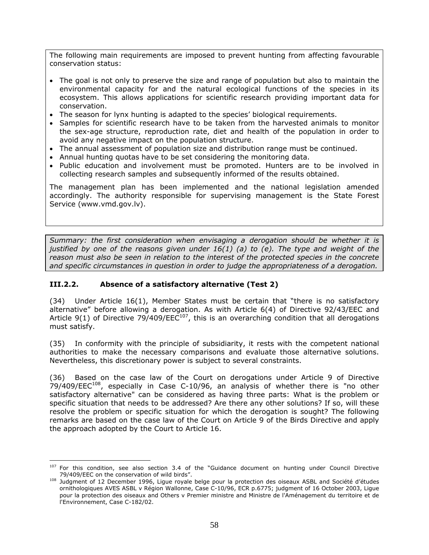The following main requirements are imposed to prevent hunting from affecting favourable conservation status:

- The goal is not only to preserve the size and range of population but also to maintain the environmental capacity for and the natural ecological functions of the species in its ecosystem. This allows applications for scientific research providing important data for conservation.
- The season for lynx hunting is adapted to the species' biological requirements.
- Samples for scientific research have to be taken from the harvested animals to monitor the sex-age structure, reproduction rate, diet and health of the population in order to avoid any negative impact on the population structure.
- The annual assessment of population size and distribution range must be continued.
- Annual hunting quotas have to be set considering the monitoring data.
- Public education and involvement must be promoted. Hunters are to be involved in collecting research samples and subsequently informed of the results obtained.

The management plan has been implemented and the national legislation amended accordingly. The authority responsible for supervising management is the State Forest Service (www.vmd.gov.lv).

*Summary: the first consideration when envisaging a derogation should be whether it is justified by one of the reasons given under 16(1) (a) to (e). The type and weight of the reason must also be seen in relation to the interest of the protected species in the concrete and specific circumstances in question in order to judge the appropriateness of a derogation.* 

### **III.2.2. Absence of a satisfactory alternative (Test 2)**

(34) Under Article 16(1), Member States must be certain that "there is no satisfactory alternative" before allowing a derogation. As with Article 6(4) of Directive 92/43/EEC and Article 9(1) of Directive 79/409/EEC<sup>107</sup>, this is an overarching condition that all derogations must satisfy.

(35) In conformity with the principle of subsidiarity, it rests with the competent national authorities to make the necessary comparisons and evaluate those alternative solutions. Nevertheless, this discretionary power is subject to several constraints.

(36) Based on the case law of the Court on derogations under Article 9 of Directive  $79/409/EEC^{108}$ , especially in Case C-10/96, an analysis of whether there is "no other satisfactory alternative" can be considered as having three parts: What is the problem or specific situation that needs to be addressed? Are there any other solutions? If so, will these resolve the problem or specific situation for which the derogation is sought? The following remarks are based on the case law of the Court on Article 9 of the Birds Directive and apply the approach adopted by the Court to Article 16.

<sup>1</sup> 107 For this condition, see also section 3.4 of the "Guidance document on hunting under Council Directive 79/409/EEC on the conservation of wild birds".

<sup>&</sup>lt;sup>108</sup> Judgment of 12 December 1996, Ligue royale belge pour la protection des oiseaux ASBL and Société d'études ornithologiques AVES ASBL v Région Wallonne, Case C-10/96, ECR p.6775; judgment of 16 October 2003, Ligue pour la protection des oiseaux and Others v Premier ministre and Ministre de l'Aménagement du territoire et de l'Environnement, Case C-182/02.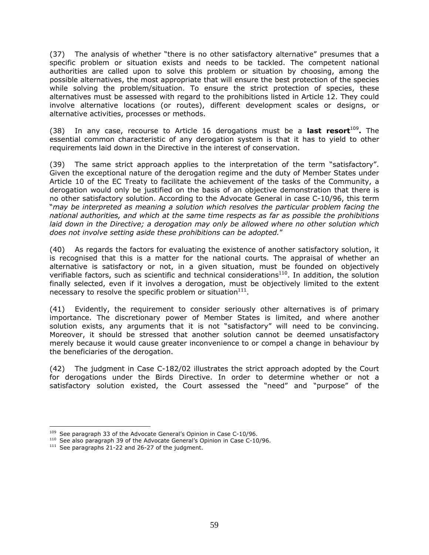(37) The analysis of whether "there is no other satisfactory alternative" presumes that a specific problem or situation exists and needs to be tackled. The competent national authorities are called upon to solve this problem or situation by choosing, among the possible alternatives, the most appropriate that will ensure the best protection of the species while solving the problem/situation. To ensure the strict protection of species, these alternatives must be assessed with regard to the prohibitions listed in Article 12. They could involve alternative locations (or routes), different development scales or designs, or alternative activities, processes or methods.

(38) In any case, recourse to Article 16 derogations must be a **last resort**<sup>109</sup>**.** The essential common characteristic of any derogation system is that it has to yield to other requirements laid down in the Directive in the interest of conservation.

(39) The same strict approach applies to the interpretation of the term "satisfactory". Given the exceptional nature of the derogation regime and the duty of Member States under Article 10 of the EC Treaty to facilitate the achievement of the tasks of the Community, a derogation would only be justified on the basis of an objective demonstration that there is no other satisfactory solution. According to the Advocate General in case C-10/96, this term "*may be interpreted as meaning a solution which resolves the particular problem facing the national authorities, and which at the same time respects as far as possible the prohibitions laid down in the Directive; a derogation may only be allowed where no other solution which does not involve setting aside these prohibitions can be adopted.*"

(40) As regards the factors for evaluating the existence of another satisfactory solution, it is recognised that this is a matter for the national courts*.* The appraisal of whether an alternative is satisfactory or not, in a given situation, must be founded on objectively verifiable factors, such as scientific and technical considerations<sup>110</sup>. In addition, the solution finally selected, even if it involves a derogation, must be objectively limited to the extent necessary to resolve the specific problem or situation $111$ .

(41) Evidently, the requirement to consider seriously other alternatives is of primary importance. The discretionary power of Member States is limited, and where another solution exists, any arguments that it is not "satisfactory" will need to be convincing. Moreover, it should be stressed that another solution cannot be deemed unsatisfactory merely because it would cause greater inconvenience to or compel a change in behaviour by the beneficiaries of the derogation.

(42) The judgment in Case C-182/02 illustrates the strict approach adopted by the Court for derogations under the Birds Directive. In order to determine whether or not a satisfactory solution existed, the Court assessed the "need" and "purpose" of the

1

<sup>&</sup>lt;sup>109</sup> See paragraph 33 of the Advocate General's Opinion in Case C-10/96.<br><sup>110</sup> See also paragraph 39 of the Advocate General's Opinion in Case C-10/96.<br><sup>111</sup> See paragraphs 21-22 and 26-27 of the judgment.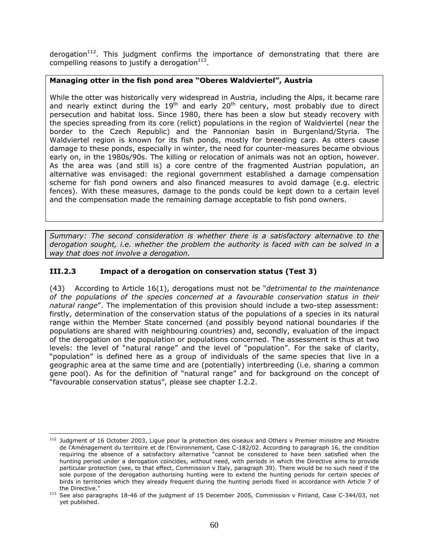derogation<sup>112</sup>. This judgment confirms the importance of demonstrating that there are compelling reasons to justify a derogation $113$ .

### **Managing otter in the fish pond area "Oberes Waldviertel", Austria**

While the otter was historically very widespread in Austria, including the Alps, it became rare and nearly extinct during the  $19<sup>th</sup>$  and early 20<sup>th</sup> century, most probably due to direct persecution and habitat loss. Since 1980, there has been a slow but steady recovery with the species spreading from its core (relict) populations in the region of Waldviertel (near the border to the Czech Republic) and the Pannonian basin in Burgenland/Styria. The Waldviertel region is known for its fish ponds, mostly for breeding carp. As otters cause damage to these ponds, especially in winter, the need for counter-measures became obvious early on, in the 1980s/90s. The killing or relocation of animals was not an option, however. As the area was (and still is) a core centre of the fragmented Austrian population, an alternative was envisaged: the regional government established a damage compensation scheme for fish pond owners and also financed measures to avoid damage (e.g. electric fences). With these measures, damage to the ponds could be kept down to a certain level and the compensation made the remaining damage acceptable to fish pond owners.

*Summary: The second consideration is whether there is a satisfactory alternative to the derogation sought, i.e. whether the problem the authority is faced with can be solved in a way that does not involve a derogation.* 

### **III.2.3 Impact of a derogation on conservation status (Test 3)**

(43) According to Article 16(1), derogations must not be "*detrimental to the maintenance of the populations of the species concerned at a favourable conservation status in their natural range*". The implementation of this provision should include a two-step assessment: firstly, determination of the conservation status of the populations of a species in its natural range within the Member State concerned (and possibly beyond national boundaries if the populations are shared with neighbouring countries) and, secondly, evaluation of the impact of the derogation on the population or populations concerned. The assessment is thus at two levels: the level of "natural range" and the level of "population". For the sake of clarity, "population" is defined here as a group of individuals of the same species that live in a geographic area at the same time and are (potentially) interbreeding (i.e. sharing a common gene pool). As for the definition of "natural range" and for background on the concept of "favourable conservation status", please see chapter I.2.2.

<sup>1</sup> <sup>112</sup> Judgment of 16 October 2003, Ligue pour la protection des oiseaux and Others v Premier ministre and Ministre de l'Aménagement du territoire et de l'Environnement, Case C-182/02. According to paragraph 16, the condition requiring the absence of a satisfactory alternative "cannot be considered to have been satisfied when the hunting period under a derogation coincides, without need, with periods in which the Directive aims to provide particular protection (see, to that effect, Commission v Italy, paragraph 39). There would be no such need if the sole purpose of the derogation authorising hunting were to extend the hunting periods for certain species of birds in territories which they already frequent during the hunting periods fixed in accordance with Article 7 of

the Directive."<br><sup>113</sup> See also paragraphs 18-46 of the judgment of 15 December 2005, Commission v Finland, Case C-344/03, not yet published.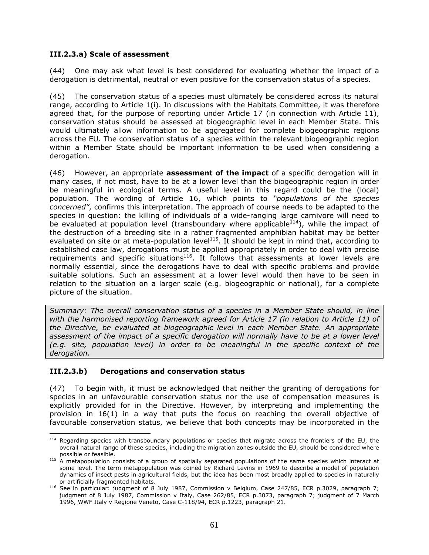### **III.2.3.a) Scale of assessment**

(44) One may ask what level is best considered for evaluating whether the impact of a derogation is detrimental, neutral or even positive for the conservation status of a species.

(45) The conservation status of a species must ultimately be considered across its natural range, according to Article 1(i). In discussions with the Habitats Committee, it was therefore agreed that, for the purpose of reporting under Article 17 (in connection with Article 11), conservation status should be assessed at biogeographic level in each Member State. This would ultimately allow information to be aggregated for complete biogeographic regions across the EU. The conservation status of a species within the relevant biogeographic region within a Member State should be important information to be used when considering a derogation.

(46) However, an appropriate **assessment of the impact** of a specific derogation will in many cases, if not most, have to be at a lower level than the biogeographic region in order be meaningful in ecological terms. A useful level in this regard could be the (local) population. The wording of Article 16, which points to *"populations of the species concerned"*, confirms this interpretation. The approach of course needs to be adapted to the species in question: the killing of individuals of a wide-ranging large carnivore will need to be evaluated at population level (transboundary where applicable<sup>114</sup>), while the impact of the destruction of a breeding site in a rather fragmented amphibian habitat may be better evaluated on site or at meta-population level<sup>115</sup>. It should be kept in mind that, according to established case law, derogations must be applied appropriately in order to deal with precise requirements and specific situations<sup>116</sup>. It follows that assessments at lower levels are normally essential, since the derogations have to deal with specific problems and provide suitable solutions. Such an assessment at a lower level would then have to be seen in relation to the situation on a larger scale (e.g. biogeographic or national), for a complete picture of the situation.

*Summary: The overall conservation status of a species in a Member State should, in line with the harmonised reporting framework agreed for Article 17 (in relation to Article 11) of the Directive, be evaluated at biogeographic level in each Member State. An appropriate*  assessment of the impact of a specific derogation will normally have to be at a lower level *(e.g. site, population level) in order to be meaningful in the specific context of the derogation.* 

#### **III.2.3.b) Derogations and conservation status**

(47) To begin with, it must be acknowledged that neither the granting of derogations for species in an unfavourable conservation status nor the use of compensation measures is explicitly provided for in the Directive. However, by interpreting and implementing the provision in 16(1) in a way that puts the focus on reaching the overall objective of favourable conservation status, we believe that both concepts may be incorporated in the

<sup>1</sup> <sup>114</sup> Regarding species with transboundary populations or species that migrate across the frontiers of the EU, the overall natural range of these species, including the migration zones outside the EU, should be considered where

possible or feasible.<br><sup>115</sup> A metapopulation consists of a group of spatially separated populations of the same species which interact at some level. The term metapopulation was coined by Richard Levins in 1969 to describe a model of population dynamics of insect pests in agricultural fields, but the idea has been most broadly applied to species in naturally<br>or artificially fragmented habitats.

<sup>&</sup>lt;sup>116</sup> See in particular: judgment of 8 July 1987, Commission v Belgium, Case 247/85, ECR p.3029, paragraph 7; judgment of 8 July 1987, Commission v Italy, Case 262/85, ECR p.3073, paragraph 7; judgment of 7 March 1996, WWF Italy v Regione Veneto, Case C-118/94, ECR p.1223, paragraph 21.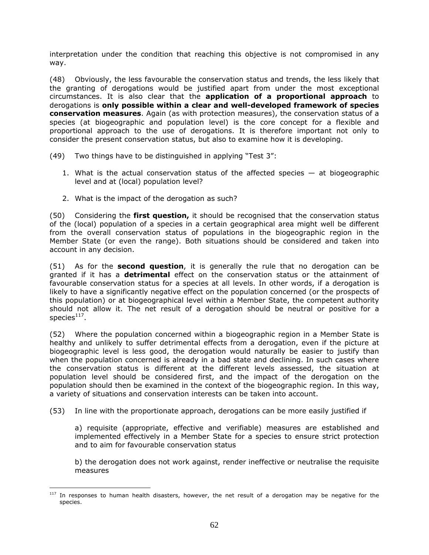interpretation under the condition that reaching this objective is not compromised in any way.

(48) Obviously, the less favourable the conservation status and trends, the less likely that the granting of derogations would be justified apart from under the most exceptional circumstances. It is also clear that the **application of a proportional approach** to derogations is **only possible within a clear and well-developed framework of species conservation measures**. Again (as with protection measures), the conservation status of a species (at biogeographic and population level) is the core concept for a flexible and proportional approach to the use of derogations. It is therefore important not only to consider the present conservation status, but also to examine how it is developing.

- (49) Two things have to be distinguished in applying "Test 3":
	- 1. What is the actual conservation status of the affected species  $-$  at biogeographic level and at (local) population level?
	- 2. What is the impact of the derogation as such?

(50) Considering the **first question,** it should be recognised that the conservation status of the (local) population of a species in a certain geographical area might well be different from the overall conservation status of populations in the biogeographic region in the Member State (or even the range). Both situations should be considered and taken into account in any decision.

(51) As for the **second question**, it is generally the rule that no derogation can be granted if it has a **detrimental** effect on the conservation status or the attainment of favourable conservation status for a species at all levels. In other words, if a derogation is likely to have a significantly negative effect on the population concerned (or the prospects of this population) or at biogeographical level within a Member State, the competent authority should not allow it. The net result of a derogation should be neutral or positive for a species $^{117}$ .

(52) Where the population concerned within a biogeographic region in a Member State is healthy and unlikely to suffer detrimental effects from a derogation, even if the picture at biogeographic level is less good, the derogation would naturally be easier to justify than when the population concerned is already in a bad state and declining. In such cases where the conservation status is different at the different levels assessed, the situation at population level should be considered first, and the impact of the derogation on the population should then be examined in the context of the biogeographic region. In this way, a variety of situations and conservation interests can be taken into account.

(53) In line with the proportionate approach, derogations can be more easily justified if

a) requisite (appropriate, effective and verifiable) measures are established and implemented effectively in a Member State for a species to ensure strict protection and to aim for favourable conservation status

b) the derogation does not work against, render ineffective or neutralise the requisite measures

<sup>&</sup>lt;u>.</u>  $117$  In responses to human health disasters, however, the net result of a derogation may be negative for the species.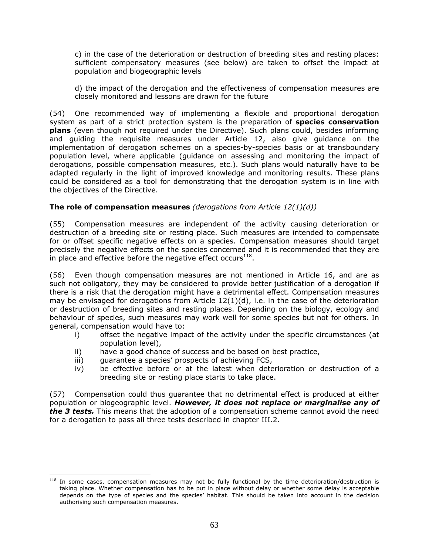c) in the case of the deterioration or destruction of breeding sites and resting places: sufficient compensatory measures (see below) are taken to offset the impact at population and biogeographic levels

d) the impact of the derogation and the effectiveness of compensation measures are closely monitored and lessons are drawn for the future

(54) One recommended way of implementing a flexible and proportional derogation system as part of a strict protection system is the preparation of **species conservation plans** (even though not required under the Directive). Such plans could, besides informing and guiding the requisite measures under Article 12, also give guidance on the implementation of derogation schemes on a species-by-species basis or at transboundary population level, where applicable (guidance on assessing and monitoring the impact of derogations, possible compensation measures, etc.). Such plans would naturally have to be adapted regularly in the light of improved knowledge and monitoring results. These plans could be considered as a tool for demonstrating that the derogation system is in line with the objectives of the Directive.

### **The role of compensation measures** *(derogations from Article 12(1)(d))*

(55) Compensation measures are independent of the activity causing deterioration or destruction of a breeding site or resting place. Such measures are intended to compensate for or offset specific negative effects on a species. Compensation measures should target precisely the negative effects on the species concerned and it is recommended that they are in place and effective before the negative effect occurs $^{118}$ .

(56) Even though compensation measures are not mentioned in Article 16, and are as such not obligatory, they may be considered to provide better justification of a derogation if there is a risk that the derogation might have a detrimental effect. Compensation measures may be envisaged for derogations from Article 12(1)(d), i.e. in the case of the deterioration or destruction of breeding sites and resting places. Depending on the biology, ecology and behaviour of species, such measures may work well for some species but not for others. In general, compensation would have to:

- i) offset the negative impact of the activity under the specific circumstances (at population level),
- ii) have a good chance of success and be based on best practice,
- iii) guarantee a species' prospects of achieving FCS,
- iv) be effective before or at the latest when deterioration or destruction of a breeding site or resting place starts to take place.

(57) Compensation could thus guarantee that no detrimental effect is produced at either population or biogeographic level. *However, it does not replace or marginalise any of the 3 tests.* This means that the adoption of a compensation scheme cannot avoid the need for a derogation to pass all three tests described in chapter III.2.

<sup>&</sup>lt;u>.</u> <sup>118</sup> In some cases, compensation measures may not be fully functional by the time deterioration/destruction is taking place. Whether compensation has to be put in place without delay or whether some delay is acceptable depends on the type of species and the species' habitat. This should be taken into account in the decision authorising such compensation measures.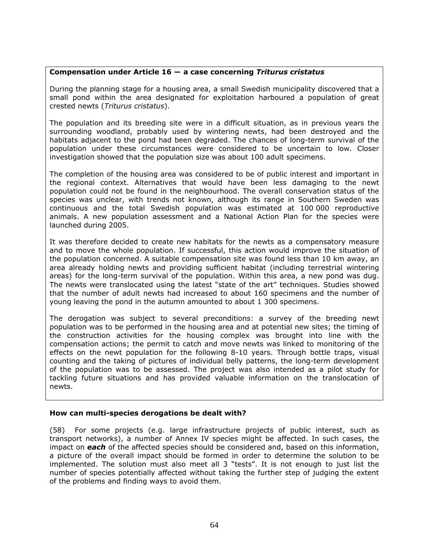#### **Compensation under Article 16 — a case concerning** *Triturus cristatus*

During the planning stage for a housing area, a small Swedish municipality discovered that a small pond within the area designated for exploitation harboured a population of great crested newts (*Triturus cristatus*).

The population and its breeding site were in a difficult situation, as in previous years the surrounding woodland, probably used by wintering newts, had been destroyed and the habitats adjacent to the pond had been degraded. The chances of long-term survival of the population under these circumstances were considered to be uncertain to low. Closer investigation showed that the population size was about 100 adult specimens.

The completion of the housing area was considered to be of public interest and important in the regional context. Alternatives that would have been less damaging to the newt population could not be found in the neighbourhood. The overall conservation status of the species was unclear, with trends not known, although its range in Southern Sweden was continuous and the total Swedish population was estimated at 100 000 reproductive animals. A new population assessment and a National Action Plan for the species were launched during 2005.

It was therefore decided to create new habitats for the newts as a compensatory measure and to move the whole population. If successful, this action would improve the situation of the population concerned. A suitable compensation site was found less than 10 km away, an area already holding newts and providing sufficient habitat (including terrestrial wintering areas) for the long-term survival of the population. Within this area, a new pond was dug. The newts were translocated using the latest "state of the art" techniques. Studies showed that the number of adult newts had increased to about 160 specimens and the number of young leaving the pond in the autumn amounted to about 1 300 specimens.

The derogation was subject to several preconditions: a survey of the breeding newt population was to be performed in the housing area and at potential new sites; the timing of the construction activities for the housing complex was brought into line with the compensation actions; the permit to catch and move newts was linked to monitoring of the effects on the newt population for the following 8-10 years. Through bottle traps, visual counting and the taking of pictures of individual belly patterns, the long-term development of the population was to be assessed. The project was also intended as a pilot study for tackling future situations and has provided valuable information on the translocation of newts.

#### **How can multi-species derogations be dealt with?**

(58) For some projects (e.g. large infrastructure projects of public interest, such as transport networks), a number of Annex IV species might be affected. In such cases, the impact on *each* of the affected species should be considered and, based on this information, a picture of the overall impact should be formed in order to determine the solution to be implemented. The solution must also meet all 3 "tests". It is not enough to just list the number of species potentially affected without taking the further step of judging the extent of the problems and finding ways to avoid them.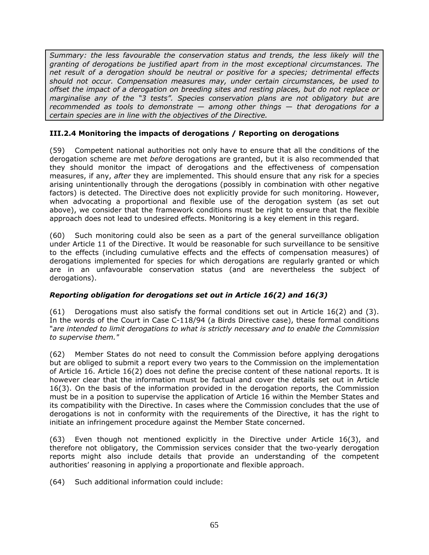*Summary: the less favourable the conservation status and trends, the less likely will the granting of derogations be justified apart from in the most exceptional circumstances. The net result of a derogation should be neutral or positive for a species; detrimental effects should not occur. Compensation measures may, under certain circumstances, be used to offset the impact of a derogation on breeding sites and resting places, but do not replace or marginalise any of the "3 tests". Species conservation plans are not obligatory but are recommended as tools to demonstrate — among other things — that derogations for a certain species are in line with the objectives of the Directive.* 

# **III.2.4 Monitoring the impacts of derogations / Reporting on derogations**

(59) Competent national authorities not only have to ensure that all the conditions of the derogation scheme are met *before* derogations are granted, but it is also recommended that they should monitor the impact of derogations and the effectiveness of compensation measures, if any, *after* they are implemented. This should ensure that any risk for a species arising unintentionally through the derogations (possibly in combination with other negative factors) is detected. The Directive does not explicitly provide for such monitoring. However, when advocating a proportional and flexible use of the derogation system (as set out above), we consider that the framework conditions must be right to ensure that the flexible approach does not lead to undesired effects. Monitoring is a key element in this regard.

(60) Such monitoring could also be seen as a part of the general surveillance obligation under Article 11 of the Directive. It would be reasonable for such surveillance to be sensitive to the effects (including cumulative effects and the effects of compensation measures) of derogations implemented for species for which derogations are regularly granted or which are in an unfavourable conservation status (and are nevertheless the subject of derogations).

### *Reporting obligation for derogations set out in Article 16(2) and 16(3)*

(61) Derogations must also satisfy the formal conditions set out in Article 16(2) and (3). In the words of the Court in Case C-118/94 (a Birds Directive case), these formal conditions "*are intended to limit derogations to what is strictly necessary and to enable the Commission to supervise them."* 

(62) Member States do not need to consult the Commission before applying derogations but are obliged to submit a report every two years to the Commission on the implementation of Article 16. Article 16(2) does not define the precise content of these national reports. It is however clear that the information must be factual and cover the details set out in Article 16(3). On the basis of the information provided in the derogation reports, the Commission must be in a position to supervise the application of Article 16 within the Member States and its compatibility with the Directive. In cases where the Commission concludes that the use of derogations is not in conformity with the requirements of the Directive, it has the right to initiate an infringement procedure against the Member State concerned.

(63) Even though not mentioned explicitly in the Directive under Article 16(3), and therefore not obligatory, the Commission services consider that the two-yearly derogation reports might also include details that provide an understanding of the competent authorities' reasoning in applying a proportionate and flexible approach.

(64) Such additional information could include: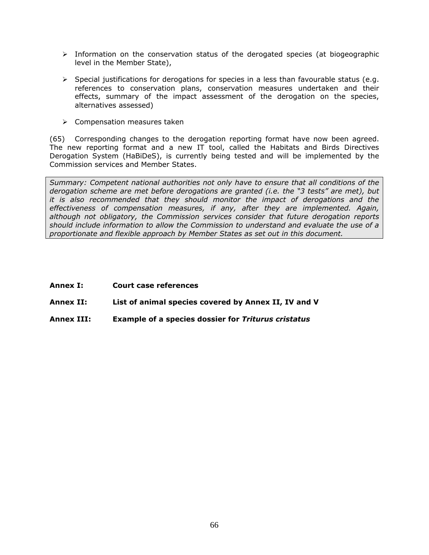- $\triangleright$  Information on the conservation status of the derogated species (at biogeographic level in the Member State),
- $\triangleright$  Special justifications for derogations for species in a less than favourable status (e.g. references to conservation plans, conservation measures undertaken and their effects, summary of the impact assessment of the derogation on the species, alternatives assessed)
- $\triangleright$  Compensation measures taken

(65) Corresponding changes to the derogation reporting format have now been agreed. The new reporting format and a new IT tool, called the Habitats and Birds Directives Derogation System (HaBiDeS), is currently being tested and will be implemented by the Commission services and Member States.

*Summary: Competent national authorities not only have to ensure that all conditions of the derogation scheme are met before derogations are granted (i.e. the "3 tests" are met), but it is also recommended that they should monitor the impact of derogations and the effectiveness of compensation measures, if any, after they are implemented. Again, although not obligatory, the Commission services consider that future derogation reports should include information to allow the Commission to understand and evaluate the use of a proportionate and flexible approach by Member States as set out in this document.* 

- **Annex I: Court case references**
- **Annex II: List of animal species covered by Annex II, IV and V**
- **Annex III: Example of a species dossier for** *Triturus cristatus*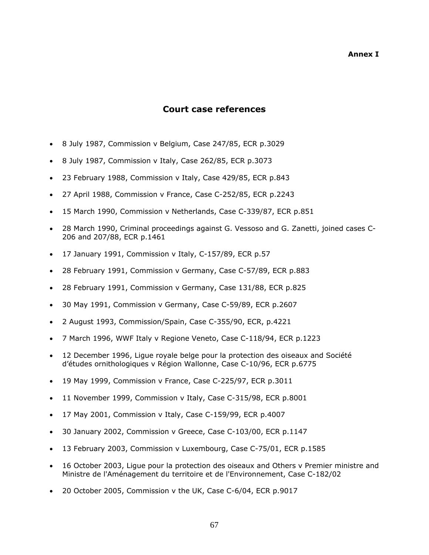# **Court case references**

- 8 July 1987, Commission v Belgium, Case 247/85, ECR p.3029
- 8 July 1987, Commission v Italy, Case 262/85, ECR p.3073
- 23 February 1988, Commission v Italy, Case 429/85, ECR p.843
- 27 April 1988, Commission v France, Case C-252/85, ECR p.2243
- 15 March 1990, Commission v Netherlands, Case C-339/87, ECR p.851
- 28 March 1990, Criminal proceedings against G. Vessoso and G. Zanetti, joined cases C-206 and 207/88, ECR p.1461
- 17 January 1991, Commission v Italy, C-157/89, ECR p.57
- 28 February 1991, Commission v Germany, Case C-57/89, ECR p.883
- 28 February 1991, Commission v Germany, Case 131/88, ECR p.825
- 30 May 1991, Commission v Germany, Case C-59/89, ECR p.2607
- 2 August 1993, Commission/Spain, Case C-355/90, ECR, p.4221
- 7 March 1996, WWF Italy v Regione Veneto, Case C-118/94, ECR p.1223
- 12 December 1996, Ligue royale belge pour la protection des oiseaux and Société d'études ornithologiques v Région Wallonne, Case C-10/96, ECR p.6775
- 19 May 1999, Commission v France, Case C-225/97, ECR p.3011
- 11 November 1999, Commission v Italy, Case C-315/98, ECR p.8001
- 17 May 2001, Commission v Italy, Case C-159/99, ECR p.4007
- 30 January 2002, Commission v Greece, Case C-103/00, ECR p.1147
- 13 February 2003, Commission v Luxembourg, Case C-75/01, ECR p.1585
- 16 October 2003, Ligue pour la protection des oiseaux and Others v Premier ministre and Ministre de l'Aménagement du territoire et de l'Environnement, Case C-182/02
- 20 October 2005, Commission v the UK, Case C-6/04, ECR p.9017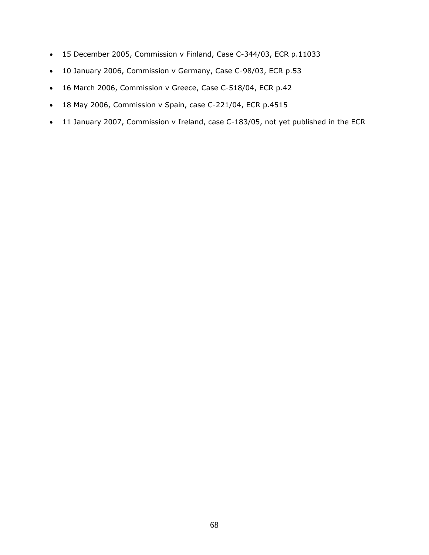- 15 December 2005, Commission v Finland, Case C-344/03, ECR p.11033
- 10 January 2006, Commission v Germany, Case C-98/03, ECR p.53
- 16 March 2006, Commission v Greece, Case C-518/04, ECR p.42
- 18 May 2006, Commission v Spain, case C-221/04, ECR p.4515
- 11 January 2007, Commission v Ireland, case C-183/05, not yet published in the ECR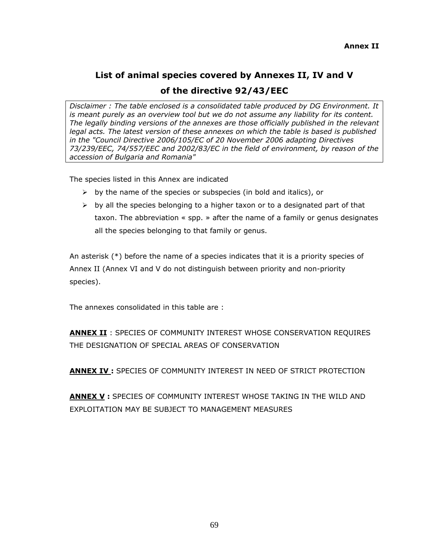# **List of animal species covered by Annexes II, IV and V**

# **of the directive 92/43/EEC**

*Disclaimer : The table enclosed is a consolidated table produced by DG Environment. It is meant purely as an overview tool but we do not assume any liability for its content. The legally binding versions of the annexes are those officially published in the relevant legal acts. The latest version of these annexes on which the table is based is published in the "Council Directive 2006/105/EC of 20 November 2006 adapting Directives 73/239/EEC, 74/557/EEC and 2002/83/EC in the field of environment, by reason of the accession of Bulgaria and Romania"* 

The species listed in this Annex are indicated

- $\triangleright$  by the name of the species or subspecies (in bold and italics), or
- $\triangleright$  by all the species belonging to a higher taxon or to a designated part of that taxon. The abbreviation « spp. » after the name of a family or genus designates all the species belonging to that family or genus.

An asterisk (\*) before the name of a species indicates that it is a priority species of Annex II (Annex VI and V do not distinguish between priority and non-priority species).

The annexes consolidated in this table are :

**ANNEX II** : SPECIES OF COMMUNITY INTEREST WHOSE CONSERVATION REQUIRES THE DESIGNATION OF SPECIAL AREAS OF CONSERVATION

**ANNEX IV :** SPECIES OF COMMUNITY INTEREST IN NEED OF STRICT PROTECTION

**ANNEX V :** SPECIES OF COMMUNITY INTEREST WHOSE TAKING IN THE WILD AND EXPLOITATION MAY BE SUBJECT TO MANAGEMENT MEASURES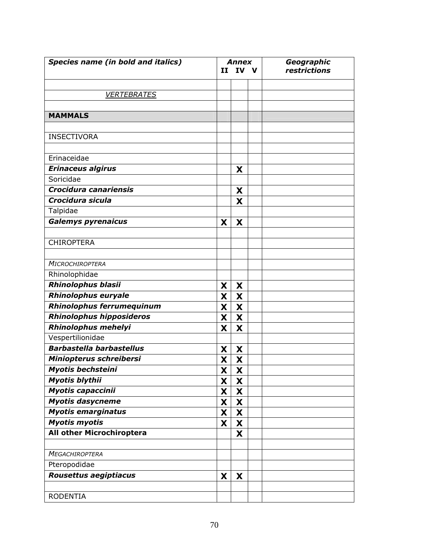| <b>Species name (in bold and italics)</b> |   | <b>Annex</b>              |  | Geographic   |
|-------------------------------------------|---|---------------------------|--|--------------|
|                                           |   | II IV V                   |  | restrictions |
|                                           |   |                           |  |              |
| <b>VERTEBRATES</b>                        |   |                           |  |              |
|                                           |   |                           |  |              |
| <b>MAMMALS</b>                            |   |                           |  |              |
|                                           |   |                           |  |              |
| <b>INSECTIVORA</b>                        |   |                           |  |              |
|                                           |   |                           |  |              |
| Erinaceidae                               |   |                           |  |              |
| <b>Erinaceus algirus</b>                  |   | X                         |  |              |
| Soricidae                                 |   |                           |  |              |
| <b>Crocidura canariensis</b>              |   | X                         |  |              |
| Crocidura sicula                          |   | X                         |  |              |
| Talpidae                                  |   |                           |  |              |
| <b>Galemys pyrenaicus</b>                 | X | X                         |  |              |
|                                           |   |                           |  |              |
| <b>CHIROPTERA</b>                         |   |                           |  |              |
|                                           |   |                           |  |              |
| <b>MICROCHIROPTERA</b>                    |   |                           |  |              |
| Rhinolophidae                             |   |                           |  |              |
| <b>Rhinolophus blasii</b>                 | X | X                         |  |              |
| Rhinolophus euryale                       | X | X                         |  |              |
| <b>Rhinolophus ferrumequinum</b>          | X | $\boldsymbol{\mathsf{X}}$ |  |              |
| <b>Rhinolophus hipposideros</b>           | X | X                         |  |              |
| Rhinolophus mehelyi                       | X | X                         |  |              |
| Vespertilionidae                          |   |                           |  |              |
| <b>Barbastella barbastellus</b>           | X | X                         |  |              |
| Miniopterus schreibersi                   | X | X                         |  |              |
| <b>Myotis bechsteini</b>                  | X | X                         |  |              |
| <b>Myotis blythii</b>                     | X | X                         |  |              |
| <b>Myotis capaccinii</b>                  | X | X                         |  |              |
| <b>Myotis dasycneme</b>                   | X | X                         |  |              |
| <b>Myotis emarginatus</b>                 | X | X                         |  |              |
| <b>Myotis myotis</b>                      | X | X                         |  |              |
| <b>All other Microchiroptera</b>          |   | X                         |  |              |
| <b>MEGACHIROPTERA</b>                     |   |                           |  |              |
| Pteropodidae                              |   |                           |  |              |
| Rousettus aegiptiacus                     |   |                           |  |              |
|                                           | X | X                         |  |              |
| <b>RODENTIA</b>                           |   |                           |  |              |
|                                           |   |                           |  |              |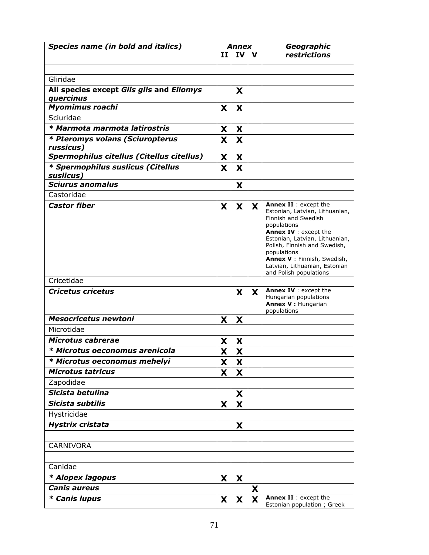| <b>Species name (in bold and italics)</b>             | <b>Annex</b> |         |   | Geographic                                                                                                                                                                                                                                                                                              |
|-------------------------------------------------------|--------------|---------|---|---------------------------------------------------------------------------------------------------------------------------------------------------------------------------------------------------------------------------------------------------------------------------------------------------------|
|                                                       |              | II IV V |   | restrictions                                                                                                                                                                                                                                                                                            |
|                                                       |              |         |   |                                                                                                                                                                                                                                                                                                         |
| Gliridae                                              |              |         |   |                                                                                                                                                                                                                                                                                                         |
| All species except Glis glis and Eliomys<br>quercinus |              | X       |   |                                                                                                                                                                                                                                                                                                         |
| Myomimus roachi                                       | X            | X       |   |                                                                                                                                                                                                                                                                                                         |
| Sciuridae                                             |              |         |   |                                                                                                                                                                                                                                                                                                         |
| * Marmota marmota latirostris                         |              | X       |   |                                                                                                                                                                                                                                                                                                         |
| * Pteromys volans (Sciuropterus<br>russicus)          |              | X       |   |                                                                                                                                                                                                                                                                                                         |
| Spermophilus citellus (Citellus citellus)             |              | X       |   |                                                                                                                                                                                                                                                                                                         |
| * Spermophilus suslicus (Citellus<br>suslicus)        |              | X       |   |                                                                                                                                                                                                                                                                                                         |
| <b>Sciurus anomalus</b>                               |              | X       |   |                                                                                                                                                                                                                                                                                                         |
| Castoridae                                            |              |         |   |                                                                                                                                                                                                                                                                                                         |
| <b>Castor fiber</b>                                   | <b>X</b>     | X       | X | Annex II : except the<br>Estonian, Latvian, Lithuanian,<br>Finnish and Swedish<br>populations<br><b>Annex IV</b> : except the<br>Estonian, Latvian, Lithuanian,<br>Polish, Finnish and Swedish,<br>populations<br>Annex V: Finnish, Swedish,<br>Latvian, Lithuanian, Estonian<br>and Polish populations |
| Cricetidae                                            |              |         |   |                                                                                                                                                                                                                                                                                                         |
| <b>Cricetus cricetus</b>                              |              | X       | X | Annex IV : except the<br>Hungarian populations<br>Annex V : Hungarian<br>populations                                                                                                                                                                                                                    |
| Mesocricetus newtoni                                  | X            | X       |   |                                                                                                                                                                                                                                                                                                         |
| Microtidae                                            |              |         |   |                                                                                                                                                                                                                                                                                                         |
| Microtus cabrerae                                     | X            | X       |   |                                                                                                                                                                                                                                                                                                         |
| * Microtus oeconomus arenicola                        | X            | X       |   |                                                                                                                                                                                                                                                                                                         |
| * Microtus oeconomus mehelyi                          | X            | X       |   |                                                                                                                                                                                                                                                                                                         |
| <b>Microtus tatricus</b>                              | X            | X       |   |                                                                                                                                                                                                                                                                                                         |
| Zapodidae                                             |              |         |   |                                                                                                                                                                                                                                                                                                         |
| Sicista betulina                                      |              | X       |   |                                                                                                                                                                                                                                                                                                         |
| Sicista subtilis                                      | X            | X       |   |                                                                                                                                                                                                                                                                                                         |
| Hystricidae                                           |              |         |   |                                                                                                                                                                                                                                                                                                         |
| <b>Hystrix cristata</b>                               |              | X       |   |                                                                                                                                                                                                                                                                                                         |
|                                                       |              |         |   |                                                                                                                                                                                                                                                                                                         |
| <b>CARNIVORA</b>                                      |              |         |   |                                                                                                                                                                                                                                                                                                         |
|                                                       |              |         |   |                                                                                                                                                                                                                                                                                                         |
| Canidae                                               |              |         |   |                                                                                                                                                                                                                                                                                                         |
| * Alopex lagopus                                      | X            | X       |   |                                                                                                                                                                                                                                                                                                         |
| <b>Canis aureus</b>                                   |              |         | X |                                                                                                                                                                                                                                                                                                         |
| * Canis lupus                                         | X            | X       | X | Annex II : except the<br>Estonian population; Greek                                                                                                                                                                                                                                                     |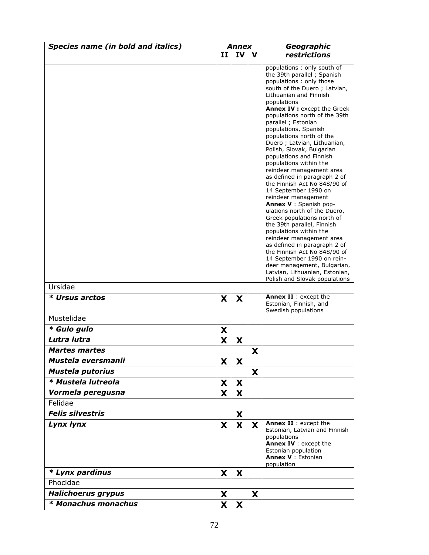| <b>Species name (in bold and italics)</b> | <b>Annex</b> |         |    | Geographic                                                                                                                                                                                                                                                                                                                                                                                                                                                                                                                                                                                                                                                                                                                                                                                                                                                                                                                                               |
|-------------------------------------------|--------------|---------|----|----------------------------------------------------------------------------------------------------------------------------------------------------------------------------------------------------------------------------------------------------------------------------------------------------------------------------------------------------------------------------------------------------------------------------------------------------------------------------------------------------------------------------------------------------------------------------------------------------------------------------------------------------------------------------------------------------------------------------------------------------------------------------------------------------------------------------------------------------------------------------------------------------------------------------------------------------------|
|                                           |              | II IV V |    | <b>restrictions</b>                                                                                                                                                                                                                                                                                                                                                                                                                                                                                                                                                                                                                                                                                                                                                                                                                                                                                                                                      |
|                                           |              |         |    | populations : only south of<br>the 39th parallel; Spanish<br>populations : only those<br>south of the Duero; Latvian,<br>Lithuanian and Finnish<br>populations<br><b>Annex IV : except the Greek</b><br>populations north of the 39th<br>parallel ; Estonian<br>populations, Spanish<br>populations north of the<br>Duero; Latvian, Lithuanian,<br>Polish, Slovak, Bulgarian<br>populations and Finnish<br>populations within the<br>reindeer management area<br>as defined in paragraph 2 of<br>the Finnish Act No 848/90 of<br>14 September 1990 on<br>reindeer management<br>Annex V : Spanish pop-<br>ulations north of the Duero,<br>Greek populations north of<br>the 39th parallel, Finnish<br>populations within the<br>reindeer management area<br>as defined in paragraph 2 of<br>the Finnish Act No 848/90 of<br>14 September 1990 on rein-<br>deer management, Bulgarian,<br>Latvian, Lithuanian, Estonian,<br>Polish and Slovak populations |
| Ursidae                                   |              |         |    |                                                                                                                                                                                                                                                                                                                                                                                                                                                                                                                                                                                                                                                                                                                                                                                                                                                                                                                                                          |
| <i><b>* Ursus arctos</b></i>              | X.           | X       |    | Annex II : except the<br>Estonian, Finnish, and<br>Swedish populations                                                                                                                                                                                                                                                                                                                                                                                                                                                                                                                                                                                                                                                                                                                                                                                                                                                                                   |
| Mustelidae                                |              |         |    |                                                                                                                                                                                                                                                                                                                                                                                                                                                                                                                                                                                                                                                                                                                                                                                                                                                                                                                                                          |
| * Gulo gulo                               | X            |         |    |                                                                                                                                                                                                                                                                                                                                                                                                                                                                                                                                                                                                                                                                                                                                                                                                                                                                                                                                                          |
| Lutra lutra                               | X            | X       |    |                                                                                                                                                                                                                                                                                                                                                                                                                                                                                                                                                                                                                                                                                                                                                                                                                                                                                                                                                          |
| Martes martes                             |              |         | X  |                                                                                                                                                                                                                                                                                                                                                                                                                                                                                                                                                                                                                                                                                                                                                                                                                                                                                                                                                          |
| Mustela eversmanii                        | X.           | X       |    |                                                                                                                                                                                                                                                                                                                                                                                                                                                                                                                                                                                                                                                                                                                                                                                                                                                                                                                                                          |
| <b>Mustela putorius</b>                   |              |         | X  |                                                                                                                                                                                                                                                                                                                                                                                                                                                                                                                                                                                                                                                                                                                                                                                                                                                                                                                                                          |
| * Mustela lutreola                        | X            | X       |    |                                                                                                                                                                                                                                                                                                                                                                                                                                                                                                                                                                                                                                                                                                                                                                                                                                                                                                                                                          |
| Vormela peregusna                         | X            | X       |    |                                                                                                                                                                                                                                                                                                                                                                                                                                                                                                                                                                                                                                                                                                                                                                                                                                                                                                                                                          |
| Felidae                                   |              |         |    |                                                                                                                                                                                                                                                                                                                                                                                                                                                                                                                                                                                                                                                                                                                                                                                                                                                                                                                                                          |
| <b>Felis silvestris</b>                   |              | X       |    |                                                                                                                                                                                                                                                                                                                                                                                                                                                                                                                                                                                                                                                                                                                                                                                                                                                                                                                                                          |
| Lynx lynx                                 | X            | X       | X. | Annex II : except the<br>Estonian, Latvian and Finnish<br>populations<br>Annex IV : except the<br>Estonian population<br><b>Annex V</b> : Estonian<br>population                                                                                                                                                                                                                                                                                                                                                                                                                                                                                                                                                                                                                                                                                                                                                                                         |
| * Lynx pardinus                           | X            | X       |    |                                                                                                                                                                                                                                                                                                                                                                                                                                                                                                                                                                                                                                                                                                                                                                                                                                                                                                                                                          |
| Phocidae                                  |              |         |    |                                                                                                                                                                                                                                                                                                                                                                                                                                                                                                                                                                                                                                                                                                                                                                                                                                                                                                                                                          |
| <b>Halichoerus grypus</b>                 | X            |         | X  |                                                                                                                                                                                                                                                                                                                                                                                                                                                                                                                                                                                                                                                                                                                                                                                                                                                                                                                                                          |
| * Monachus monachus                       | <b>X</b>     | X       |    |                                                                                                                                                                                                                                                                                                                                                                                                                                                                                                                                                                                                                                                                                                                                                                                                                                                                                                                                                          |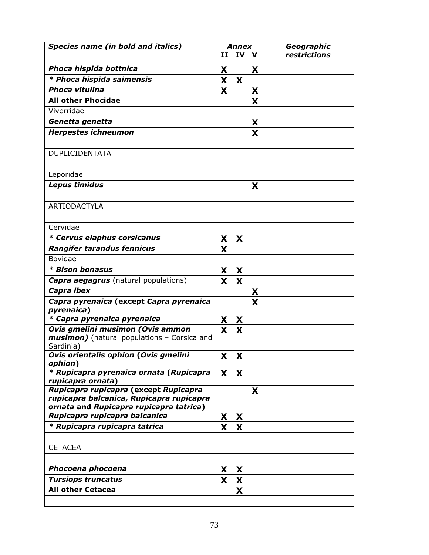| <b>Species name (in bold and italics)</b>                                           |              | Annex |   | Geographic   |
|-------------------------------------------------------------------------------------|--------------|-------|---|--------------|
|                                                                                     | II.          | IV V  |   | restrictions |
| Phoca hispida bottnica                                                              | X            |       | X |              |
| * Phoca hispida saimensis                                                           | X            | X     |   |              |
| Phoca vitulina                                                                      | X            |       | X |              |
| <b>All other Phocidae</b>                                                           |              |       | X |              |
| Viverridae                                                                          |              |       |   |              |
| Genetta genetta                                                                     |              |       | X |              |
| <b>Herpestes ichneumon</b>                                                          |              |       | X |              |
|                                                                                     |              |       |   |              |
| <b>DUPLICIDENTATA</b>                                                               |              |       |   |              |
|                                                                                     |              |       |   |              |
| Leporidae                                                                           |              |       |   |              |
| <b>Lepus timidus</b>                                                                |              |       | X |              |
|                                                                                     |              |       |   |              |
| ARTIODACTYLA                                                                        |              |       |   |              |
|                                                                                     |              |       |   |              |
| Cervidae                                                                            |              |       |   |              |
| * Cervus elaphus corsicanus                                                         | X            | X     |   |              |
| <b>Rangifer tarandus fennicus</b>                                                   | X            |       |   |              |
| Bovidae                                                                             |              |       |   |              |
| * Bison bonasus                                                                     | X            | X     |   |              |
| Capra aegagrus (natural populations)                                                | X            | X     |   |              |
| Capra ibex                                                                          |              |       | X |              |
| Capra pyrenaica (except Capra pyrenaica                                             |              |       | X |              |
| pyrenaica)                                                                          |              |       |   |              |
| * Capra pyrenaica pyrenaica                                                         | X            | X     |   |              |
| Ovis gmelini musimon (Ovis ammon                                                    | X            | X     |   |              |
| musimon) (natural populations - Corsica and                                         |              |       |   |              |
| Sardinia)<br>Ovis orientalis ophion (Ovis gmelini                                   |              |       |   |              |
| ophion)                                                                             | $\mathbf{X}$ | X     |   |              |
| * Rupicapra pyrenaica ornata (Rupicapra                                             | X            | X     |   |              |
| rupicapra ornata)                                                                   |              |       |   |              |
| Rupicapra rupicapra (except Rupicapra                                               |              |       | X |              |
| rupicapra balcanica, Rupicapra rupicapra<br>ornata and Rupicapra rupicapra tatrica) |              |       |   |              |
| Rupicapra rupicapra balcanica                                                       | X            | X     |   |              |
| * Rupicapra rupicapra tatrica                                                       | X            | X     |   |              |
|                                                                                     |              |       |   |              |
| <b>CETACEA</b>                                                                      |              |       |   |              |
|                                                                                     |              |       |   |              |
| Phocoena phocoena                                                                   | X            | X     |   |              |
| <b>Tursiops truncatus</b>                                                           | X            | X     |   |              |
| <b>All other Cetacea</b>                                                            |              | X     |   |              |
|                                                                                     |              |       |   |              |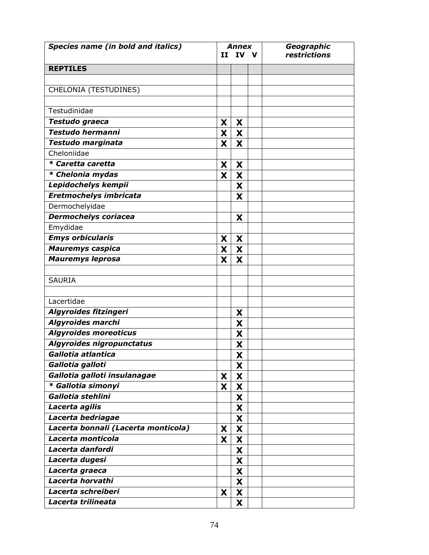| <b>Species name (in bold and italics)</b> |   | <b>Annex</b> |  | Geographic   |
|-------------------------------------------|---|--------------|--|--------------|
|                                           |   | II IV V      |  | restrictions |
| <b>REPTILES</b>                           |   |              |  |              |
|                                           |   |              |  |              |
| CHELONIA (TESTUDINES)                     |   |              |  |              |
|                                           |   |              |  |              |
| Testudinidae                              |   |              |  |              |
| Testudo graeca                            | X | X            |  |              |
| <b>Testudo hermanni</b>                   | X | X            |  |              |
| Testudo marginata                         | X | X            |  |              |
| Cheloniidae                               |   |              |  |              |
| * Caretta caretta                         | X | X            |  |              |
| * Chelonia mydas                          | X | X            |  |              |
| Lepidochelys kempii                       |   | X            |  |              |
| Eretmochelys imbricata                    |   | X            |  |              |
| Dermochelyidae                            |   |              |  |              |
| Dermochelys coriacea                      |   | X            |  |              |
| Emydidae                                  |   |              |  |              |
| <b>Emys orbicularis</b>                   | X | X            |  |              |
| Mauremys caspica                          | X | X            |  |              |
| <b>Mauremys leprosa</b>                   | X | X            |  |              |
|                                           |   |              |  |              |
| <b>SAURIA</b>                             |   |              |  |              |
|                                           |   |              |  |              |
| Lacertidae                                |   |              |  |              |
| Algyroides fitzingeri                     |   | X            |  |              |
| <b>Algyroides marchi</b>                  |   | X            |  |              |
| <b>Algyroides moreoticus</b>              |   | X            |  |              |
| Algyroides nigropunctatus                 |   | X            |  |              |
| Gallotia atlantica                        |   | X            |  |              |
| Gallotia galloti                          |   | X            |  |              |
| Gallotia galloti insulanagae              | X | X            |  |              |
| * Gallotia simonyi                        | X | X            |  |              |
| Gallotia stehlini                         |   | X            |  |              |
| Lacerta agilis                            |   | X            |  |              |
| Lacerta bedriagae                         |   | X            |  |              |
| Lacerta bonnali (Lacerta monticola)       | X | X            |  |              |
| Lacerta monticola                         | X | X            |  |              |
| Lacerta danfordi                          |   | X            |  |              |
| Lacerta dugesi                            |   | X            |  |              |
| Lacerta graeca                            |   | X            |  |              |
| Lacerta horvathi                          |   | X            |  |              |
| Lacerta schreiberi                        | X | X            |  |              |
| Lacerta trilineata                        |   | X            |  |              |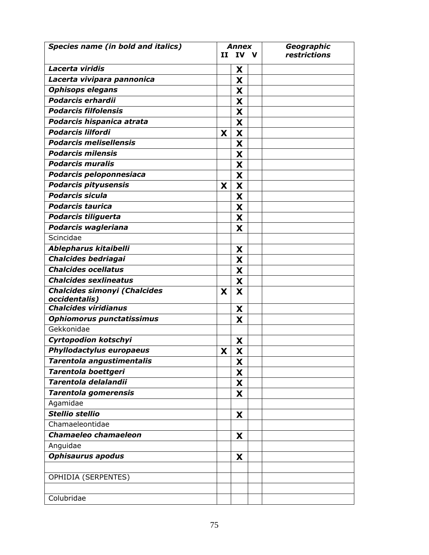| <b>Species name (in bold and italics)</b> |   | <b>Annex</b> | Geographic   |
|-------------------------------------------|---|--------------|--------------|
|                                           |   | II IV V      | restrictions |
| Lacerta viridis                           |   | X            |              |
| Lacerta vivipara pannonica                |   | X            |              |
| <b>Ophisops elegans</b>                   |   | X            |              |
| <b>Podarcis erhardii</b>                  |   | X            |              |
| <b>Podarcis filfolensis</b>               |   | X            |              |
| Podarcis hispanica atrata                 |   | X            |              |
| <b>Podarcis lilfordi</b>                  | X | X            |              |
| <b>Podarcis melisellensis</b>             |   | X            |              |
| <b>Podarcis milensis</b>                  |   | X            |              |
| <b>Podarcis muralis</b>                   |   | X            |              |
| Podarcis peloponnesiaca                   |   | X            |              |
| <b>Podarcis pityusensis</b>               | X | X            |              |
| <b>Podarcis sicula</b>                    |   | X            |              |
| <b>Podarcis taurica</b>                   |   | X            |              |
| <b>Podarcis tiliguerta</b>                |   | X            |              |
| Podarcis wagleriana                       |   | X            |              |
| Scincidae                                 |   |              |              |
| Ablepharus kitaibelli                     |   | X            |              |
| <b>Chalcides bedriagai</b>                |   | X            |              |
| <b>Chalcides ocellatus</b>                |   | X            |              |
| <b>Chalcides sexlineatus</b>              |   | X            |              |
| <b>Chalcides simonyi (Chalcides</b>       | X | X            |              |
| occidentalis)                             |   |              |              |
| <b>Chalcides viridianus</b>               |   | X            |              |
| <b>Ophiomorus punctatissimus</b>          |   | X            |              |
| Gekkonidae                                |   |              |              |
| Cyrtopodion kotschyi                      |   | X            |              |
| Phyllodactylus europaeus                  | X | X            |              |
| Tarentola angustimentalis                 |   | X            |              |
| Tarentola boettgeri                       |   | X            |              |
| Tarentola delalandii                      |   | X            |              |
| Tarentola gomerensis                      |   | X            |              |
| Agamidae                                  |   |              |              |
| Stellio stellio                           |   | X            |              |
| Chamaeleontidae                           |   |              |              |
| <b>Chamaeleo chamaeleon</b>               |   | X            |              |
| Anguidae                                  |   |              |              |
| <b>Ophisaurus apodus</b>                  |   | X            |              |
|                                           |   |              |              |
| OPHIDIA (SERPENTES)                       |   |              |              |
|                                           |   |              |              |
| Colubridae                                |   |              |              |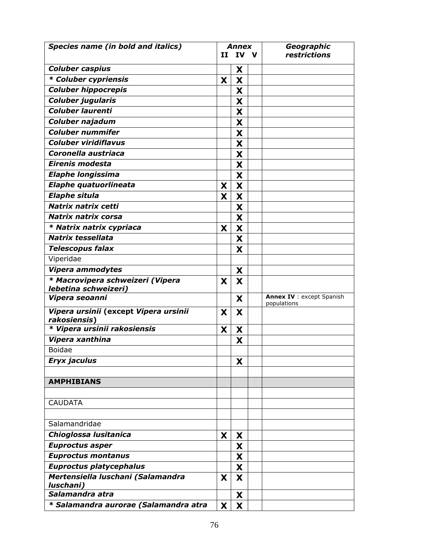| <b>Species name (in bold and italics)</b>                |    | <b>Annex</b> |  | Geographic                               |
|----------------------------------------------------------|----|--------------|--|------------------------------------------|
|                                                          |    | II IV V      |  | restrictions                             |
| <b>Coluber caspius</b>                                   |    | X            |  |                                          |
| * Coluber cypriensis                                     | X  | X            |  |                                          |
| <b>Coluber hippocrepis</b>                               |    | X            |  |                                          |
| <b>Coluber jugularis</b>                                 |    | X            |  |                                          |
| <b>Coluber laurenti</b>                                  |    | X            |  |                                          |
| Coluber najadum                                          |    | X            |  |                                          |
| <b>Coluber nummifer</b>                                  |    | X            |  |                                          |
| <b>Coluber viridiflavus</b>                              |    | X            |  |                                          |
| Coronella austriaca                                      |    | X            |  |                                          |
| Eirenis modesta                                          |    | X            |  |                                          |
| <b>Elaphe longissima</b>                                 |    | X            |  |                                          |
| <b>Elaphe quatuorlineata</b>                             | X. | X            |  |                                          |
| <b>Elaphe situla</b>                                     | X  | X            |  |                                          |
| Natrix natrix cetti                                      |    | X            |  |                                          |
| Natrix natrix corsa                                      |    | X            |  |                                          |
| * Natrix natrix cypriaca                                 | X  | X            |  |                                          |
| <b>Natrix tessellata</b>                                 |    | X            |  |                                          |
| <b>Telescopus falax</b>                                  |    | X            |  |                                          |
| Viperidae                                                |    |              |  |                                          |
| Vipera ammodytes                                         |    | X            |  |                                          |
| * Macrovipera schweizeri (Vipera<br>Iebetina schweizeri) | X  | X            |  |                                          |
| Vipera seoanni                                           |    | X            |  | Annex IV : except Spanish<br>populations |
| Vipera ursinii (except Vipera ursinii<br>rakosiensis)    | X  | X            |  |                                          |
| * Vipera ursinii rakosiensis                             | X  | X            |  |                                          |
| Vipera xanthina                                          |    | X            |  |                                          |
| <b>Boidae</b>                                            |    |              |  |                                          |
| <b>Eryx jaculus</b>                                      |    | X            |  |                                          |
|                                                          |    |              |  |                                          |
| <b>AMPHIBIANS</b>                                        |    |              |  |                                          |
|                                                          |    |              |  |                                          |
| <b>CAUDATA</b>                                           |    |              |  |                                          |
| Salamandridae                                            |    |              |  |                                          |
| Chioglossa lusitanica                                    |    |              |  |                                          |
| <b>Euproctus asper</b>                                   | X  | X<br>X       |  |                                          |
| <b>Euproctus montanus</b>                                |    | X            |  |                                          |
| <b>Euproctus platycephalus</b>                           |    | X            |  |                                          |
| Mertensiella luschani (Salamandra                        | X  | X            |  |                                          |
| luschani)                                                |    |              |  |                                          |
| Salamandra atra                                          |    | X            |  |                                          |
| * Salamandra aurorae (Salamandra atra                    | X. | X            |  |                                          |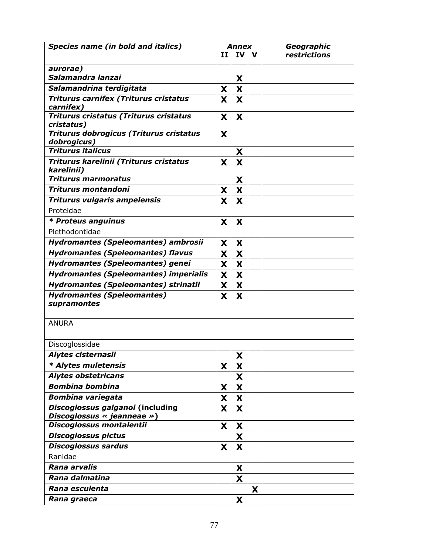| <b>Species name (in bold and italics)</b>              |   | Annex   |   | Geographic   |
|--------------------------------------------------------|---|---------|---|--------------|
|                                                        |   | II IV V |   | restrictions |
| aurorae)                                               |   |         |   |              |
| Salamandra lanzai                                      |   | X       |   |              |
| Salamandrina terdigitata                               | X | X       |   |              |
| Triturus carnifex (Triturus cristatus<br>carnifex)     | X | X       |   |              |
| Triturus cristatus (Triturus cristatus<br>cristatus)   | X | X       |   |              |
| Triturus dobrogicus (Triturus cristatus<br>dobrogicus) | X |         |   |              |
| <b>Triturus italicus</b>                               |   | X       |   |              |
| Triturus karelinii (Triturus cristatus<br>karelinii)   | X | X       |   |              |
| <b>Triturus marmoratus</b>                             |   | X       |   |              |
| <b>Triturus montandoni</b>                             | X | X       |   |              |
| <b>Triturus vulgaris ampelensis</b>                    | X | X       |   |              |
| Proteidae                                              |   |         |   |              |
| * Proteus anguinus                                     | X | X       |   |              |
| Plethodontidae                                         |   |         |   |              |
| <b>Hydromantes (Speleomantes) ambrosii</b>             | X | X       |   |              |
| <b>Hydromantes (Speleomantes) flavus</b>               | X | X       |   |              |
| <b>Hydromantes (Speleomantes) genei</b>                | X | X       |   |              |
| <b>Hydromantes (Speleomantes) imperialis</b>           | X | X       |   |              |
| <b>Hydromantes (Speleomantes) strinatii</b>            | X | X       |   |              |
| <b>Hydromantes (Speleomantes)</b><br>supramontes       | X | X       |   |              |
|                                                        |   |         |   |              |
| <b>ANURA</b>                                           |   |         |   |              |
|                                                        |   |         |   |              |
| Discoglossidae                                         |   |         |   |              |
| Alytes cisternasii                                     |   | X       |   |              |
| * Alytes muletensis                                    | X | X       |   |              |
| <b>Alytes obstetricans</b>                             |   | X       |   |              |
| <b>Bombina bombina</b>                                 | X | X       |   |              |
| <b>Bombina variegata</b>                               | X | X       |   |              |
| Discoglossus galganoi (including                       | X | X       |   |              |
| Discoglossus « jeanneae »)                             |   |         |   |              |
| Discoglossus montalentii                               | X | X       |   |              |
| <b>Discoglossus pictus</b>                             |   | X       |   |              |
| <b>Discoglossus sardus</b>                             | X | X       |   |              |
| Ranidae                                                |   |         |   |              |
| Rana arvalis                                           |   | X       |   |              |
| Rana dalmatina                                         |   | X       |   |              |
| Rana esculenta                                         |   |         | X |              |
| Rana graeca                                            |   | X       |   |              |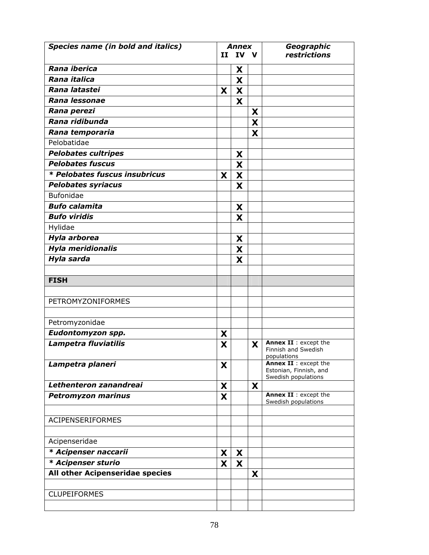| <b>Species name (in bold and italics)</b> |   | <b>Annex</b> |   | Geographic                                                  |  |
|-------------------------------------------|---|--------------|---|-------------------------------------------------------------|--|
|                                           |   | II IV V      |   | restrictions                                                |  |
| Rana iberica                              |   | X            |   |                                                             |  |
| Rana italica                              |   | X            |   |                                                             |  |
| Rana latastei                             | X | X            |   |                                                             |  |
| Rana lessonae                             |   | X            |   |                                                             |  |
| Rana perezi                               |   |              | X |                                                             |  |
| Rana ridibunda                            |   |              | X |                                                             |  |
| Rana temporaria                           |   |              | X |                                                             |  |
| Pelobatidae                               |   |              |   |                                                             |  |
| <b>Pelobates cultripes</b>                |   | X            |   |                                                             |  |
| <b>Pelobates fuscus</b>                   |   | X            |   |                                                             |  |
| * Pelobates fuscus insubricus             | X | X            |   |                                                             |  |
| <b>Pelobates syriacus</b>                 |   | X            |   |                                                             |  |
| Bufonidae                                 |   |              |   |                                                             |  |
| <b>Bufo calamita</b>                      |   | X            |   |                                                             |  |
| <b>Bufo viridis</b>                       |   | X            |   |                                                             |  |
| Hylidae                                   |   |              |   |                                                             |  |
| Hyla arborea                              |   | X            |   |                                                             |  |
| <b>Hyla meridionalis</b>                  |   | X            |   |                                                             |  |
| Hyla sarda                                |   | X            |   |                                                             |  |
|                                           |   |              |   |                                                             |  |
| <b>FISH</b>                               |   |              |   |                                                             |  |
|                                           |   |              |   |                                                             |  |
| PETROMYZONIFORMES                         |   |              |   |                                                             |  |
|                                           |   |              |   |                                                             |  |
| Petromyzonidae                            |   |              |   |                                                             |  |
| Eudontomyzon spp.                         | X |              |   |                                                             |  |
| Lampetra fluviatilis                      | X |              | X | Annex II : except the<br>Finnish and Swedish<br>populations |  |
| Lampetra planeri                          | X |              |   | Annex II : except the                                       |  |
|                                           |   |              |   | Estonian, Finnish, and<br>Swedish populations               |  |
| Lethenteron zanandreai                    | X |              | X |                                                             |  |
| <b>Petromyzon marinus</b>                 | X |              |   | Annex II : except the<br>Swedish populations                |  |
|                                           |   |              |   |                                                             |  |
| <b>ACIPENSERIFORMES</b>                   |   |              |   |                                                             |  |
| Acipenseridae                             |   |              |   |                                                             |  |
| * Acipenser naccarii                      | X | X            |   |                                                             |  |
| * Acipenser sturio                        | X | X            |   |                                                             |  |
| All other Acipenseridae species           |   |              | X |                                                             |  |
|                                           |   |              |   |                                                             |  |
| <b>CLUPEIFORMES</b>                       |   |              |   |                                                             |  |
|                                           |   |              |   |                                                             |  |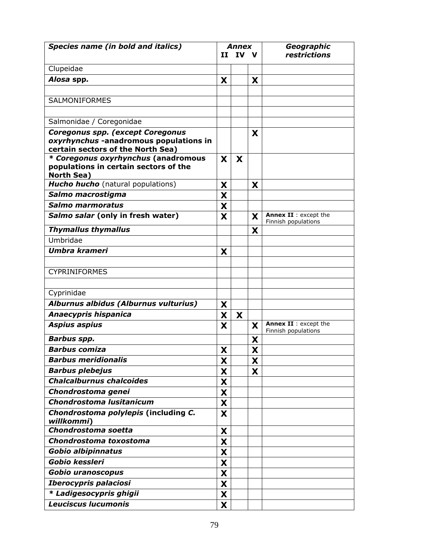| <b>Species name (in bold and italics)</b>                                                                       |          | <b>Annex</b> |   | Geographic                                   |  |
|-----------------------------------------------------------------------------------------------------------------|----------|--------------|---|----------------------------------------------|--|
|                                                                                                                 |          | II IV V      |   | <b>restrictions</b>                          |  |
| Clupeidae                                                                                                       |          |              |   |                                              |  |
| Alosa spp.                                                                                                      | X        |              | X |                                              |  |
|                                                                                                                 |          |              |   |                                              |  |
| <b>SALMONIFORMES</b>                                                                                            |          |              |   |                                              |  |
|                                                                                                                 |          |              |   |                                              |  |
| Salmonidae / Coregonidae                                                                                        |          |              |   |                                              |  |
| Coregonus spp. (except Coregonus<br>oxyrhynchus -anadromous populations in<br>certain sectors of the North Sea) |          |              | X |                                              |  |
| * Coregonus oxyrhynchus (anadromous<br>populations in certain sectors of the<br><b>North Sea)</b>               | <b>X</b> | $\mathbf{x}$ |   |                                              |  |
| <b>Hucho hucho</b> (natural populations)                                                                        | X        |              | X |                                              |  |
| Salmo macrostigma                                                                                               | X        |              |   |                                              |  |
| Salmo marmoratus                                                                                                | X        |              |   |                                              |  |
| Salmo salar (only in fresh water)                                                                               | X        |              | X | Annex II : except the<br>Finnish populations |  |
| <b>Thymallus thymallus</b>                                                                                      |          |              | X |                                              |  |
| Umbridae                                                                                                        |          |              |   |                                              |  |
| Umbra krameri                                                                                                   | X        |              |   |                                              |  |
| <b>CYPRINIFORMES</b>                                                                                            |          |              |   |                                              |  |
| Cyprinidae                                                                                                      |          |              |   |                                              |  |
| Alburnus albidus (Alburnus vulturius)                                                                           | X        |              |   |                                              |  |
| <b>Anaecypris hispanica</b>                                                                                     | X        | X            |   |                                              |  |
| <b>Aspius aspius</b>                                                                                            | X        |              | X | Annex II : except the<br>Finnish populations |  |
| <b>Barbus spp.</b>                                                                                              |          |              | X |                                              |  |
| <b>Barbus comiza</b>                                                                                            | X        |              | X |                                              |  |
| <b>Barbus meridionalis</b>                                                                                      | Х        |              | X |                                              |  |
| <b>Barbus plebejus</b>                                                                                          | X        |              | X |                                              |  |
| <b>Chalcalburnus chalcoides</b>                                                                                 | X        |              |   |                                              |  |
| Chondrostoma genei                                                                                              | X        |              |   |                                              |  |
| Chondrostoma Iusitanicum                                                                                        | X        |              |   |                                              |  |
| Chondrostoma polylepis (including C.<br>willkommi)                                                              | X        |              |   |                                              |  |
| Chondrostoma soetta                                                                                             | X        |              |   |                                              |  |
| Chondrostoma toxostoma                                                                                          | X        |              |   |                                              |  |
| Gobio albipinnatus                                                                                              | X        |              |   |                                              |  |
| Gobio kessleri                                                                                                  | X        |              |   |                                              |  |
| Gobio uranoscopus                                                                                               | X        |              |   |                                              |  |
| <b>Iberocypris palaciosi</b>                                                                                    | X        |              |   |                                              |  |
| * Ladigesocypris ghigii                                                                                         | X        |              |   |                                              |  |
| <b>Leuciscus lucumonis</b>                                                                                      | X        |              |   |                                              |  |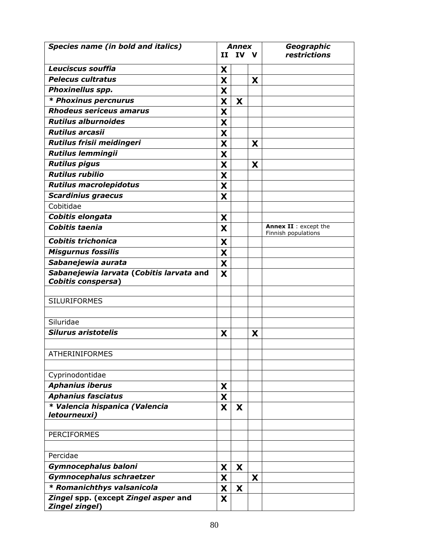| <b>Species name (in bold and italics)</b> |    | <b>Annex</b>              |   | Geographic                                   |  |
|-------------------------------------------|----|---------------------------|---|----------------------------------------------|--|
|                                           |    | II IV V                   |   | restrictions                                 |  |
| Leuciscus souffia                         | X  |                           |   |                                              |  |
| <b>Pelecus cultratus</b>                  | X  |                           | X |                                              |  |
| Phoxinellus spp.                          | X  |                           |   |                                              |  |
| * Phoxinus percnurus                      | X  | X                         |   |                                              |  |
| <b>Rhodeus sericeus amarus</b>            | X  |                           |   |                                              |  |
| <b>Rutilus alburnoides</b>                | X  |                           |   |                                              |  |
| <b>Rutilus arcasii</b>                    | X  |                           |   |                                              |  |
| Rutilus frisii meidingeri                 | X  |                           | X |                                              |  |
| <b>Rutilus lemmingii</b>                  | X  |                           |   |                                              |  |
| <b>Rutilus pigus</b>                      | X  |                           | X |                                              |  |
| <b>Rutilus rubilio</b>                    | X  |                           |   |                                              |  |
| <b>Rutilus macrolepidotus</b>             | X  |                           |   |                                              |  |
| <b>Scardinius graecus</b>                 | X  |                           |   |                                              |  |
| Cobitidae                                 |    |                           |   |                                              |  |
| Cobitis elongata                          | X  |                           |   |                                              |  |
| Cobitis taenia                            | X  |                           |   | Annex II : except the<br>Finnish populations |  |
| <b>Cobitis trichonica</b>                 | X  |                           |   |                                              |  |
| <b>Misgurnus fossilis</b>                 | X  |                           |   |                                              |  |
| Sabanejewia aurata                        | X  |                           |   |                                              |  |
| Sabanejewia larvata (Cobitis larvata and  | X  |                           |   |                                              |  |
| Cobitis conspersa)                        |    |                           |   |                                              |  |
| <b>SILURIFORMES</b>                       |    |                           |   |                                              |  |
|                                           |    |                           |   |                                              |  |
| Siluridae                                 |    |                           |   |                                              |  |
| <b>Silurus aristotelis</b>                | X  |                           | X |                                              |  |
|                                           |    |                           |   |                                              |  |
| ATHERINIFORMES                            |    |                           |   |                                              |  |
|                                           |    |                           |   |                                              |  |
| Cyprinodontidae                           |    |                           |   |                                              |  |
| <b>Aphanius iberus</b>                    | X  |                           |   |                                              |  |
| <b>Aphanius fasciatus</b>                 | X  |                           |   |                                              |  |
| * Valencia hispanica (Valencia            | X  | X                         |   |                                              |  |
| letourneuxi)                              |    |                           |   |                                              |  |
| <b>PERCIFORMES</b>                        |    |                           |   |                                              |  |
|                                           |    |                           |   |                                              |  |
| Percidae                                  |    |                           |   |                                              |  |
| Gymnocephalus baloni                      | X  | $\boldsymbol{\mathsf{X}}$ |   |                                              |  |
| Gymnocephalus schraetzer                  | X  |                           | X |                                              |  |
| * Romanichthys valsanicola                | X. | X                         |   |                                              |  |
| Zingel spp. (except Zingel asper and      |    |                           |   |                                              |  |
| <b>Zingel zingel)</b>                     | X  |                           |   |                                              |  |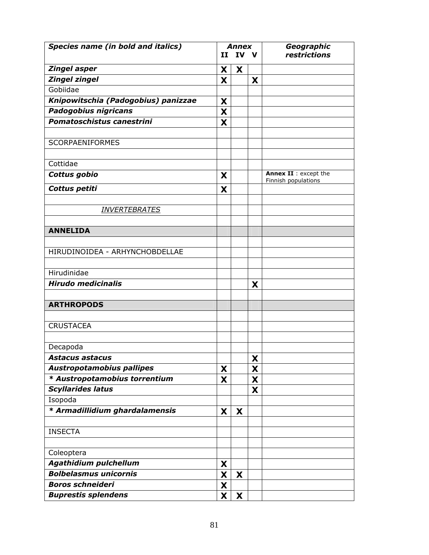| <b>Species name (in bold and italics)</b> | <b>Annex</b> |                           |   | Geographic                                   |
|-------------------------------------------|--------------|---------------------------|---|----------------------------------------------|
|                                           |              | II IV V                   |   | restrictions                                 |
| <b>Zingel asper</b>                       | X            | $\boldsymbol{\mathsf{X}}$ |   |                                              |
| <b>Zingel zingel</b>                      | X            |                           | X |                                              |
| Gobiidae                                  |              |                           |   |                                              |
| Knipowitschia (Padogobius) panizzae       | X            |                           |   |                                              |
| <b>Padogobius nigricans</b>               | X            |                           |   |                                              |
| Pomatoschistus canestrini                 | X            |                           |   |                                              |
|                                           |              |                           |   |                                              |
| <b>SCORPAENIFORMES</b>                    |              |                           |   |                                              |
|                                           |              |                           |   |                                              |
| Cottidae                                  |              |                           |   |                                              |
| Cottus gobio                              | X            |                           |   | Annex II : except the<br>Finnish populations |
| Cottus petiti                             | X            |                           |   |                                              |
|                                           |              |                           |   |                                              |
| <b>INVERTEBRATES</b>                      |              |                           |   |                                              |
|                                           |              |                           |   |                                              |
| <b>ANNELIDA</b>                           |              |                           |   |                                              |
|                                           |              |                           |   |                                              |
| HIRUDINOIDEA - ARHYNCHOBDELLAE            |              |                           |   |                                              |
|                                           |              |                           |   |                                              |
| Hirudinidae                               |              |                           |   |                                              |
| <b>Hirudo medicinalis</b>                 |              |                           | X |                                              |
|                                           |              |                           |   |                                              |
| <b>ARTHROPODS</b>                         |              |                           |   |                                              |
|                                           |              |                           |   |                                              |
| <b>CRUSTACEA</b>                          |              |                           |   |                                              |
|                                           |              |                           |   |                                              |
| Decapoda                                  |              |                           |   |                                              |
| <b>Astacus astacus</b>                    |              |                           | X |                                              |
| <b>Austropotamobius pallipes</b>          | X            |                           | X |                                              |
| * Austropotamobius torrentium             | X            |                           | X |                                              |
| <b>Scyllarides latus</b>                  |              |                           | X |                                              |
| Isopoda                                   |              |                           |   |                                              |
| * Armadillidium ghardalamensis            | X            | X                         |   |                                              |
| <b>INSECTA</b>                            |              |                           |   |                                              |
|                                           |              |                           |   |                                              |
| Coleoptera                                |              |                           |   |                                              |
| Agathidium pulchellum                     | X            |                           |   |                                              |
| <b>Bolbelasmus unicornis</b>              | X            | X                         |   |                                              |
| <b>Boros schneideri</b>                   | X            |                           |   |                                              |
| <b>Buprestis splendens</b>                | X            | X                         |   |                                              |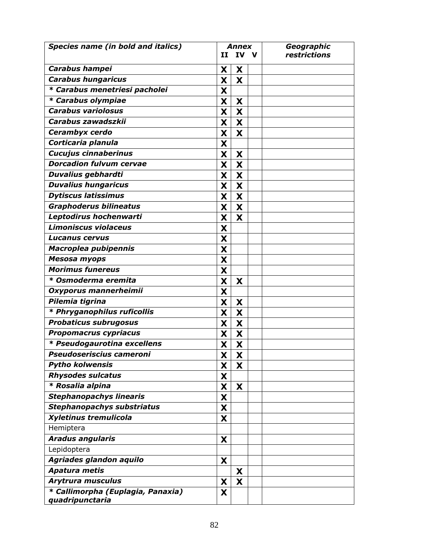| <b>Species name (in bold and italics)</b> |   | <b>Annex</b> | Geographic          |
|-------------------------------------------|---|--------------|---------------------|
|                                           |   | II IV V      | <b>restrictions</b> |
| Carabus hampei                            | X | X            |                     |
| <b>Carabus hungaricus</b>                 | X | X            |                     |
| * Carabus menetriesi pacholei             | X |              |                     |
| * Carabus olympiae                        | X | X            |                     |
| <b>Carabus variolosus</b>                 | X | X            |                     |
| Carabus zawadszkii                        | X | X            |                     |
| Cerambyx cerdo                            | X | X            |                     |
| Corticaria planula                        | X |              |                     |
| <b>Cucujus cinnaberinus</b>               | X | X            |                     |
| <b>Dorcadion fulvum cervae</b>            | X | X            |                     |
| Duvalius gebhardti                        | X | X            |                     |
| <b>Duvalius hungaricus</b>                | X | X            |                     |
| <b>Dytiscus latissimus</b>                | Х | X            |                     |
| <b>Graphoderus bilineatus</b>             | X | X            |                     |
| Leptodirus hochenwarti                    | X | X            |                     |
| Limoniscus violaceus                      | X |              |                     |
| <b>Lucanus cervus</b>                     | X |              |                     |
| Macroplea pubipennis                      | X |              |                     |
| <b>Mesosa myops</b>                       | X |              |                     |
| <b>Morimus funereus</b>                   | X |              |                     |
| * Osmoderma eremita                       | X | X            |                     |
| Oxyporus mannerheimii                     | X |              |                     |
| Pilemia tigrina                           | Χ | X            |                     |
| * Phryganophilus ruficollis               | Χ | X            |                     |
| <b>Probaticus subrugosus</b>              | Χ | X            |                     |
| <b>Propomacrus cypriacus</b>              | X | X            |                     |
| * Pseudogaurotina excellens               | X | X            |                     |
| Pseudoseriscius cameroni                  | X | X            |                     |
| <b>Pytho kolwensis</b>                    | X | X            |                     |
| <b>Rhysodes sulcatus</b>                  | X |              |                     |
| * Rosalia alpina                          | X | X            |                     |
| <b>Stephanopachys linearis</b>            | X |              |                     |
| <b>Stephanopachys substriatus</b>         | X |              |                     |
| Xyletinus tremulicola                     | X |              |                     |
| Hemiptera                                 |   |              |                     |
| <b>Aradus angularis</b>                   | X |              |                     |
| Lepidoptera                               |   |              |                     |
| Agriades glandon aquilo                   | X |              |                     |
| <b>Apatura metis</b>                      |   | X            |                     |
| Arytrura musculus                         | X | X            |                     |
| * Callimorpha (Euplagia, Panaxia)         | X |              |                     |
| quadripunctaria                           |   |              |                     |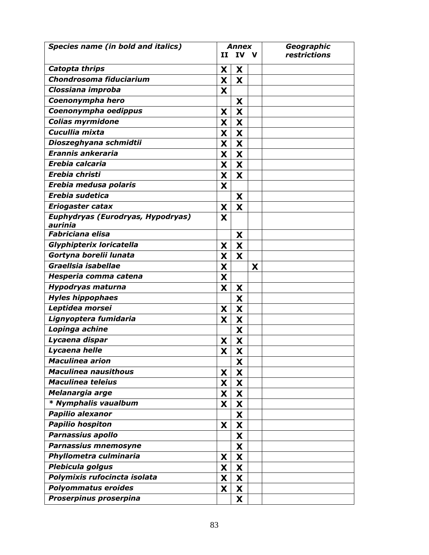| <b>Species name (in bold and italics)</b>    |    | <b>Annex</b>              |   | Geographic   |
|----------------------------------------------|----|---------------------------|---|--------------|
|                                              | 11 | IV V                      |   | restrictions |
| Catopta thrips                               | X  | X                         |   |              |
| Chondrosoma fiduciarium                      | X  | X                         |   |              |
| Clossiana improba                            | X  |                           |   |              |
| Coenonympha hero                             |    | X                         |   |              |
| Coenonympha oedippus                         | X  | X                         |   |              |
| <b>Colias myrmidone</b>                      | X  | X                         |   |              |
| Cucullia mixta                               | X  | X                         |   |              |
| Dioszeghyana schmidtii                       | X  | X                         |   |              |
| Erannis ankeraria                            | X  | X                         |   |              |
| Erebia calcaria                              | X  | X                         |   |              |
| Erebia christi                               | X  | X                         |   |              |
| Erebia medusa polaris                        | X  |                           |   |              |
| Erebia sudetica                              |    | X                         |   |              |
| <b>Eriogaster catax</b>                      | X  | X                         |   |              |
| Euphydryas (Eurodryas, Hypodryas)<br>aurinia | X  |                           |   |              |
| <b>Fabriciana elisa</b>                      |    | X                         |   |              |
| Glyphipterix loricatella                     | X  | X                         |   |              |
| Gortyna borelii lunata                       | X  | X                         |   |              |
| Graellsia isabellae                          | X  |                           | X |              |
| Hesperia comma catena                        | X  |                           |   |              |
| <b>Hypodryas maturna</b>                     | X  | X                         |   |              |
| <b>Hyles hippophaes</b>                      |    | X                         |   |              |
| Leptidea morsei                              | X  | X                         |   |              |
| Lignyoptera fumidaria                        | X  | X                         |   |              |
| Lopinga achine                               |    | X                         |   |              |
| Lycaena dispar                               | X  | X                         |   |              |
| Lycaena helle                                | X  | X                         |   |              |
| <b>Maculinea arion</b>                       |    | X                         |   |              |
| <b>Maculinea nausithous</b>                  | X  | X                         |   |              |
| <b>Maculinea teleius</b>                     | X  | X                         |   |              |
| Melanargia arge                              | X  | X                         |   |              |
| * Nymphalis vaualbum                         | X  | X                         |   |              |
| Papilio alexanor                             |    | X                         |   |              |
| <b>Papilio hospiton</b>                      | X  | X                         |   |              |
| Parnassius apollo                            |    | X                         |   |              |
| Parnassius mnemosyne                         |    | X                         |   |              |
| Phyllometra culminaria                       | X  | $\boldsymbol{\mathsf{X}}$ |   |              |
| Plebicula golgus                             | X  | X                         |   |              |
| Polymixis rufocincta isolata                 | X  | X                         |   |              |
| <b>Polyommatus eroides</b>                   | X  | X                         |   |              |
| Proserpinus proserpina                       |    | X                         |   |              |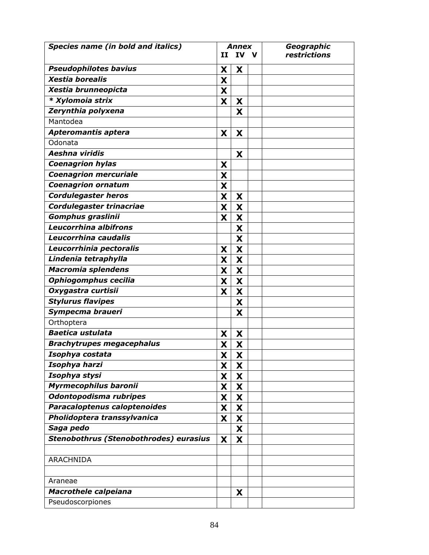| <b>Species name (in bold and italics)</b> |   | Annex   |  | Geographic   |
|-------------------------------------------|---|---------|--|--------------|
|                                           |   | II IV V |  | restrictions |
| <b>Pseudophilotes bavius</b>              | X | X       |  |              |
| <b>Xestia borealis</b>                    | X |         |  |              |
| Xestia brunneopicta                       | X |         |  |              |
| * Xylomoia strix                          | X | X       |  |              |
| Zerynthia polyxena                        |   | X       |  |              |
| Mantodea                                  |   |         |  |              |
| <b>Apteromantis aptera</b>                | X | X       |  |              |
| Odonata                                   |   |         |  |              |
| Aeshna viridis                            |   | X       |  |              |
| <b>Coenagrion hylas</b>                   | X |         |  |              |
| <b>Coenagrion mercuriale</b>              | X |         |  |              |
| <b>Coenagrion ornatum</b>                 | X |         |  |              |
| <b>Cordulegaster heros</b>                | X | X       |  |              |
| Cordulegaster trinacriae                  | X | X       |  |              |
| Gomphus graslinii                         | X | X       |  |              |
| Leucorrhina albifrons                     |   | X       |  |              |
| Leucorrhina caudalis                      |   | X       |  |              |
| Leucorrhinia pectoralis                   | X | X       |  |              |
| Lindenia tetraphylla                      | X | X       |  |              |
| Macromia splendens                        | X | X       |  |              |
| Ophiogomphus cecilia                      | X | X       |  |              |
| Oxygastra curtisii                        | X | X       |  |              |
| <b>Stylurus flavipes</b>                  |   | X       |  |              |
| Sympecma braueri                          |   | X       |  |              |
| Orthoptera                                |   |         |  |              |
| <b>Baetica ustulata</b>                   | X | X       |  |              |
| <b>Brachytrupes megacephalus</b>          | X | X       |  |              |
| Isophya costata                           | X | X       |  |              |
| Isophya harzi                             | X | X       |  |              |
| Isophya stysi                             | X | X       |  |              |
| Myrmecophilus baronii                     | X | X       |  |              |
| Odontopodisma rubripes                    | X | X       |  |              |
| Paracaloptenus caloptenoides              | X | X       |  |              |
| Pholidoptera transsylvanica               | X | X       |  |              |
| Saga pedo                                 |   | X       |  |              |
| Stenobothrus (Stenobothrodes) eurasius    | X | X       |  |              |
|                                           |   |         |  |              |
| <b>ARACHNIDA</b>                          |   |         |  |              |
|                                           |   |         |  |              |
| Araneae                                   |   |         |  |              |
| <b>Macrothele calpeiana</b>               |   | X       |  |              |
| Pseudoscorpiones                          |   |         |  |              |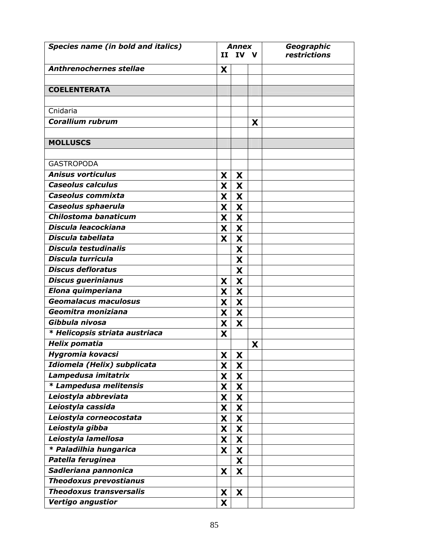| <b>Species name (in bold and italics)</b> | Annex |                         |   | Geographic          |
|-------------------------------------------|-------|-------------------------|---|---------------------|
|                                           |       | II IV V                 |   | <b>restrictions</b> |
| <b>Anthrenochernes stellae</b>            | X     |                         |   |                     |
|                                           |       |                         |   |                     |
| <b>COELENTERATA</b>                       |       |                         |   |                     |
|                                           |       |                         |   |                     |
| Cnidaria                                  |       |                         |   |                     |
| <b>Corallium rubrum</b>                   |       |                         | X |                     |
|                                           |       |                         |   |                     |
| <b>MOLLUSCS</b>                           |       |                         |   |                     |
|                                           |       |                         |   |                     |
| <b>GASTROPODA</b>                         |       |                         |   |                     |
| <b>Anisus vorticulus</b>                  | X     | X                       |   |                     |
| <b>Caseolus calculus</b>                  | X     | X                       |   |                     |
| Caseolus commixta                         | X     | X                       |   |                     |
| Caseolus sphaerula                        | X     | X                       |   |                     |
| Chilostoma banaticum                      | X     | X                       |   |                     |
| Discula leacockiana                       | X     | X                       |   |                     |
| Discula tabellata                         | X     | X                       |   |                     |
| Discula testudinalis                      |       | X                       |   |                     |
| Discula turricula                         |       | X                       |   |                     |
| <b>Discus defloratus</b>                  |       | X                       |   |                     |
| <b>Discus guerinianus</b>                 | X     | X                       |   |                     |
| Elona quimperiana                         | X     | X                       |   |                     |
| <b>Geomalacus maculosus</b>               | X     | X                       |   |                     |
| Geomitra moniziana                        | X     | X                       |   |                     |
| Gibbula nivosa                            | X     | X                       |   |                     |
| * Helicopsis striata austriaca            | X     |                         |   |                     |
| <b>Helix pomatia</b>                      |       |                         | X |                     |
| Hygromia kovacsi                          | X     | $\overline{\mathbf{X}}$ |   |                     |
| Idiomela (Helix) subplicata               | X     | X                       |   |                     |
| Lampedusa imitatrix                       | X     | X                       |   |                     |
| * Lampedusa melitensis                    | X     | X                       |   |                     |
| Leiostyla abbreviata                      | X     | X                       |   |                     |
| Leiostyla cassida                         | X     | X                       |   |                     |
| Leiostyla corneocostata                   | X     | X                       |   |                     |
| Leiostyla gibba                           | X     | X                       |   |                     |
| Leiostyla lamellosa                       | X     | X                       |   |                     |
| * Paladilhia hungarica                    | X     | X                       |   |                     |
| Patella feruginea                         |       | X                       |   |                     |
| Sadleriana pannonica                      | X     | X                       |   |                     |
| <b>Theodoxus prevostianus</b>             |       |                         |   |                     |
| <b>Theodoxus transversalis</b>            | X     | X                       |   |                     |
| Vertigo angustior                         | X     |                         |   |                     |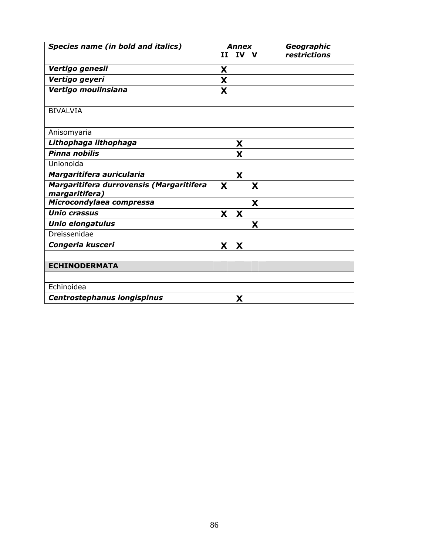| <b>Species name (in bold and italics)</b>                  |   | <b>Annex</b> |   | Geographic   |
|------------------------------------------------------------|---|--------------|---|--------------|
|                                                            | H | IV V         |   | restrictions |
| Vertigo genesii                                            | X |              |   |              |
| Vertigo geyeri                                             | X |              |   |              |
| Vertigo moulinsiana                                        | X |              |   |              |
|                                                            |   |              |   |              |
| <b>BIVALVIA</b>                                            |   |              |   |              |
|                                                            |   |              |   |              |
| Anisomyaria                                                |   |              |   |              |
| Lithophaga lithophaga                                      |   | X            |   |              |
| Pinna nobilis                                              |   | X            |   |              |
| Unionoida                                                  |   |              |   |              |
| Margaritifera auricularia                                  |   | X            |   |              |
| Margaritifera durrovensis (Margaritifera<br>margaritifera) | X |              | X |              |
| Microcondylaea compressa                                   |   |              | X |              |
| <b>Unio crassus</b>                                        | X | X            |   |              |
| Unio elongatulus                                           |   |              | X |              |
| Dreissenidae                                               |   |              |   |              |
| Congeria kusceri                                           | X | X            |   |              |
|                                                            |   |              |   |              |
| <b>ECHINODERMATA</b>                                       |   |              |   |              |
|                                                            |   |              |   |              |
| Echinoidea                                                 |   |              |   |              |
| Centrostephanus longispinus                                |   | X            |   |              |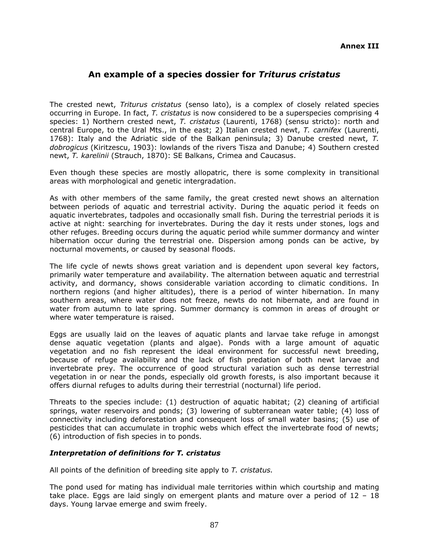## **An example of a species dossier for** *Triturus cristatus*

The crested newt, *Triturus cristatus* (senso lato), is a complex of closely related species occurring in Europe. In fact, *T. cristatus* is now considered to be a superspecies comprising 4 species: 1) Northern crested newt, *T. cristatus* (Laurenti, 1768) (sensu stricto): north and central Europe, to the Ural Mts., in the east; 2) Italian crested newt, *T. carnifex* (Laurenti, 1768): Italy and the Adriatic side of the Balkan peninsula; 3) Danube crested newt, *T. dobrogicus* (Kiritzescu, 1903): lowlands of the rivers Tisza and Danube; 4) Southern crested newt, *T. karelinii* (Strauch, 1870): SE Balkans, Crimea and Caucasus.

Even though these species are mostly allopatric, there is some complexity in transitional areas with morphological and genetic intergradation.

As with other members of the same family, the great crested newt shows an alternation between periods of aquatic and terrestrial activity. During the aquatic period it feeds on aquatic invertebrates, tadpoles and occasionally small fish. During the terrestrial periods it is active at night: searching for invertebrates. During the day it rests under stones, logs and other refuges. Breeding occurs during the aquatic period while summer dormancy and winter hibernation occur during the terrestrial one. Dispersion among ponds can be active, by nocturnal movements, or caused by seasonal floods.

The life cycle of newts shows great variation and is dependent upon several key factors, primarily water temperature and availability. The alternation between aquatic and terrestrial activity, and dormancy, shows considerable variation according to climatic conditions. In northern regions (and higher altitudes), there is a period of winter hibernation. In many southern areas, where water does not freeze, newts do not hibernate, and are found in water from autumn to late spring. Summer dormancy is common in areas of drought or where water temperature is raised.

Eggs are usually laid on the leaves of aquatic plants and larvae take refuge in amongst dense aquatic vegetation (plants and algae). Ponds with a large amount of aquatic vegetation and no fish represent the ideal environment for successful newt breeding, because of refuge availability and the lack of fish predation of both newt larvae and invertebrate prey. The occurrence of good structural variation such as dense terrestrial vegetation in or near the ponds, especially old growth forests, is also important because it offers diurnal refuges to adults during their terrestrial (nocturnal) life period.

Threats to the species include: (1) destruction of aquatic habitat; (2) cleaning of artificial springs, water reservoirs and ponds; (3) lowering of subterranean water table; (4) loss of connectivity including deforestation and consequent loss of small water basins; (5) use of pesticides that can accumulate in trophic webs which effect the invertebrate food of newts; (6) introduction of fish species in to ponds.

## *Interpretation of definitions for T. cristatus*

All points of the definition of breeding site apply to *T. cristatus.* 

The pond used for mating has individual male territories within which courtship and mating take place. Eggs are laid singly on emergent plants and mature over a period of  $12 - 18$ days. Young larvae emerge and swim freely.